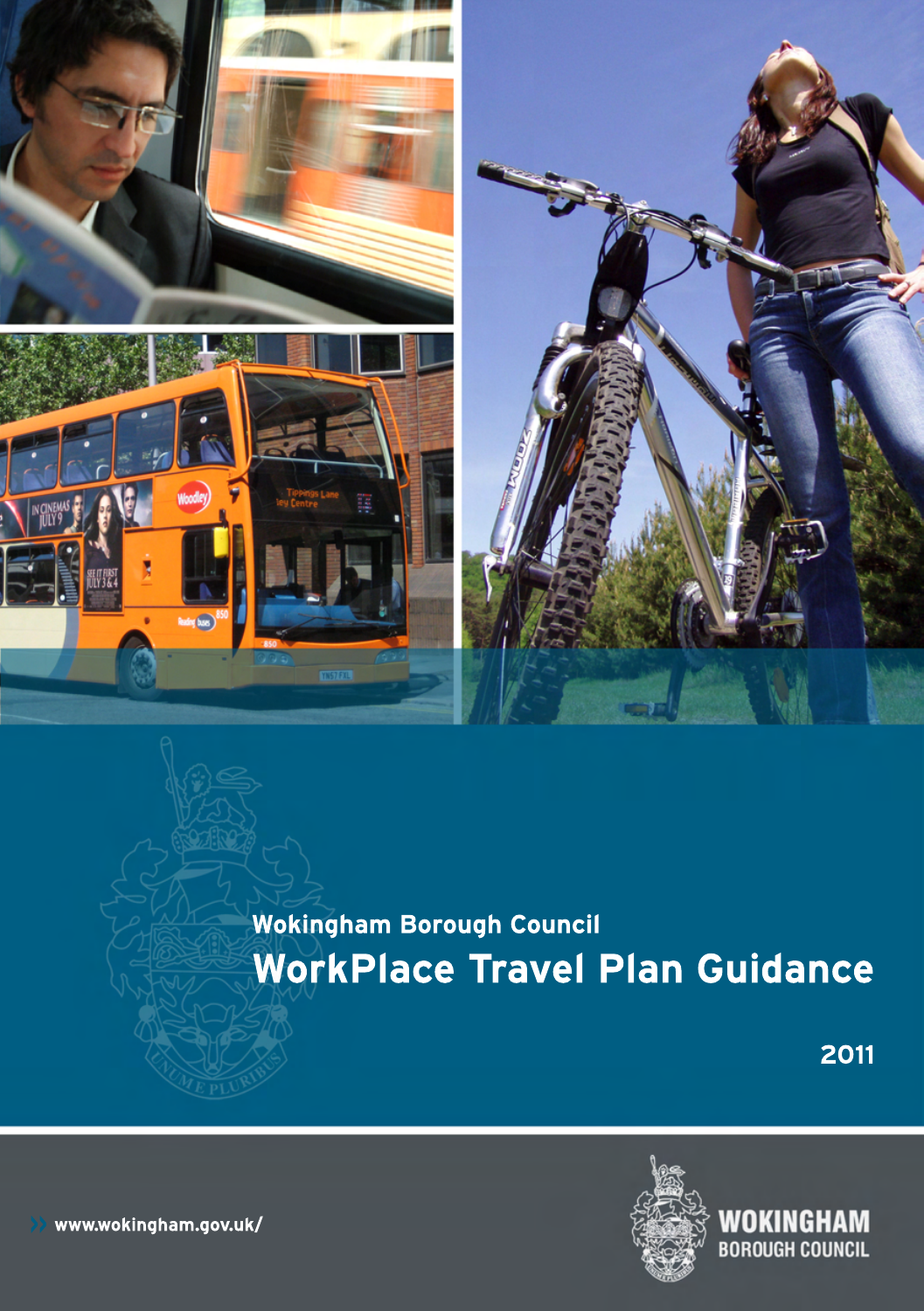

# **Wokingham Borough Council WorkPlace Travel Plan Guidance**

**2011**



**>>www.wokingham.gov.uk/**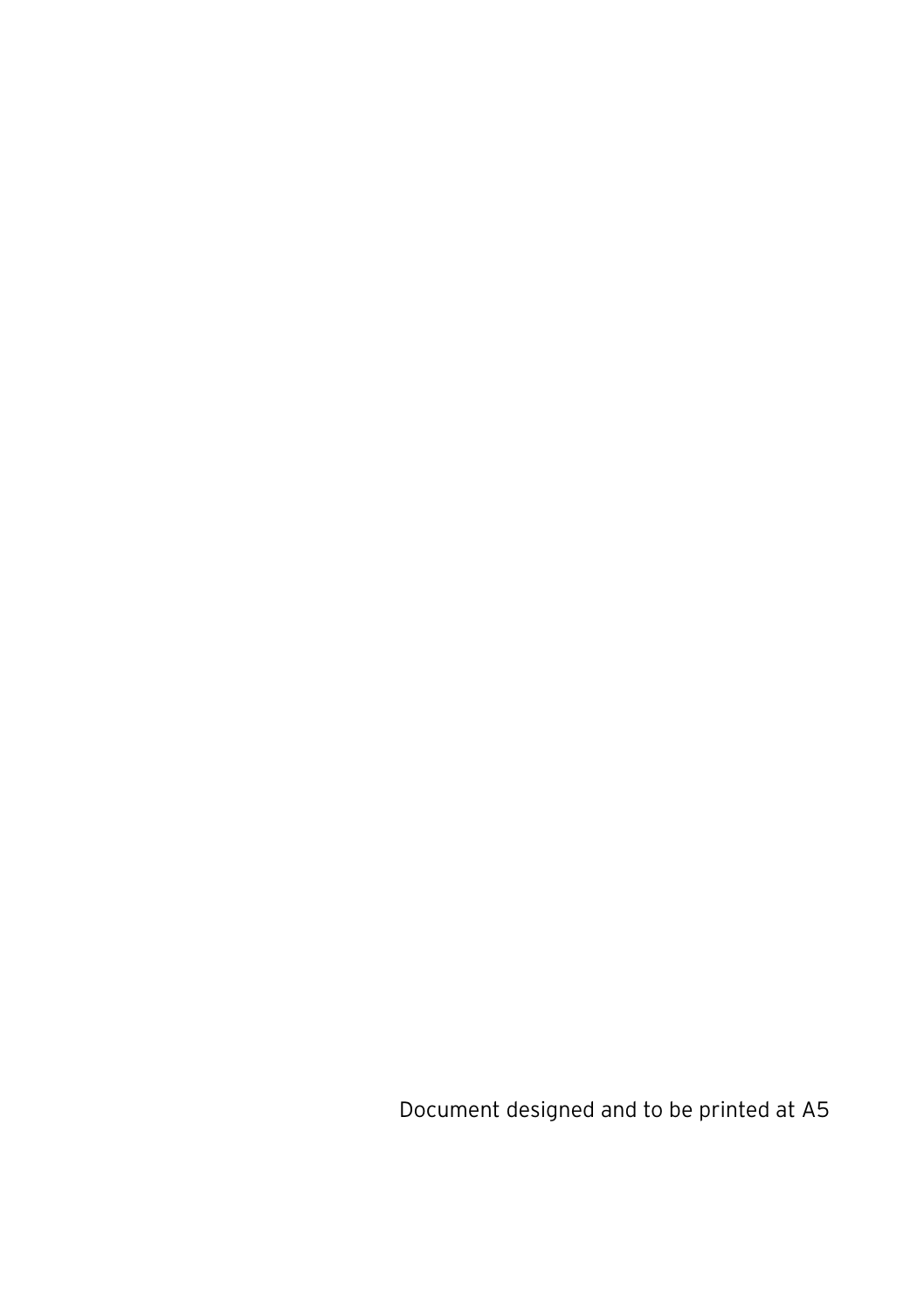Document designed and to be printed at A5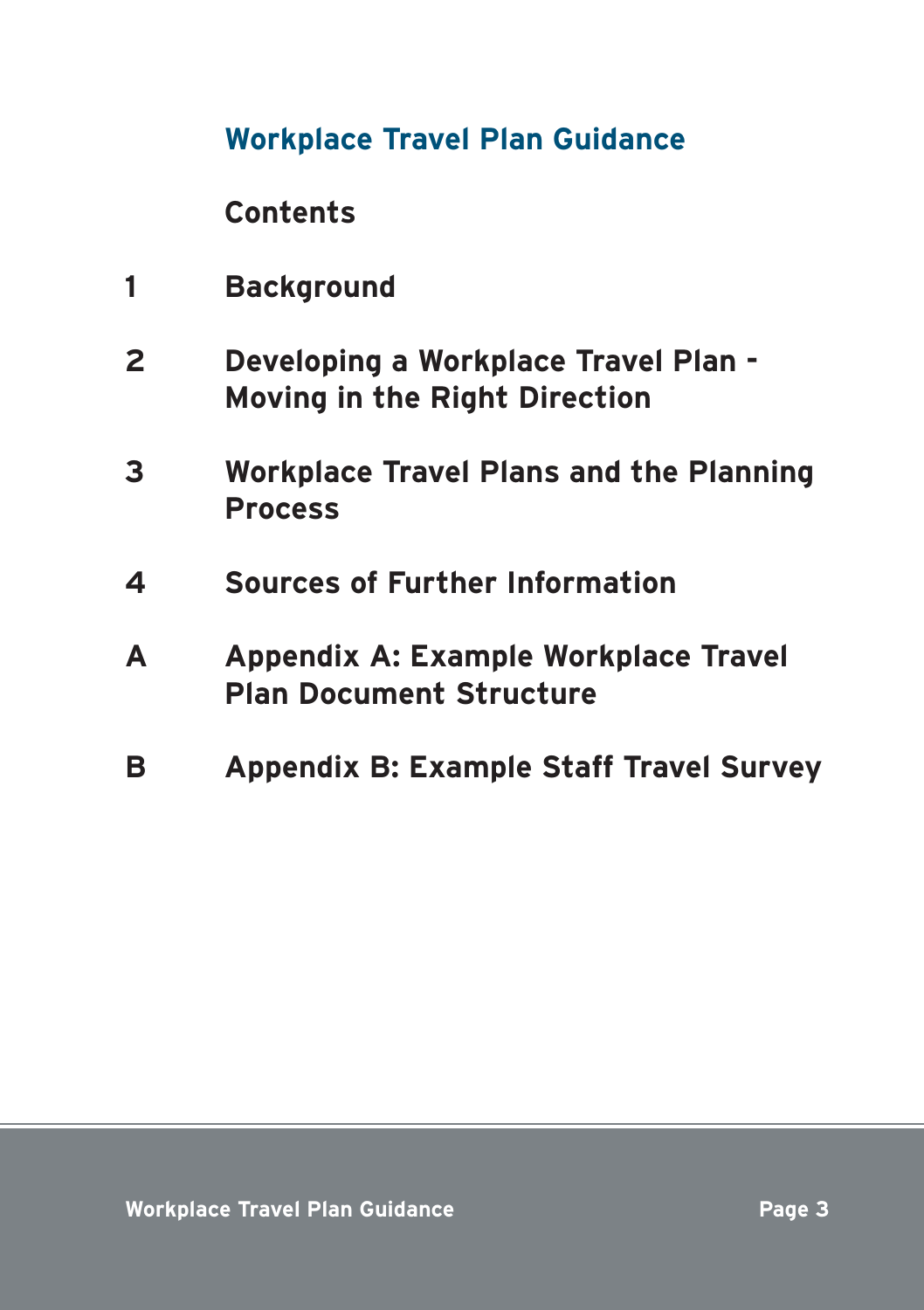# **Workplace Travel Plan Guidance**

**Contents**

- **Background 1**
- **Developing a Workplace Travel Plan - Moving in the Right Direction 2**
- **Workplace Travel Plans and the Planning Process 3**
- **Sources of Further Information 4**
- **Appendix A: Example Workplace Travel Plan Document Structure A**
- **Appendix B: Example Staff Travel Survey B**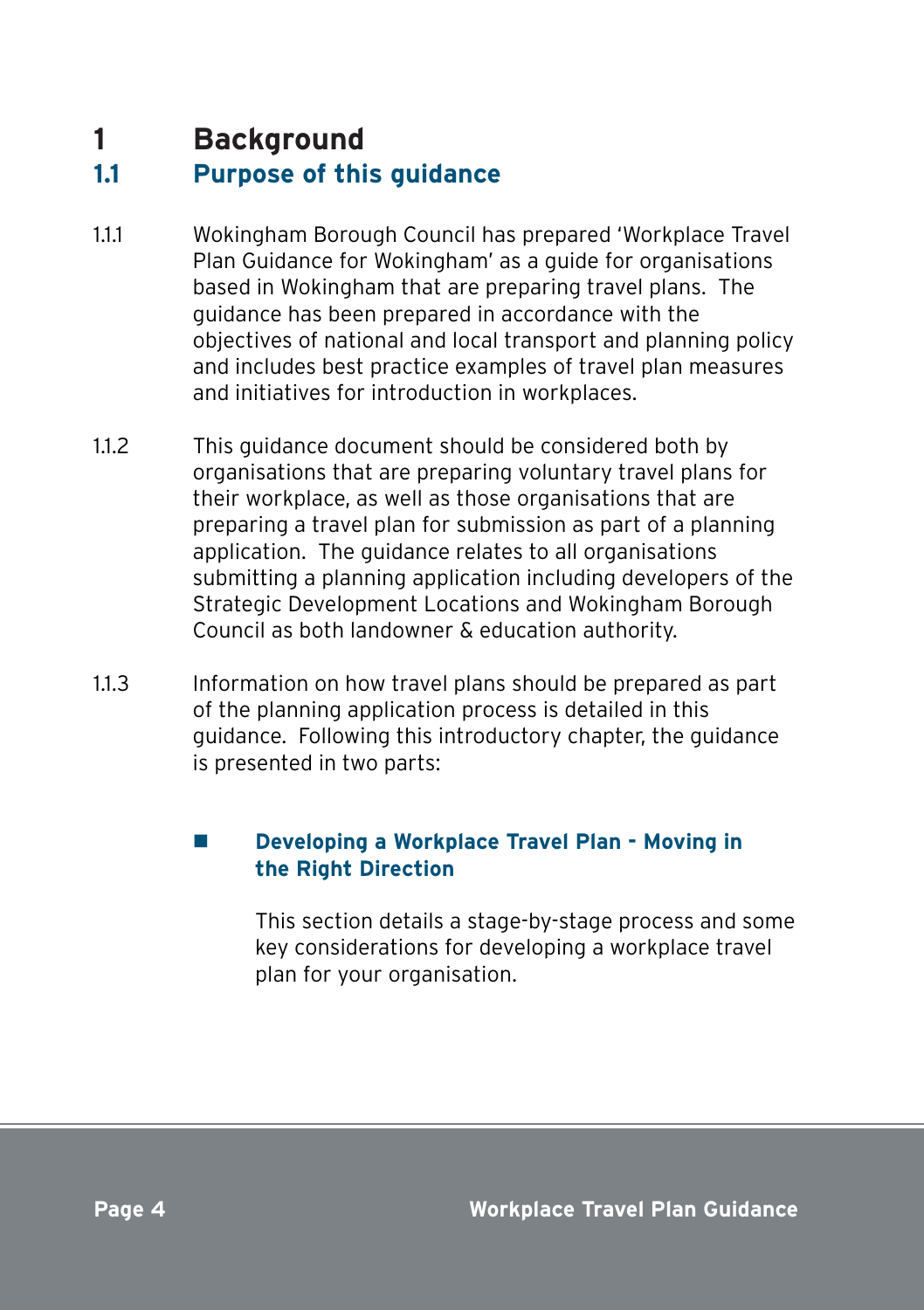### **1 Background**

### **1.1 Purpose of this guidance**

- 1.1.1 Wokingham Borough Council has prepared 'Workplace Travel Plan Guidance for Wokingham' as a guide for organisations based in Wokingham that are preparing travel plans. The guidance has been prepared in accordance with the objectives of national and local transport and planning policy and includes best practice examples of travel plan measures and initiatives for introduction in workplaces.
- 11.2 This guidance document should be considered both by organisations that are preparing voluntary travel plans for their workplace, as well as those organisations that are preparing a travel plan for submission as part of a planning application. The guidance relates to all organisations submitting a planning application including developers of the Strategic Development Locations and Wokingham Borough Council as both landowner & education authority.
- 1.1.3 Information on how travel plans should be prepared as part of the planning application process is detailed in this guidance. Following this introductory chapter, the guidance is presented in two parts:

## **Developing a Workplace Travel Plan - Moving in the Right Direction**

This section details a stage-by-stage process and some key considerations for developing a workplace travel plan for your organisation.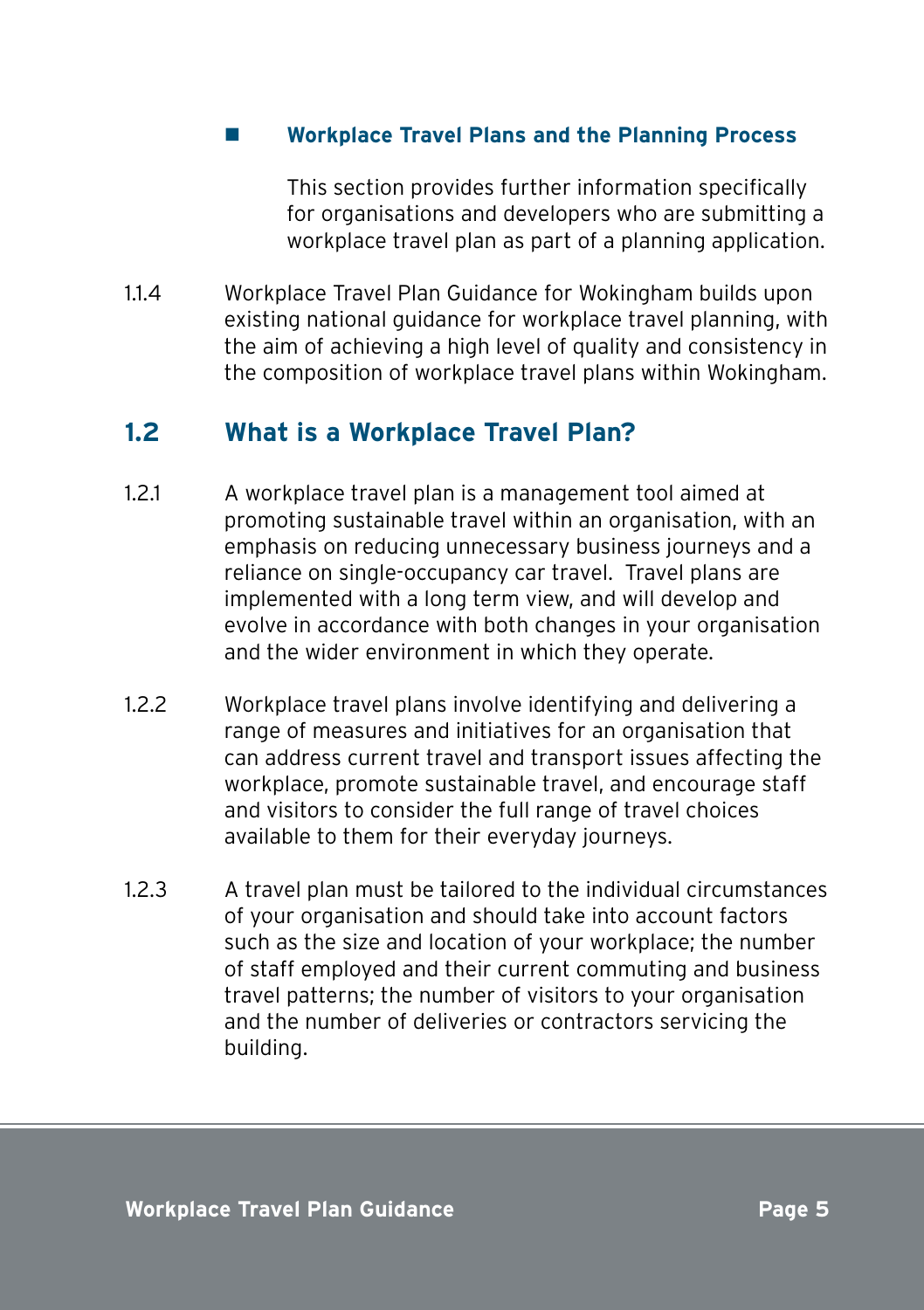## **Workplace Travel Plans and the Planning Process**

This section provides further information specifically for organisations and developers who are submitting a workplace travel plan as part of a planning application.

Workplace Travel Plan Guidance for Wokingham builds upon existing national guidance for workplace travel planning, with the aim of achieving a high level of quality and consistency in the composition of workplace travel plans within Wokingham. 1.1.4

#### **What is a Workplace Travel Plan? 1.2**

- A workplace travel plan is a management tool aimed at promoting sustainable travel within an organisation, with an emphasis on reducing unnecessary business journeys and a reliance on single-occupancy car travel. Travel plans are implemented with a long term view, and will develop and evolve in accordance with both changes in your organisation and the wider environment in which they operate. 1.2.1
- Workplace travel plans involve identifying and delivering a range of measures and initiatives for an organisation that can address current travel and transport issues affecting the workplace, promote sustainable travel, and encourage staff and visitors to consider the full range of travel choices available to them for their everyday journeys. 1.2.2
- A travel plan must be tailored to the individual circumstances of your organisation and should take into account factors such as the size and location of your workplace; the number of staff employed and their current commuting and business travel patterns; the number of visitors to your organisation and the number of deliveries or contractors servicing the building. 1.2.3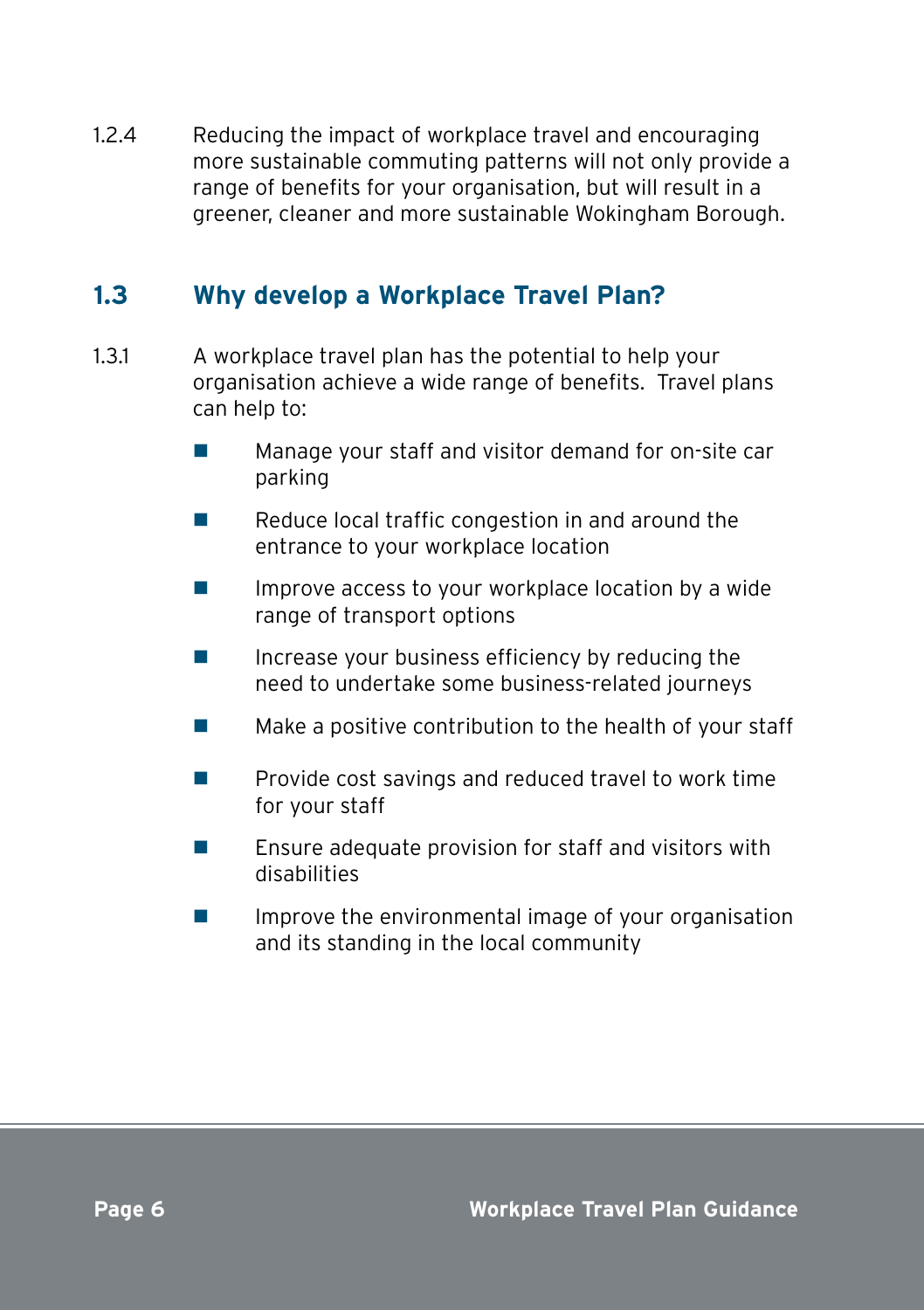$124$ Reducing the impact of workplace travel and encouraging more sustainable commuting patterns will not only provide a range of benefits for your organisation, but will result in a greener, cleaner and more sustainable Wokingham Borough.

### **1.3 Why develop a Workplace Travel Plan?**

- 1.3.1 A workplace travel plan has the potential to help your organisation achieve a wide range of benefits. Travel plans can help to:
	- Manage your staff and visitor demand for on-site car parking
	- $\blacksquare$  Reduce local traffic congestion in and around the entrance to your workplace location
	- $\blacksquare$  Improve access to your workplace location by a wide range of transport options
	- $\blacksquare$  Increase your business efficiency by reducing the need to undertake some business-related journeys
	- $\blacksquare$  Make a positive contribution to the health of your staff
	- $\blacksquare$  Provide cost savings and reduced travel to work time for your staff
	- **EXECUTE:** Ensure adequate provision for staff and visitors with disabilities
	- **IMPROVE THE ENGINIME.** Improve the environmental image of your organisation and its standing in the local community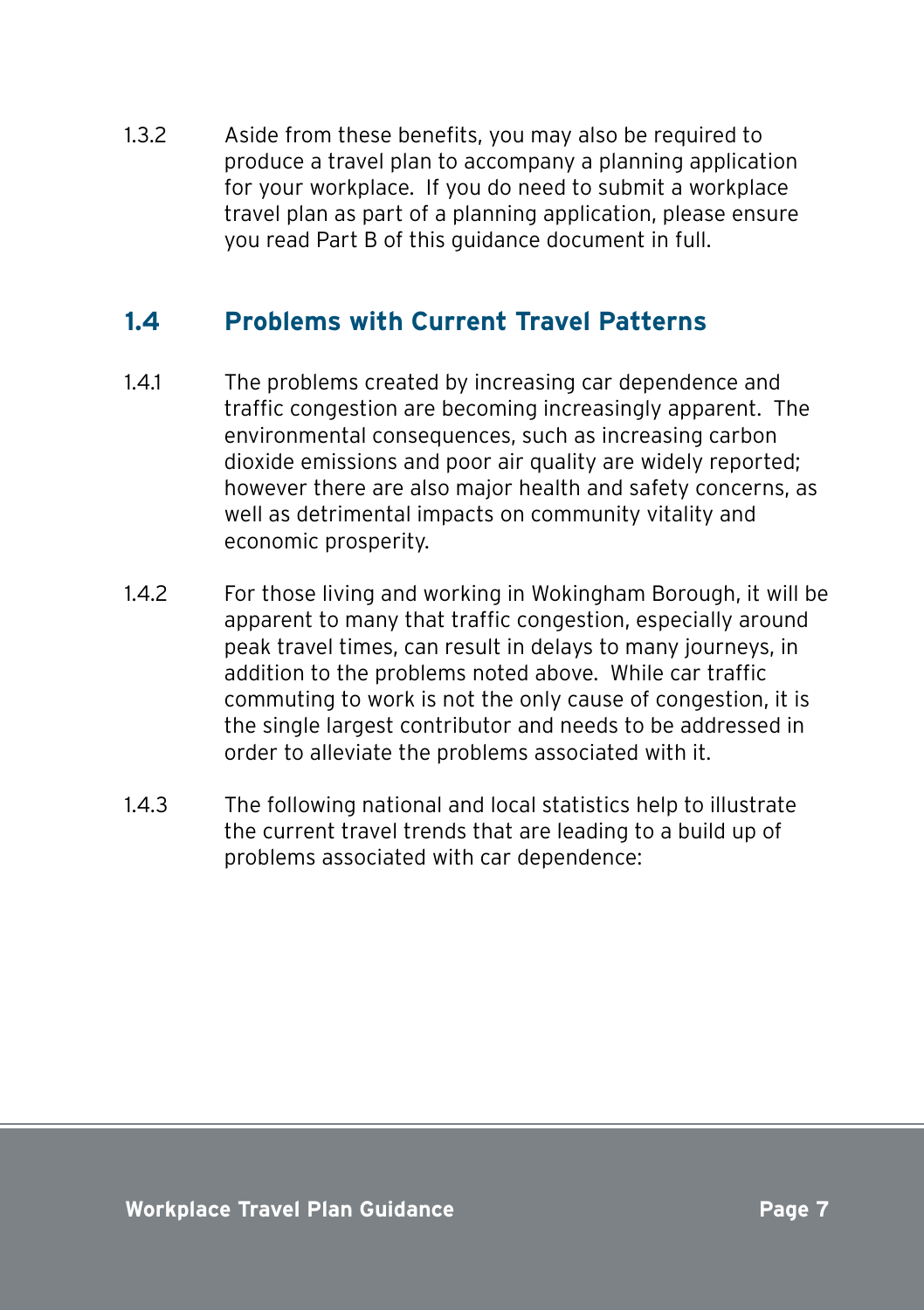Aside from these benefits, you may also be required to produce a travel plan to accompany a planning application for your workplace. If you do need to submit a workplace travel plan as part of a planning application, please ensure you read Part B of this guidance document in full. 1.3.2

### **Problems with Current Travel Patterns 1.4**

- The problems created by increasing car dependence and traffic congestion are becoming increasingly apparent. The environmental consequences, such as increasing carbon dioxide emissions and poor air quality are widely reported; however there are also major health and safety concerns, as well as detrimental impacts on community vitality and economic prosperity.  $1.41$
- For those living and working in Wokingham Borough, it will be apparent to many that traffic congestion, especially around peak travel times, can result in delays to many journeys, in addition to the problems noted above. While car traffic commuting to work is not the only cause of congestion, it is the single largest contributor and needs to be addressed in order to alleviate the problems associated with it. 142
- The following national and local statistics help to illustrate the current travel trends that are leading to a build up of problems associated with car dependence: 1.4.3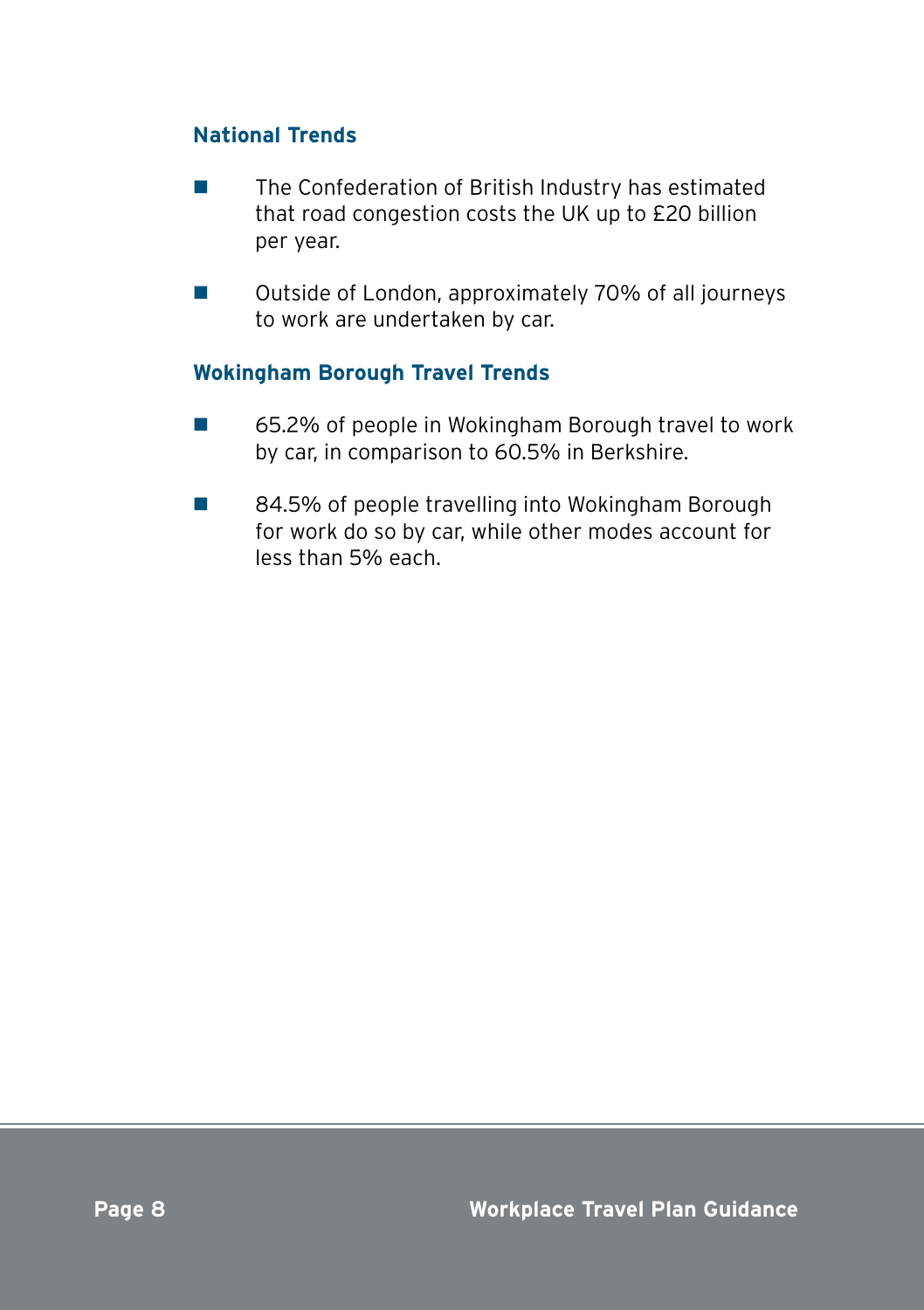## **National Trends**

- $\blacksquare$  The Confederation of British Industry has estimated that road congestion costs the UK up to £20 billion per year.
- Outside of London, approximately 70% of all journeys to work are undertaken by car.

## **Wokingham Borough Travel Trends**

- 65.2% of people in Wokingham Borough travel to work by car, in comparison to 60.5% in Berkshire.
- 84.5% of people travelling into Wokingham Borough for work do so by car, while other modes account for less than 5% each.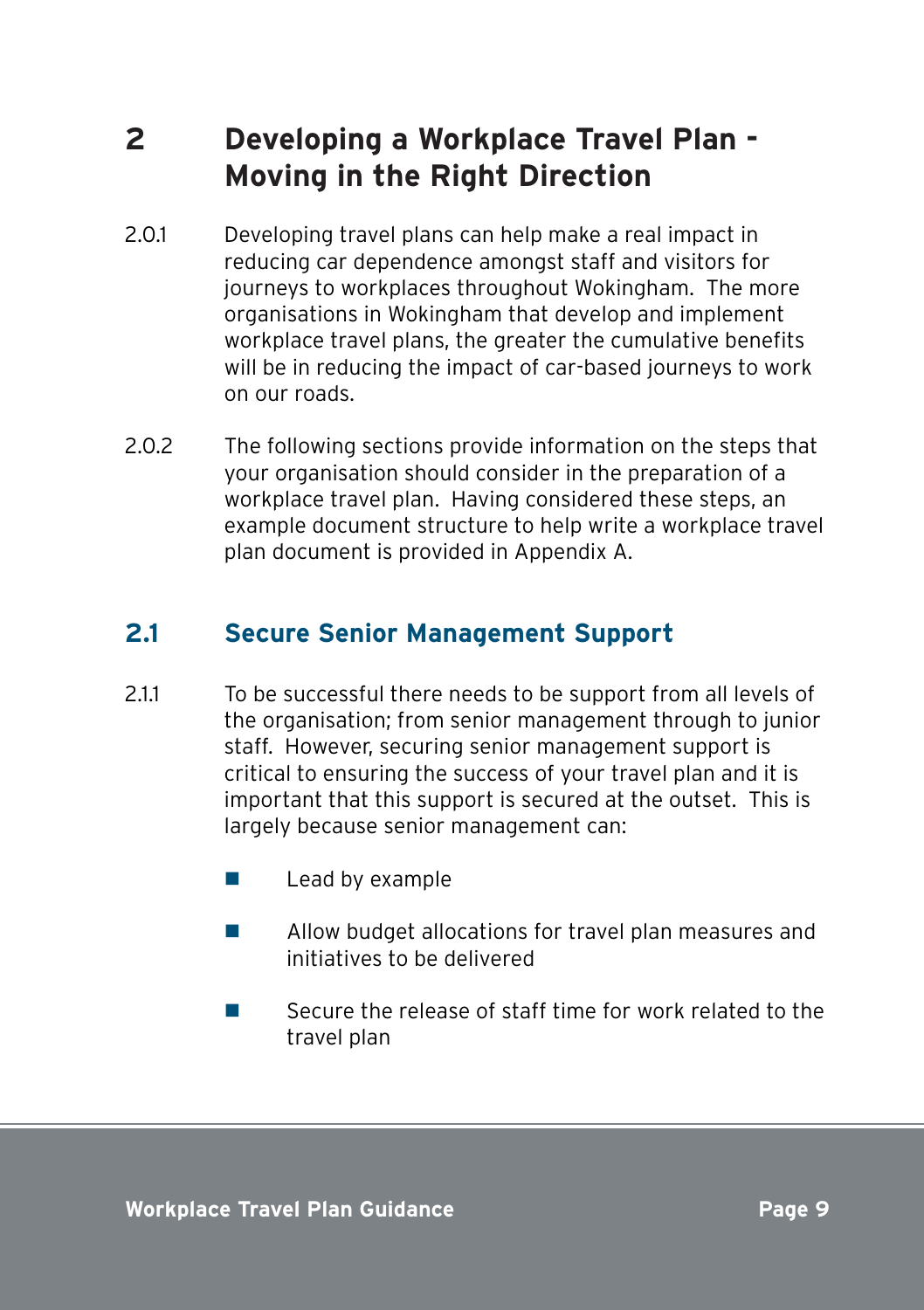## **Developing a Workplace Travel Plan - Moving in the Right Direction 2**

- Developing travel plans can help make a real impact in reducing car dependence amongst staff and visitors for journeys to workplaces throughout Wokingham. The more organisations in Wokingham that develop and implement workplace travel plans, the greater the cumulative benefits will be in reducing the impact of car-based journeys to work on our roads. 2.0.1
- The following sections provide information on the steps that your organisation should consider in the preparation of a workplace travel plan. Having considered these steps, an example document structure to help write a workplace travel plan document is provided in Appendix A. 2.0.2

### **Secure Senior Management Support 2.1**

- To be successful there needs to be support from all levels of the organisation; from senior management through to junior staff. However, securing senior management support is critical to ensuring the success of your travel plan and it is important that this support is secured at the outset. This is largely because senior management can: 2.1.1
	- Lead by example
	- **E** Allow budget allocations for travel plan measures and initiatives to be delivered
	- Secure the release of staff time for work related to the travel plan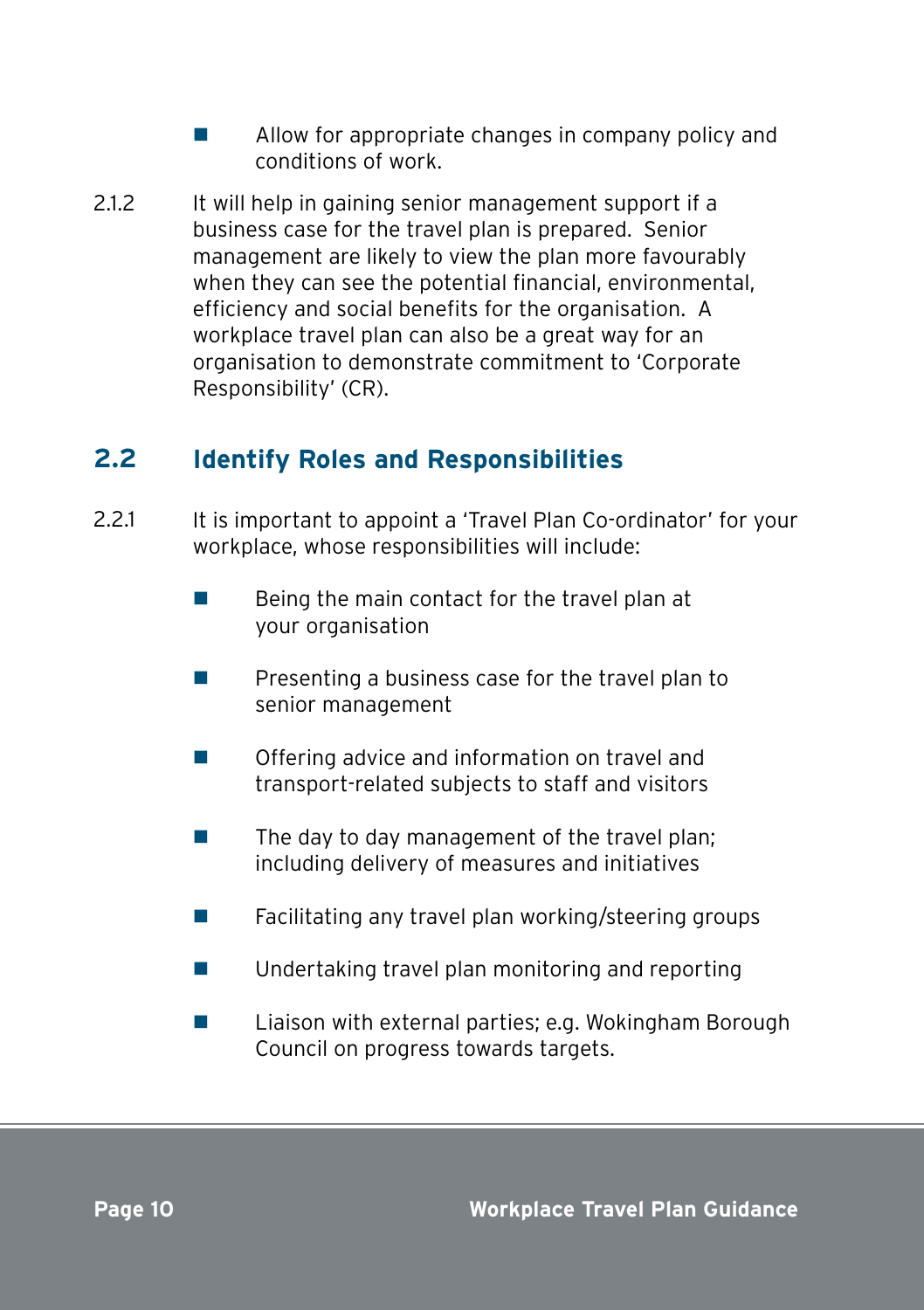- **EXECUTE:** Allow for appropriate changes in company policy and conditions of work.
- 2.1.2 It will help in gaining senior management support if a business case for the travel plan is prepared. Senior management are likely to view the plan more favourably when they can see the potential financial, environmental, efficiency and social benefits for the organisation. A workplace travel plan can also be a great way for an organisation to demonstrate commitment to 'Corporate Responsibility' (CR).

### **2.2 Identify Roles and Responsibilities**

- 2.2.1 It is important to appoint a 'Travel Plan Co-ordinator' for your workplace, whose responsibilities will include:
	- $\blacksquare$  Being the main contact for the travel plan at your organisation
	- $\blacksquare$  Presenting a business case for the travel plan to senior management
	- Offering advice and information on travel and transport-related subjects to staff and visitors
	- $\blacksquare$  The day to day management of the travel plan: including delivery of measures and initiatives
	- Facilitating any travel plan working/steering groups
	- Undertaking travel plan monitoring and reporting
	- **Liaison with external parties; e.g. Wokingham Borough** Council on progress towards targets.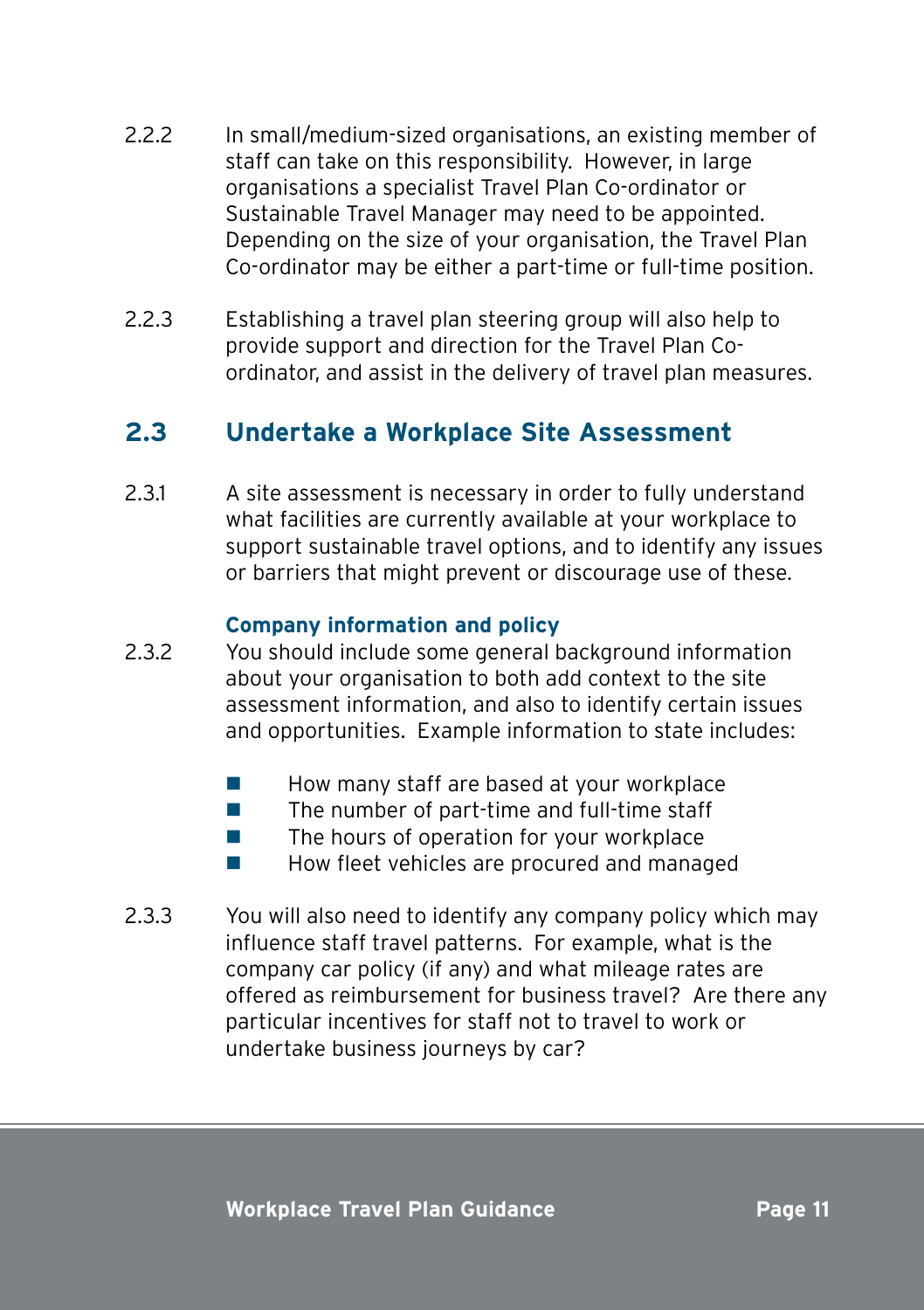- 2.2.2 In small/medium-sized organisations, an existing member of staff can take on this responsibility. However, in large organisations a specialist Travel Plan Co-ordinator or Sustainable Travel Manager may need to be appointed. Depending on the size of your organisation, the Travel Plan Co-ordinator may be either a part-time or full-time position.
- 2.2.3 Establishing a travel plan steering group will also help to provide support and direction for the Travel Plan Coordinator, and assist in the delivery of travel plan measures.

#### **2.3 Undertake a Workplace Site Assessment**

2.3.1 A site assessment is necessary in order to fully understand what facilities are currently available at your workplace to support sustainable travel options, and to identify any issues or barriers that might prevent or discourage use of these.

## **Company information and policy**

- 2.3.2 You should include some general background information about your organisation to both add context to the site assessment information, and also to identify certain issues and opportunities. Example information to state includes:
	- How many staff are based at your workplace
	- The number of part-time and full-time staff
	- The hours of operation for your workplace
	- How fleet vehicles are procured and managed
- 2.3.3 You will also need to identify any company policy which may influence staff travel patterns. For example, what is the company car policy (if any) and what mileage rates are offered as reimbursement for business travel? Are there any particular incentives for staff not to travel to work or undertake business journeys by car?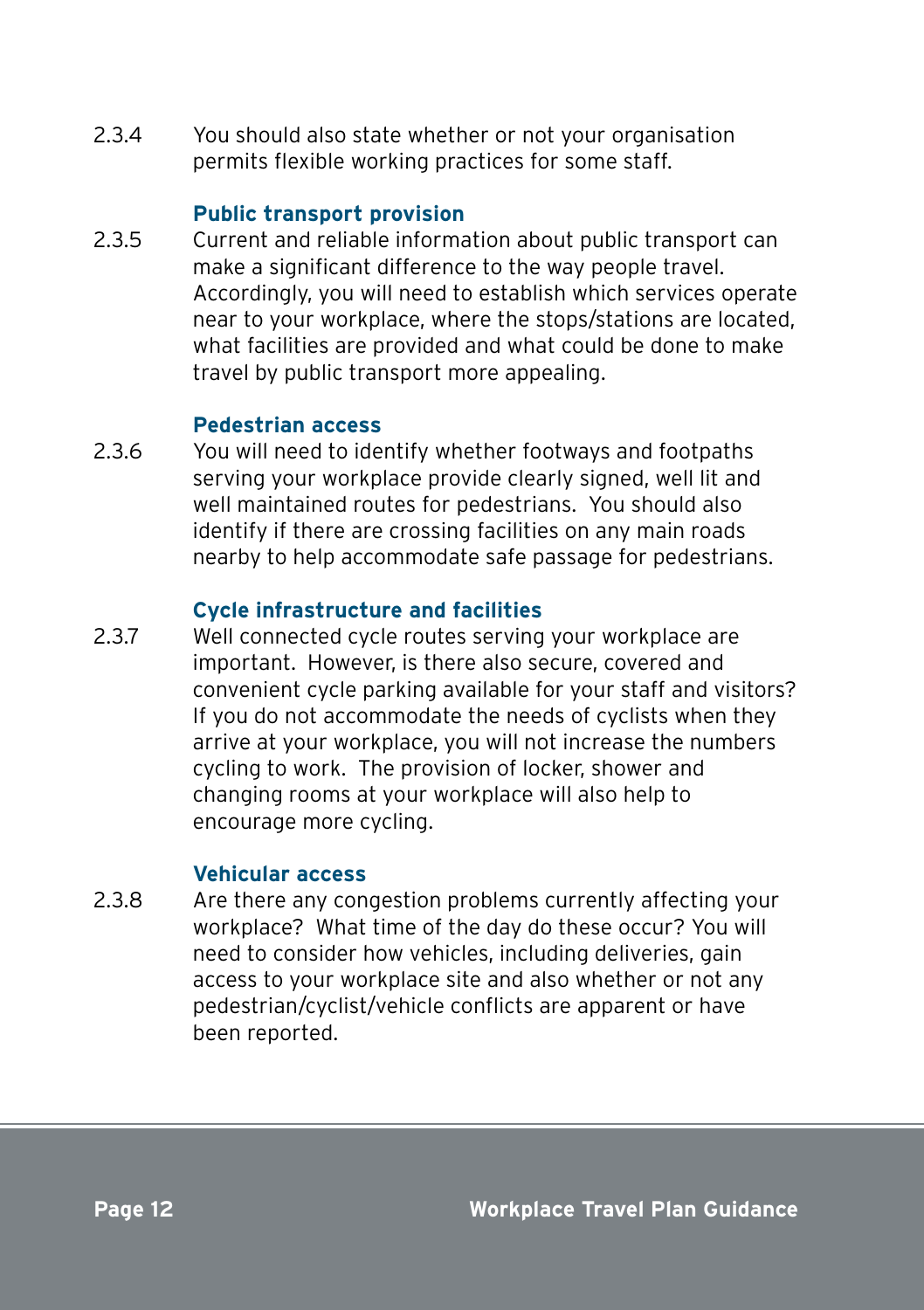2.3.4 You should also state whether or not your organisation permits flexible working practices for some staff.

## **Public transport provision**

2.3.5 Current and reliable information about public transport can make a significant difference to the way people travel. Accordingly, you will need to establish which services operate near to your workplace, where the stops/stations are located, what facilities are provided and what could be done to make travel by public transport more appealing.

## **Pedestrian access**

2.3.6 You will need to identify whether footways and footpaths serving your workplace provide clearly signed, well lit and well maintained routes for pedestrians. You should also identify if there are crossing facilities on any main roads nearby to help accommodate safe passage for pedestrians.

## **Cycle infrastructure and facilities**

2.3.7 Well connected cycle routes serving your workplace are important. However, is there also secure, covered and convenient cycle parking available for your staff and visitors? If you do not accommodate the needs of cyclists when they arrive at your workplace, you will not increase the numbers cycling to work. The provision of locker, shower and changing rooms at your workplace will also help to encourage more cycling.

## **Vehicular access**

2.3.8 Are there any congestion problems currently affecting your workplace? What time of the day do these occur? You will need to consider how vehicles, including deliveries, gain access to your workplace site and also whether or not any pedestrian/cyclist/vehicle conflicts are apparent or have been reported.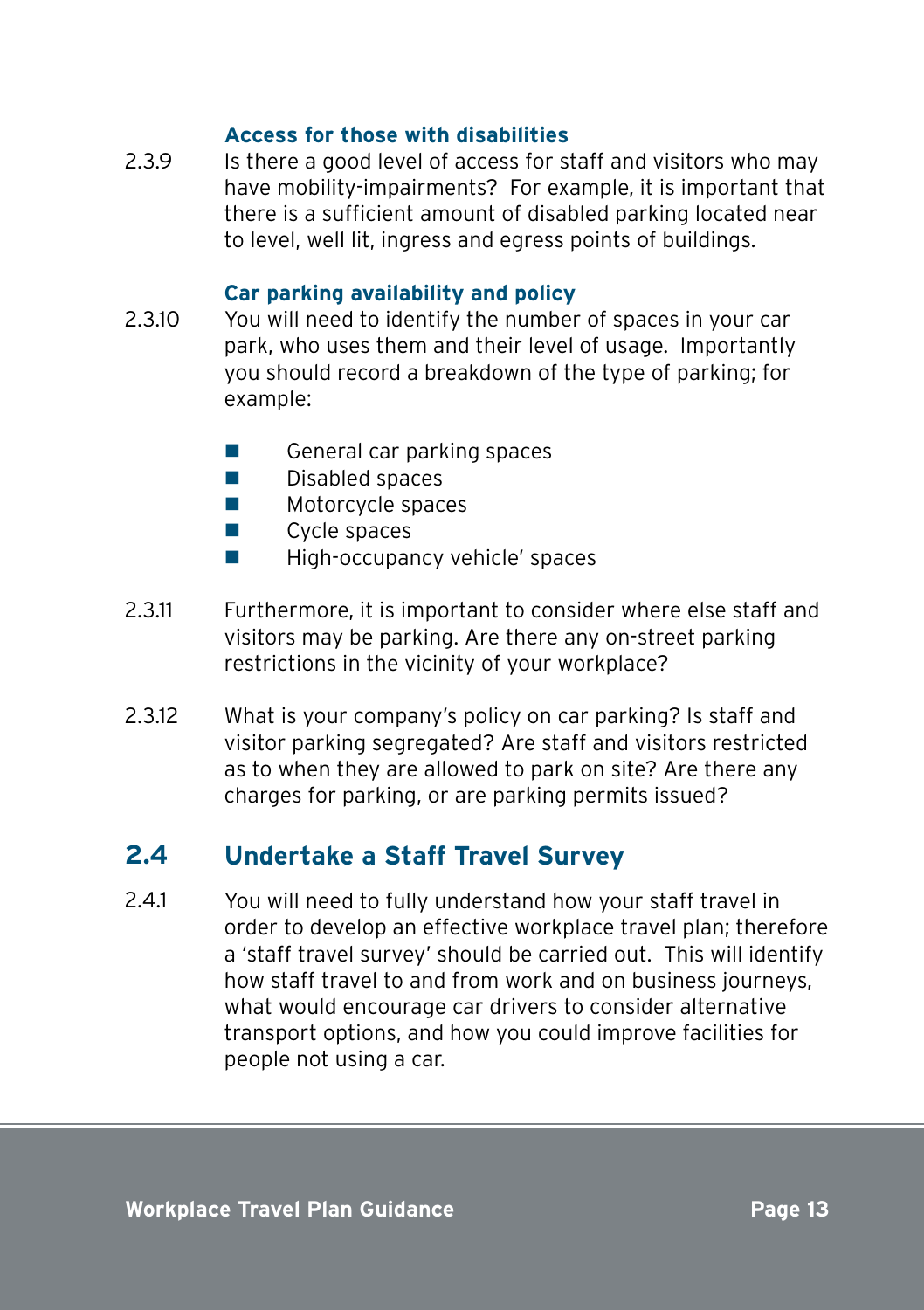## **Access for those with disabilities**

Is there a good level of access for staff and visitors who may have mobility-impairments? For example, it is important that there is a sufficient amount of disabled parking located near to level, well lit, ingress and egress points of buildings. 2.3.9

## **Car parking availability and policy**

- You will need to identify the number of spaces in your car park, who uses them and their level of usage. Importantly you should record a breakdown of the type of parking; for example: 2.3.10
	- General car parking spaces
	- $\Box$  Disabled spaces
	- **Motorcycle spaces**
	- $\blacksquare$  Cycle spaces
	- High-occupancy vehicle' spaces
- Furthermore, it is important to consider where else staff and visitors may be parking. Are there any on-street parking restrictions in the vicinity of your workplace? 2.3.11
- What is your company's policy on car parking? Is staff and visitor parking segregated? Are staff and visitors restricted as to when they are allowed to park on site? Are there any charges for parking, or are parking permits issued? 2.3.12

#### **Undertake a Staff Travel Survey 2.4**

You will need to fully understand how your staff travel in order to develop an effective workplace travel plan; therefore a 'staff travel survey' should be carried out. This will identify how staff travel to and from work and on business journeys, what would encourage car drivers to consider alternative transport options, and how you could improve facilities for people not using a car. 2.4.1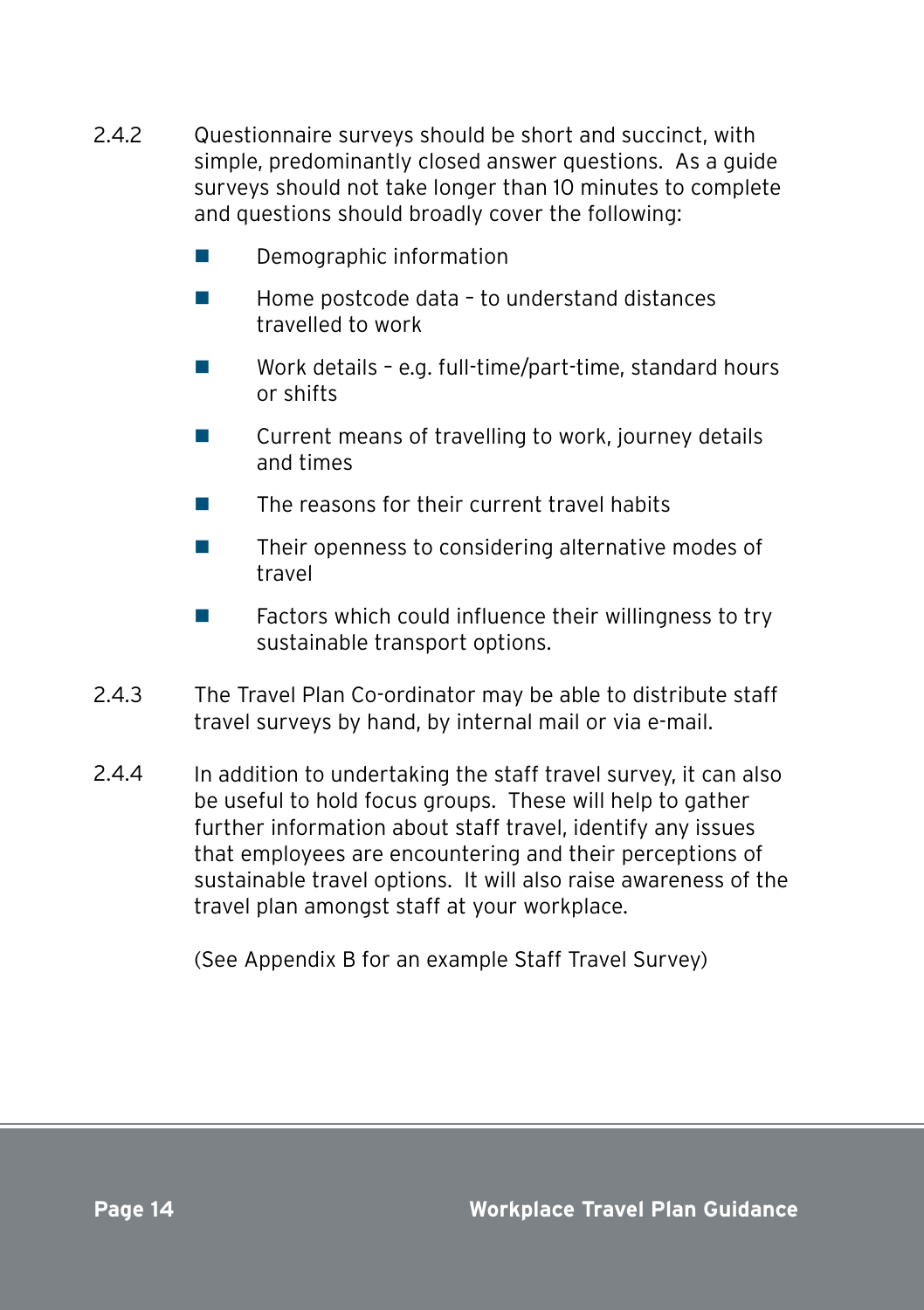- 2.42 Questionnaire surveys should be short and succinct, with simple, predominantly closed answer questions. As a guide surveys should not take longer than 10 minutes to complete and questions should broadly cover the following:
	- Demographic information
	- $\blacksquare$  Home postcode data to understand distances travelled to work
	- Work details e.g. full-time/part-time, standard hours or shifts
	- $\blacksquare$  Current means of travelling to work, journey details and times
	- $\blacksquare$  The reasons for their current travel habits
	- Their openness to considering alternative modes of travel
	- Factors which could influence their willingness to try sustainable transport options.
- 2.4.3 The Travel Plan Co-ordinator may be able to distribute staff travel surveys by hand, by internal mail or via e-mail.
- 2.4.4 In addition to undertaking the staff travel survey, it can also be useful to hold focus groups. These will help to gather further information about staff travel, identify any issues that employees are encountering and their perceptions of sustainable travel options. It will also raise awareness of the travel plan amongst staff at your workplace.

(See Appendix B for an example Staff Travel Survey)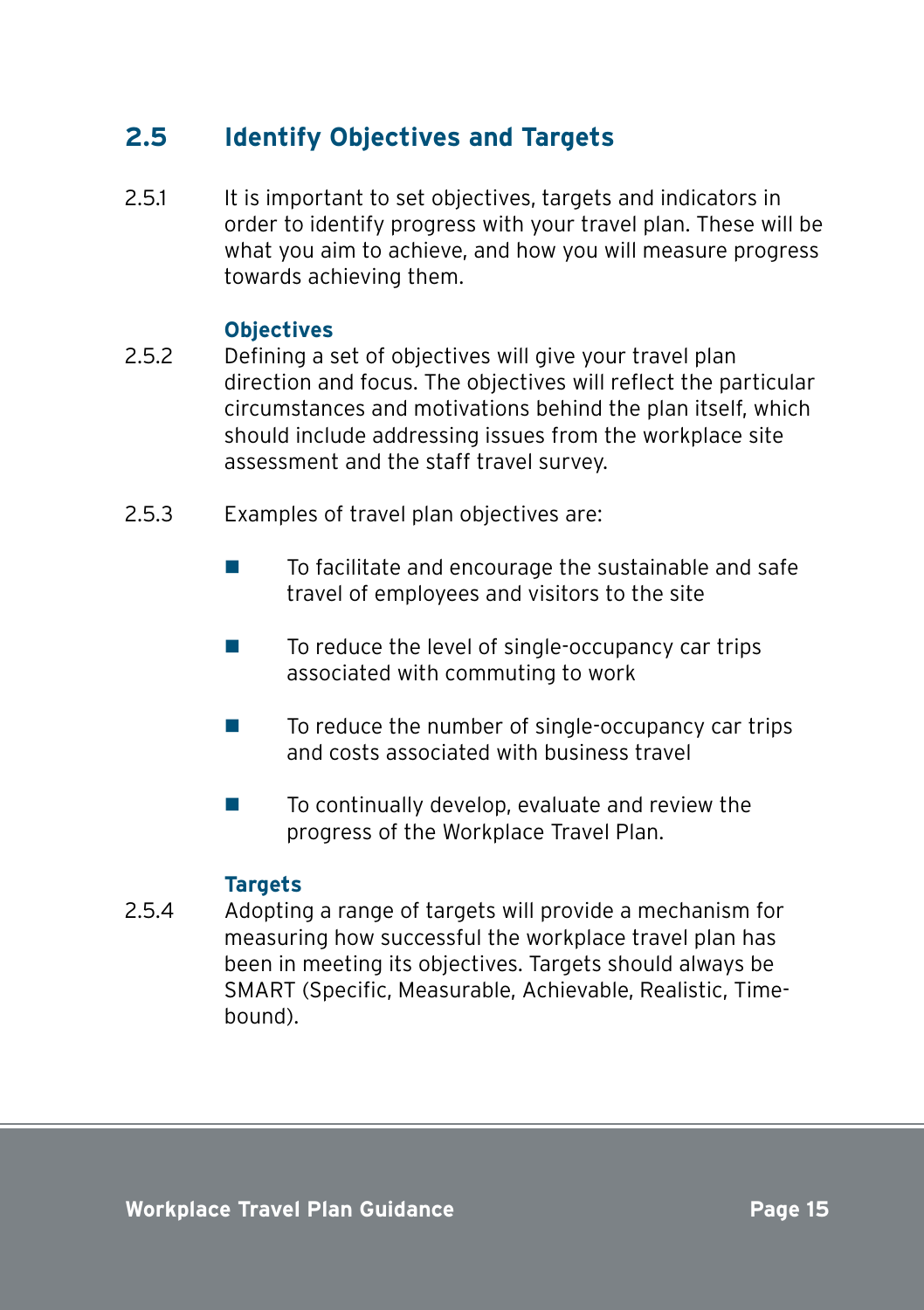### **Identify Objectives and Targets 2.5**

It is important to set objectives, targets and indicators in order to identify progress with your travel plan. These will be what you aim to achieve, and how you will measure progress towards achieving them. 2.5.1

## **Objectives**

- Defining a set of objectives will give your travel plan direction and focus. The objectives will reflect the particular circumstances and motivations behind the plan itself, which should include addressing issues from the workplace site assessment and the staff travel survey. 2.5.2
- Examples of travel plan objectives are: 2.5.3
	- $\blacksquare$  To facilitate and encourage the sustainable and safe travel of employees and visitors to the site
	- $\blacksquare$  To reduce the level of single-occupancy car trips associated with commuting to work
	- $\blacksquare$  To reduce the number of single-occupancy car trips and costs associated with business travel
	- $\blacksquare$  To continually develop, evaluate and review the progress of the Workplace Travel Plan.

## **Targets**

Adopting a range of targets will provide a mechanism for measuring how successful the workplace travel plan has been in meeting its objectives. Targets should always be SMART (Specific, Measurable, Achievable, Realistic, Timebound). 2.5.4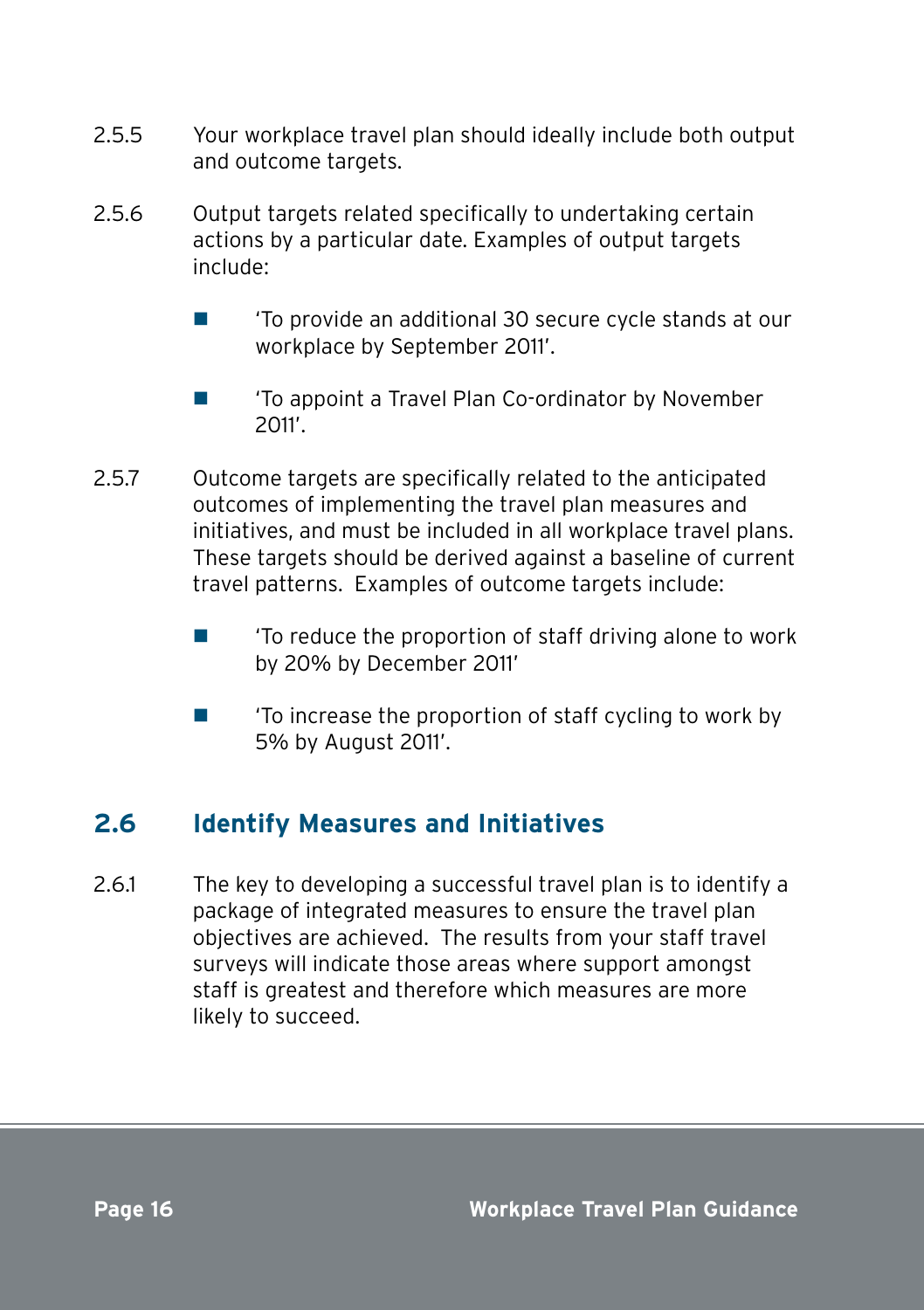- 2.5.5 Your workplace travel plan should ideally include both output and outcome targets.
- 2.5.6 Output targets related specifically to undertaking certain actions by a particular date. Examples of output targets include:
	- 'To provide an additional 30 secure cycle stands at our workplace by September 2011'.
	- To appoint a Travel Plan Co-ordinator by November 2011'.
- 2.5.7 Outcome targets are specifically related to the anticipated outcomes of implementing the travel plan measures and initiatives, and must be included in all workplace travel plans. These targets should be derived against a baseline of current travel patterns. Examples of outcome targets include:
	- To reduce the proportion of staff driving alone to work by 20% by December 2011'
	- $\blacksquare$  'To increase the proportion of staff cycling to work by 5% by August 2011'.

#### **2.6 Identify Measures and Initiatives**

2.6.1 The key to developing a successful travel plan is to identify a package of integrated measures to ensure the travel plan objectives are achieved. The results from your staff travel surveys will indicate those areas where support amongst staff is greatest and therefore which measures are more likely to succeed.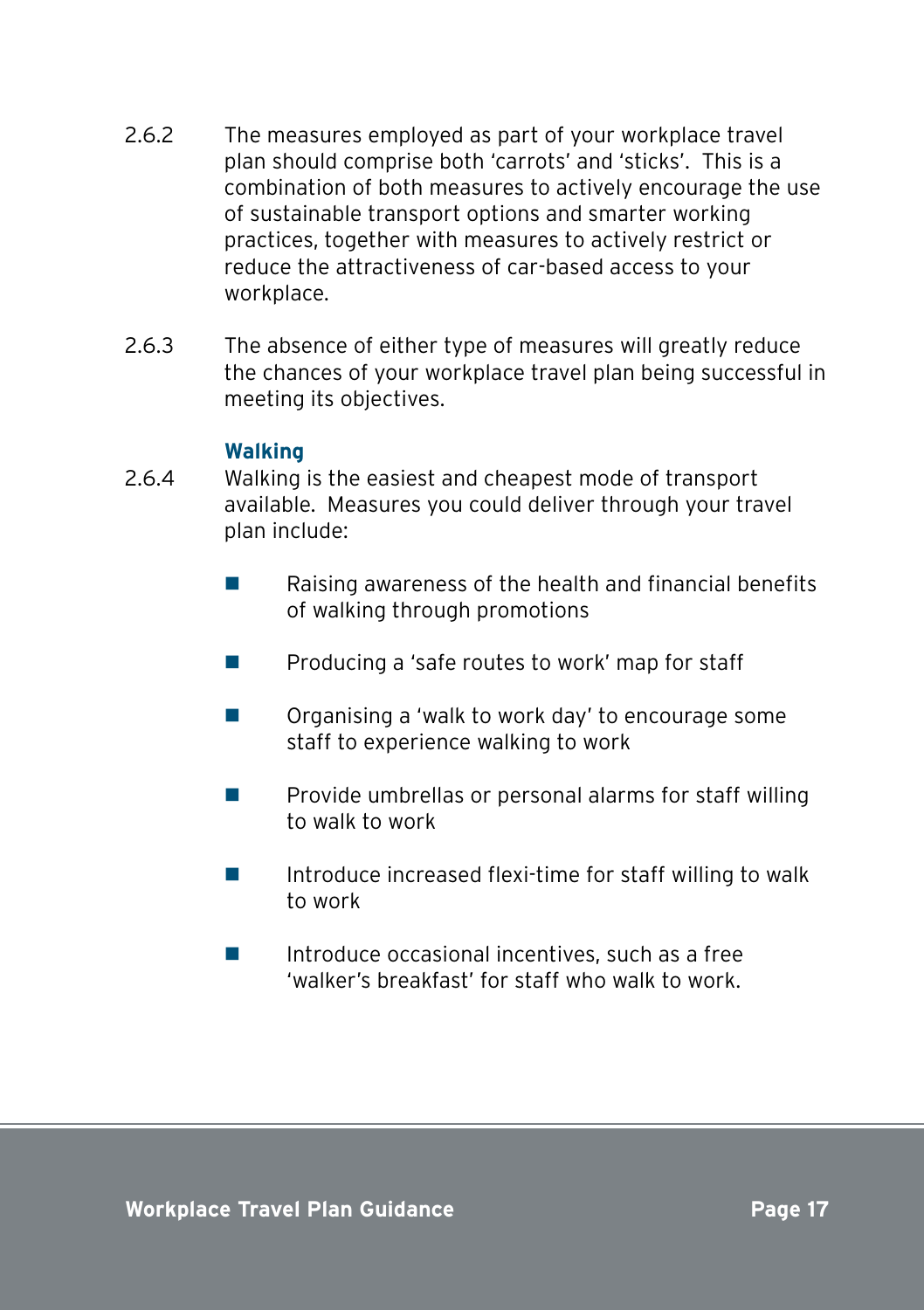- The measures employed as part of your workplace travel plan should comprise both 'carrots' and 'sticks'. This is a combination of both measures to actively encourage the use of sustainable transport options and smarter working practices, together with measures to actively restrict or reduce the attractiveness of car-based access to your workplace. 2.6.2
- The absence of either type of measures will greatly reduce the chances of your workplace travel plan being successful in meeting its objectives. 2.6.3

## **Walking**

- Walking is the easiest and cheapest mode of transport available. Measures you could deliver through your travel plan include: 2.6.4
	- Raising awareness of the health and financial benefits of walking through promotions
	- $\blacksquare$  Producing a 'safe routes to work' map for staff
	- $\blacksquare$  Organising a 'walk to work day' to encourage some staff to experience walking to work
	- $\blacksquare$  Provide umbrellas or personal alarms for staff willing to walk to work
	- $\blacksquare$  Introduce increased flexi-time for staff willing to walk to work
	- $\blacksquare$  Introduce occasional incentives, such as a free 'walker's breakfast' for staff who walk to work.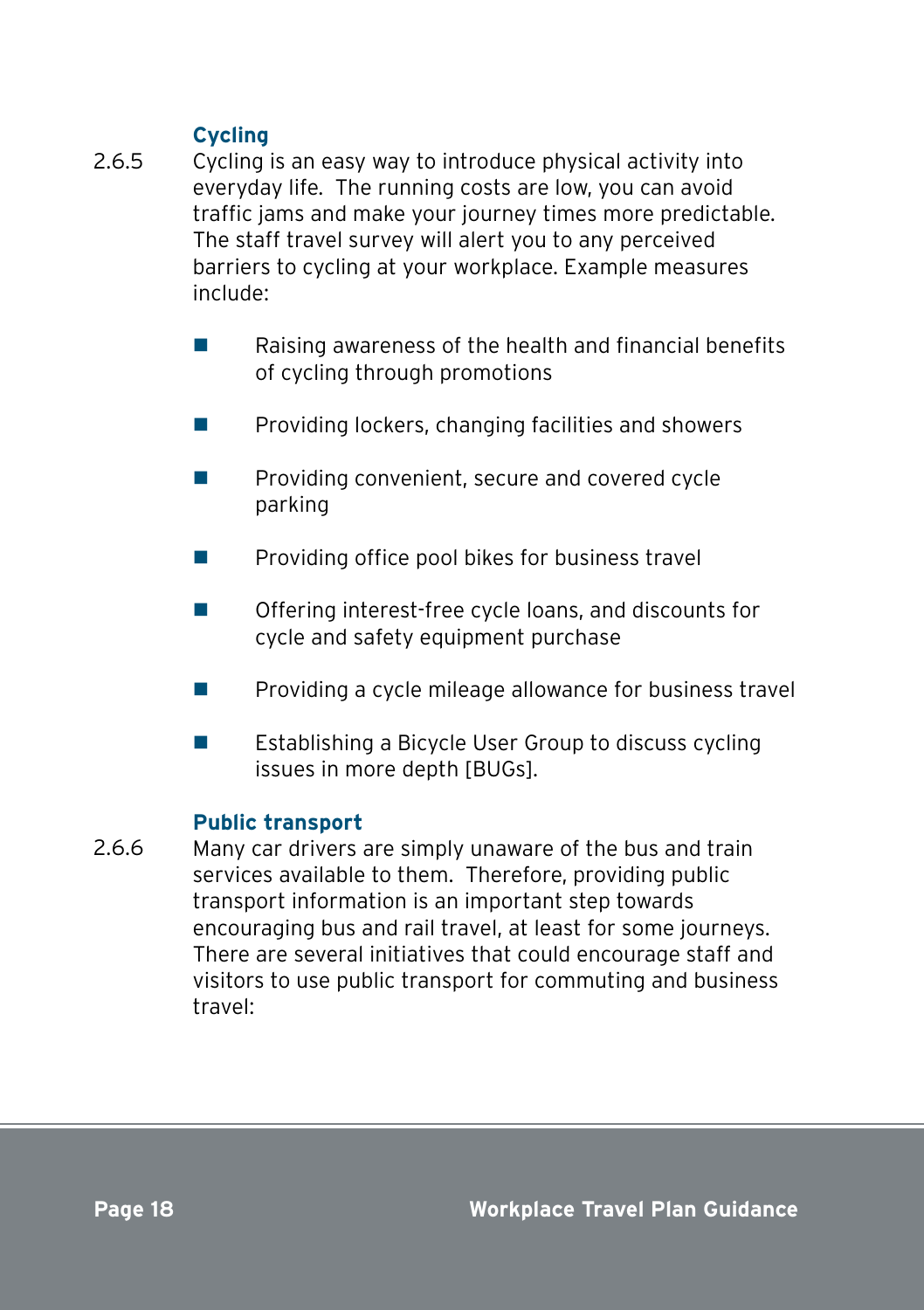## **Cycling**

- 2.6.5 Cycling is an easy way to introduce physical activity into everyday life. The running costs are low, you can avoid traffic jams and make your journey times more predictable. The staff travel survey will alert you to any perceived barriers to cycling at your workplace. Example measures include:
	- $\blacksquare$  Raising awareness of the health and financial benefits of cycling through promotions
	- $\blacksquare$  Providing lockers, changing facilities and showers
	- Providing convenient, secure and covered cycle parking
	- $\blacksquare$  Providing office pool bikes for business travel
	- Offering interest-free cycle loans, and discounts for cycle and safety equipment purchase
	- Providing a cycle mileage allowance for business travel
	- $\blacksquare$  Establishing a Bicycle User Group to discuss cycling issues in more depth [BUGs].

## **Public transport**

2.6.6 Many car drivers are simply unaware of the bus and train services available to them. Therefore, providing public transport information is an important step towards encouraging bus and rail travel, at least for some journeys. There are several initiatives that could encourage staff and visitors to use public transport for commuting and business travel: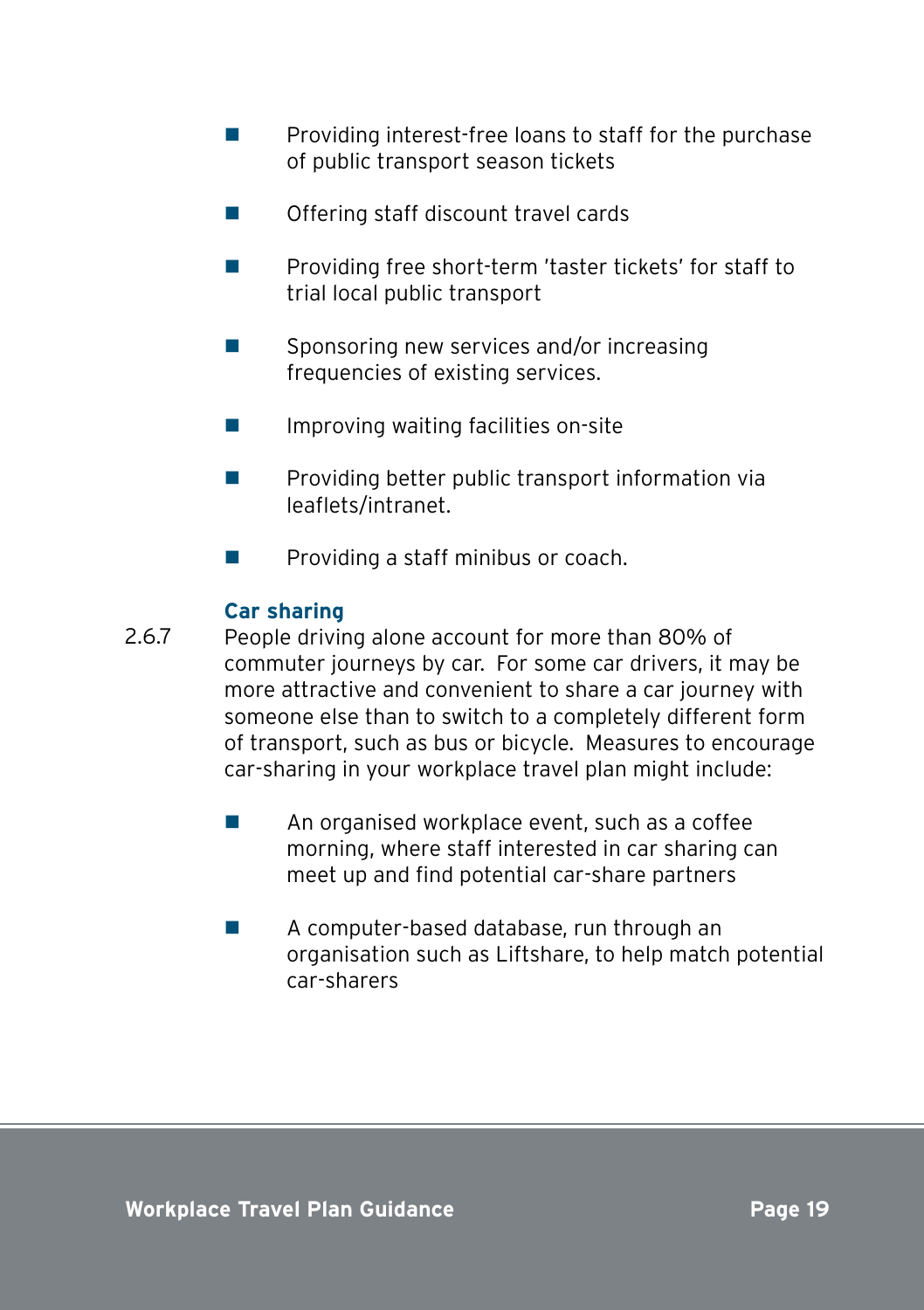- $\blacksquare$  Providing interest-free loans to staff for the purchase of public transport season tickets
- Offering staff discount travel cards
- Providing free short-term 'taster tickets' for staff to trial local public transport
- $\blacksquare$  Sponsoring new services and/or increasing frequencies of existing services.
- $\blacksquare$  Improving waiting facilities on-site
- Providing better public transport information via leaflets/intranet.
- Providing a staff minibus or coach.

## **Car sharing**

- People driving alone account for more than 80% of commuter journeys by car. For some car drivers, it may be more attractive and convenient to share a car journey with someone else than to switch to a completely different form of transport, such as bus or bicycle. Measures to encourage car-sharing in your workplace travel plan might include: 2.6.7
	- $\blacksquare$  An organised workplace event, such as a coffee morning, where staff interested in car sharing can meet up and find potential car-share partners
	- $\blacksquare$  A computer-based database, run through an organisation such as Liftshare, to help match potential car-sharers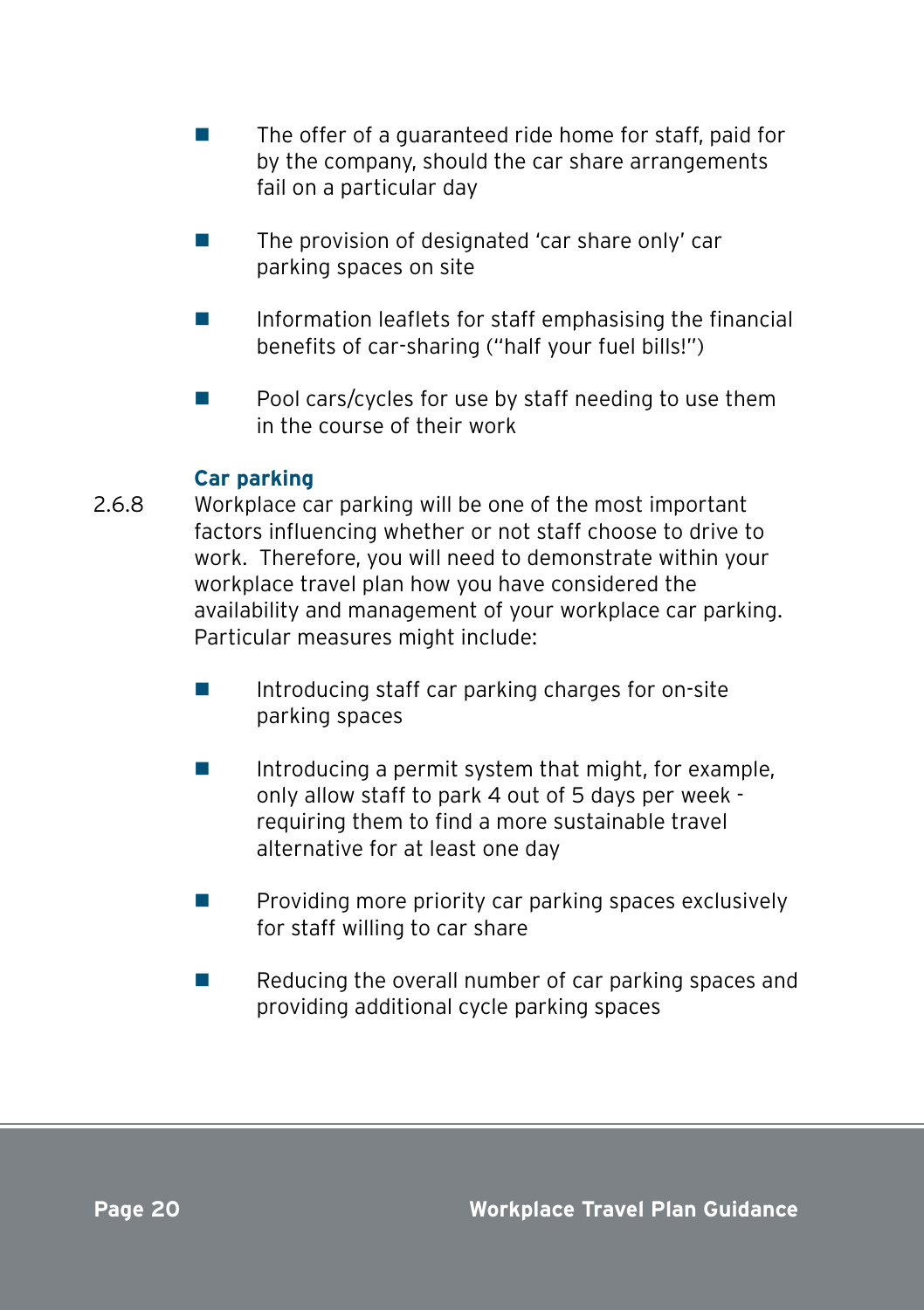- $\blacksquare$  The offer of a guaranteed ride home for staff, paid for by the company, should the car share arrangements fail on a particular day
- $\blacksquare$  The provision of designated 'car share only' car parking spaces on site
- $\blacksquare$  Information leaflets for staff emphasising the financial benefits of car-sharing ("half your fuel bills!")
- $\blacksquare$  Pool cars/cycles for use by staff needing to use them in the course of their work

## **Car parking**

- $26R$ Workplace car parking will be one of the most important factors influencing whether or not staff choose to drive to work. Therefore, you will need to demonstrate within your workplace travel plan how you have considered the availability and management of your workplace car parking. Particular measures might include:
	- Introducing staff car parking charges for on-site parking spaces
	- $\blacksquare$  Introducing a permit system that might, for example, only allow staff to park 4 out of 5 days per week requiring them to find a more sustainable travel alternative for at least one day
	- $\blacksquare$  Providing more priority car parking spaces exclusively for staff willing to car share
	- $\blacksquare$  Reducing the overall number of car parking spaces and providing additional cycle parking spaces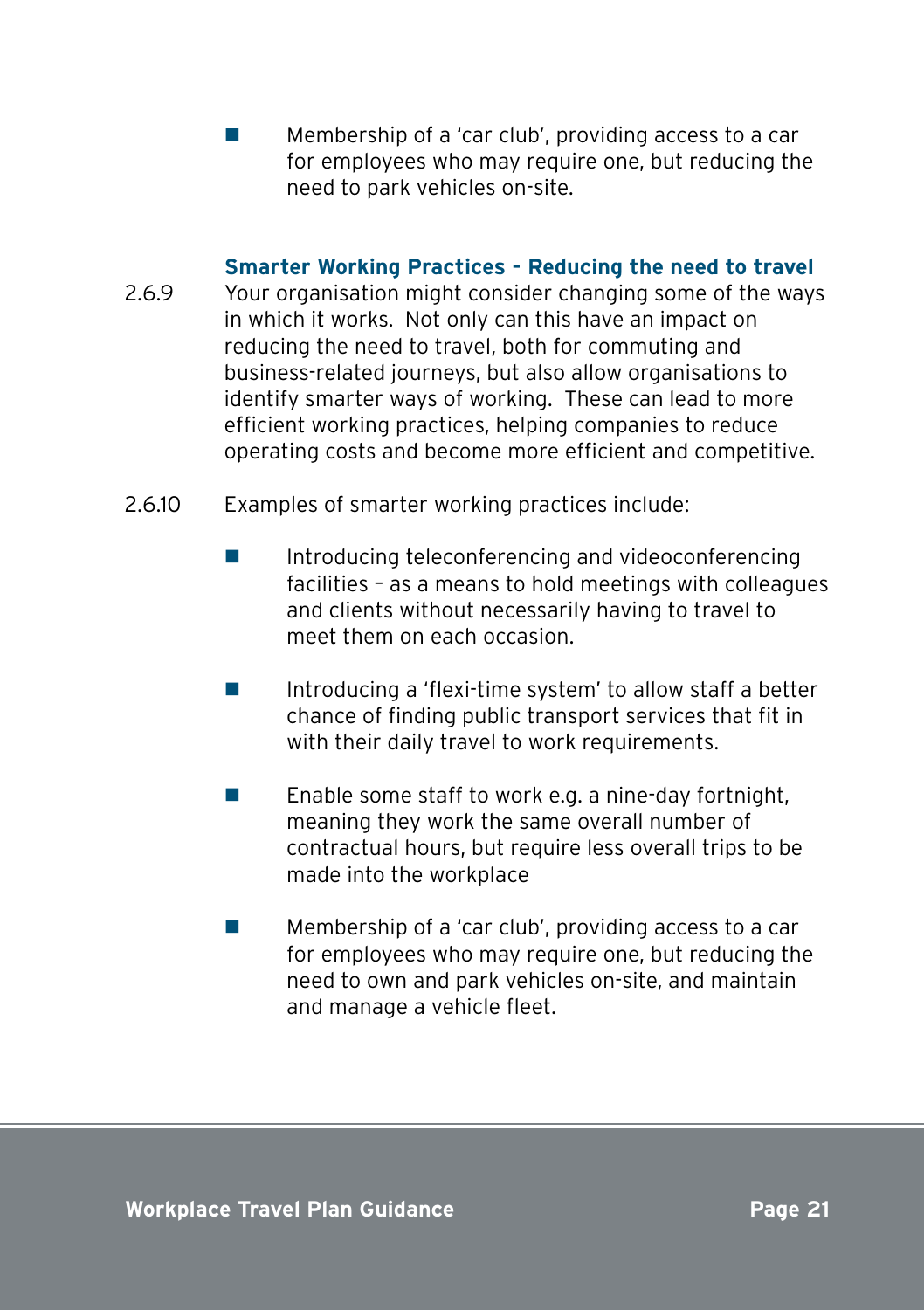Membership of a 'car club', providing access to a car for employees who may require one, but reducing the need to park vehicles on-site.

## **Smarter Working Practices - Reducing the need to travel**

- Your organisation might consider changing some of the ways in which it works. Not only can this have an impact on reducing the need to travel, both for commuting and business-related journeys, but also allow organisations to identify smarter ways of working. These can lead to more efficient working practices, helping companies to reduce operating costs and become more efficient and competitive. 2.6.9
- Examples of smarter working practices include: 2.6.10
	- $\blacksquare$  Introducing teleconferencing and videoconferencing facilities – as a means to hold meetings with colleagues and clients without necessarily having to travel to meet them on each occasion.
	- Introducing a 'flexi-time system' to allow staff a better chance of finding public transport services that fit in with their daily travel to work requirements.
	- $\blacksquare$  Enable some staff to work e.g. a nine-day fortnight, meaning they work the same overall number of contractual hours, but require less overall trips to be made into the workplace
	- $\blacksquare$  Membership of a 'car club', providing access to a car for employees who may require one, but reducing the need to own and park vehicles on-site, and maintain and manage a vehicle fleet.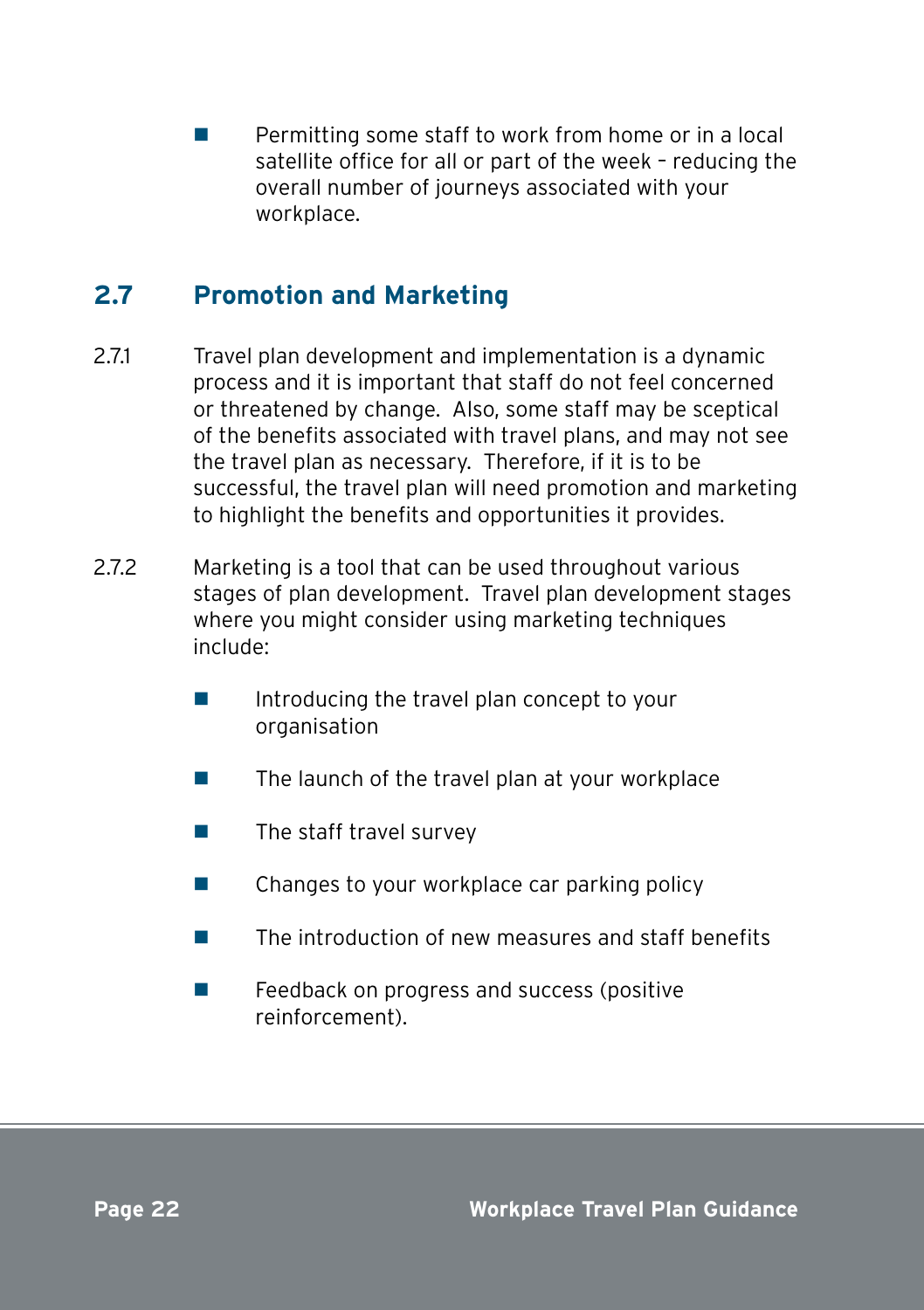Permitting some staff to work from home or in a local satellite office for all or part of the week – reducing the overall number of journeys associated with your workplace.

### **Promotion and Marketing 2.7**

- Travel plan development and implementation is a dynamic process and it is important that staff do not feel concerned or threatened by change. Also, some staff may be sceptical of the benefits associated with travel plans, and may not see the travel plan as necessary. Therefore, if it is to be successful, the travel plan will need promotion and marketing to highlight the benefits and opportunities it provides. 2.7.1
- Marketing is a tool that can be used throughout various stages of plan development. Travel plan development stages where you might consider using marketing techniques include: 272
	- $\blacksquare$  Introducing the travel plan concept to your organisation
	- $\blacksquare$  The launch of the travel plan at your workplace
	- $\blacksquare$  The staff travel survey
	- $\blacksquare$  Changes to your workplace car parking policy
	- $\blacksquare$  The introduction of new measures and staff benefits
	- $\blacksquare$  Feedback on progress and success (positive reinforcement).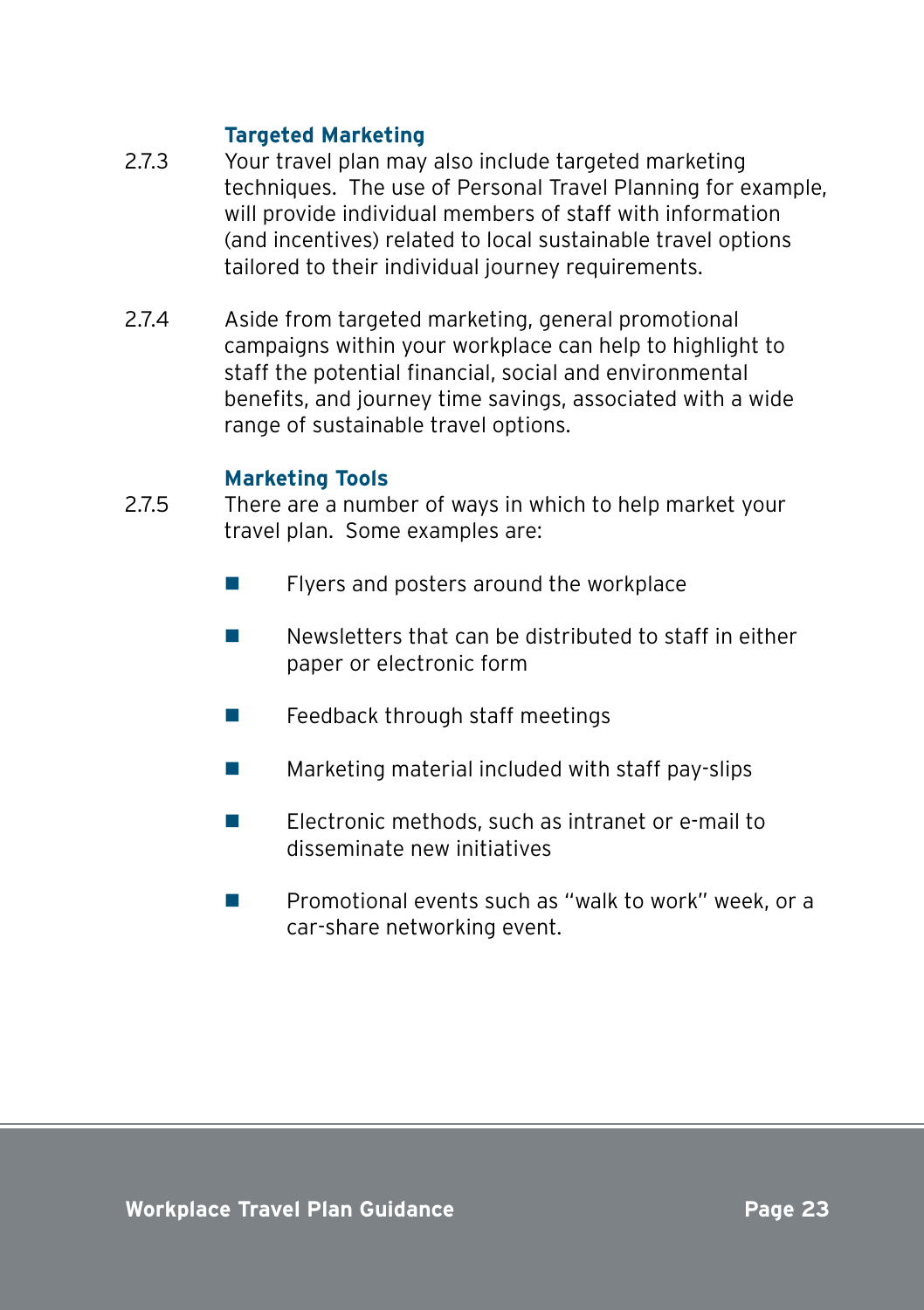## **Targeted Marketing**

- Your travel plan may also include targeted marketing techniques. The use of Personal Travel Planning for example, will provide individual members of staff with information (and incentives) related to local sustainable travel options tailored to their individual journey requirements. 2.7.3
- Aside from targeted marketing, general promotional campaigns within your workplace can help to highlight to staff the potential financial, social and environmental benefits, and journey time savings, associated with a wide range of sustainable travel options. 2.7.4

### **Marketing Tools**

- There are a number of ways in which to help market your travel plan. Some examples are: 2.7.5
	- $\blacksquare$  Fivers and posters around the workplace
	- **Newsletters that can be distributed to staff in either** paper or electronic form
	- $\blacksquare$  Feedback through staff meetings
	- $\blacksquare$  Marketing material included with staff pay-slips
	- $\blacksquare$  Electronic methods, such as intranet or e-mail to disseminate new initiatives
	- $\blacksquare$  Promotional events such as "walk to work" week, or a car-share networking event.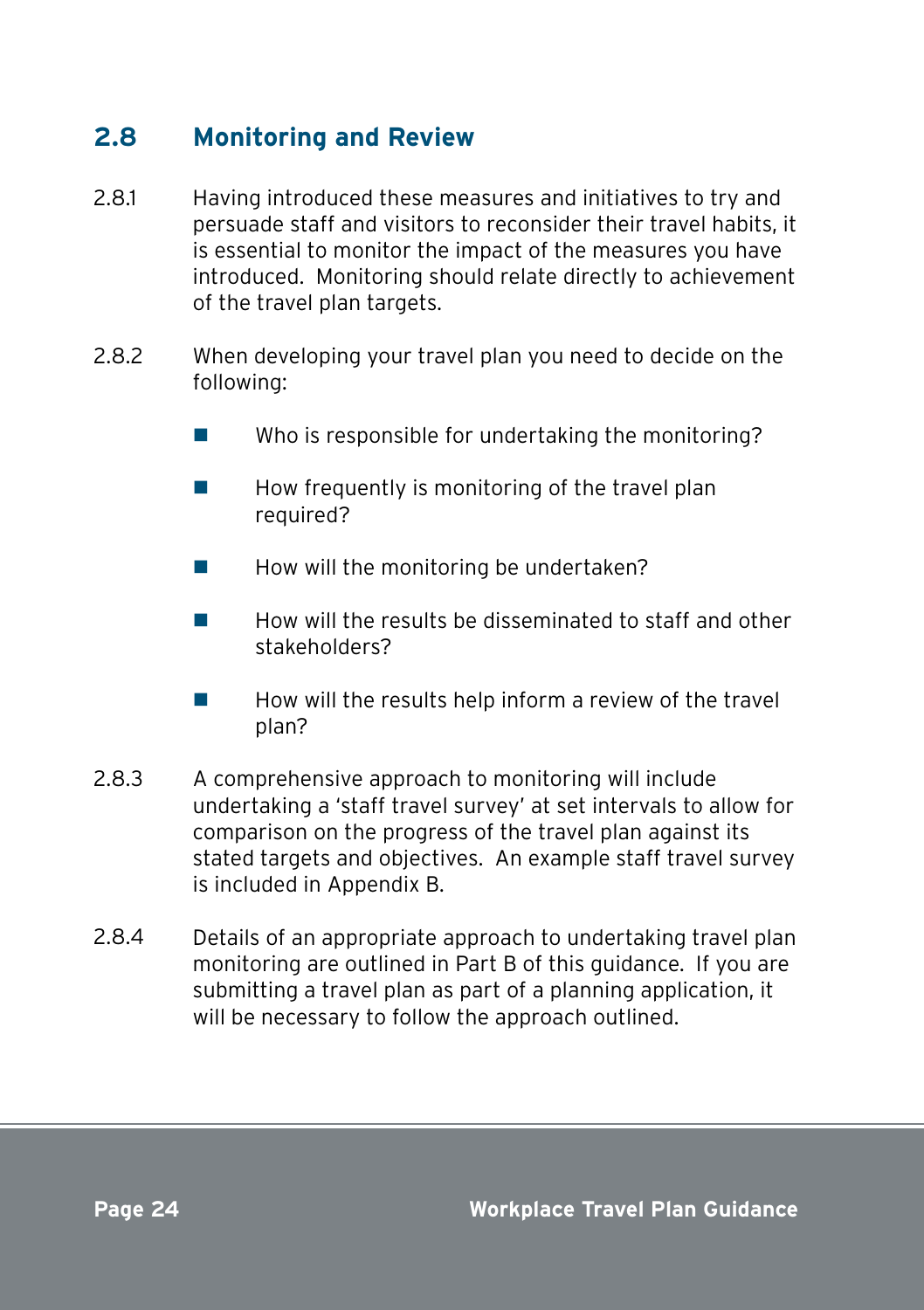### **2.8 Monitoring and Review**

- 2.8.1 Having introduced these measures and initiatives to try and persuade staff and visitors to reconsider their travel habits, it is essential to monitor the impact of the measures you have introduced. Monitoring should relate directly to achievement of the travel plan targets.
- 2.8.2 When developing your travel plan you need to decide on the following:
	- Who is responsible for undertaking the monitoring?
	- $\blacksquare$  How frequently is monitoring of the travel plan required?
	- $\blacksquare$  How will the monitoring be undertaken?
	- $\blacksquare$  How will the results be disseminated to staff and other stakeholders?
	- $\blacksquare$  How will the results help inform a review of the travel plan?
- 2.8.3 A comprehensive approach to monitoring will include undertaking a 'staff travel survey' at set intervals to allow for comparison on the progress of the travel plan against its stated targets and objectives. An example staff travel survey is included in Appendix B.
- 2.8.4 Details of an appropriate approach to undertaking travel plan monitoring are outlined in Part B of this guidance. If you are submitting a travel plan as part of a planning application, it will be necessary to follow the approach outlined.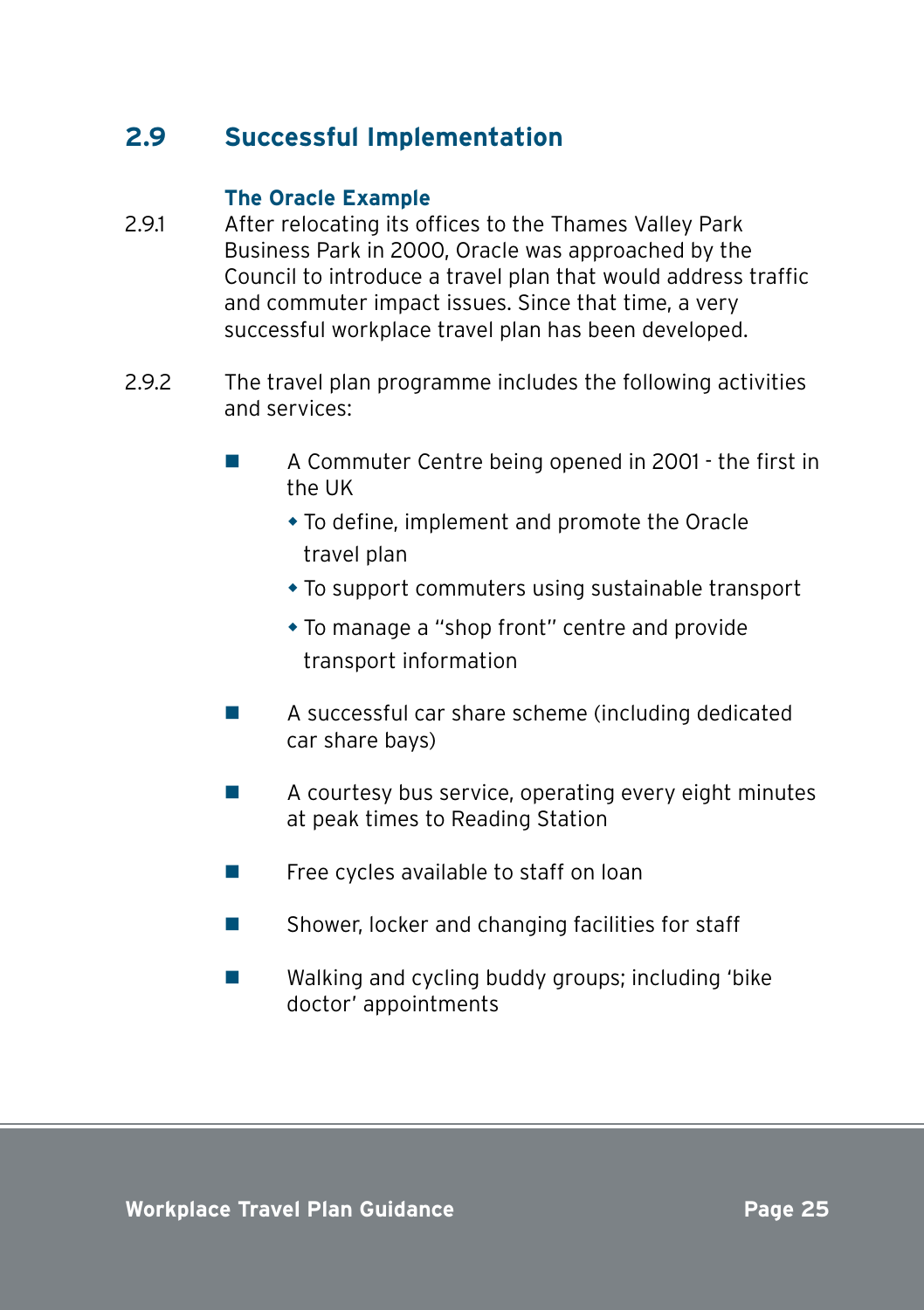### **Successful Implementation 2.9**

## **The Oracle Example**

- After relocating its offices to the Thames Valley Park Business Park in 2000, Oracle was approached by the Council to introduce a travel plan that would address traffic and commuter impact issues. Since that time, a very successful workplace travel plan has been developed. 2.9.1
- The travel plan programme includes the following activities and services: 2.9.2
	- A Commuter Centre being opened in 2001 the first in the UK
		- To define, implement and promote the Oracle travel plan
		- To support commuters using sustainable transport
		- To manage a "shop front" centre and provide transport information
	- $\blacksquare$  A successful car share scheme (including dedicated car share bays)
	- $\blacksquare$  A courtesy bus service, operating every eight minutes at peak times to Reading Station
	- $\blacksquare$  Free cycles available to staff on loan
	- $\blacksquare$  Shower, locker and changing facilities for staff
	- $\blacksquare$  Walking and cycling buddy groups: including 'bike doctor' appointments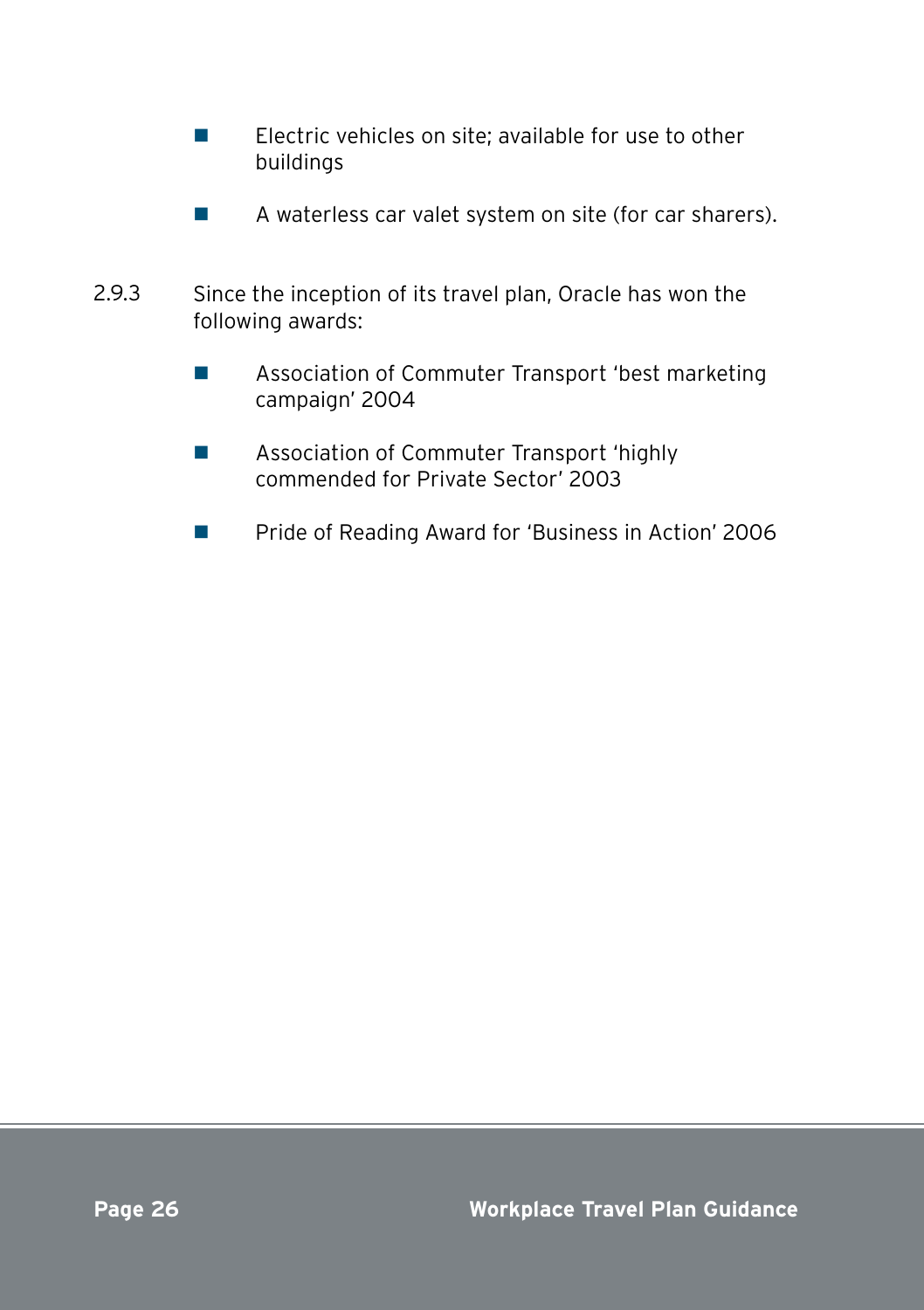- Electric vehicles on site; available for use to other buildings
- A waterless car valet system on site (for car sharers).
- Since the inception of its travel plan, Oracle has won the following awards: 2.9.3
	- **Association of Commuter Transport 'best marketing** campaign' 2004
	- **Association of Commuter Transport 'highly** commended for Private Sector' 2003
	- **Pride of Reading Award for 'Business in Action' 2006**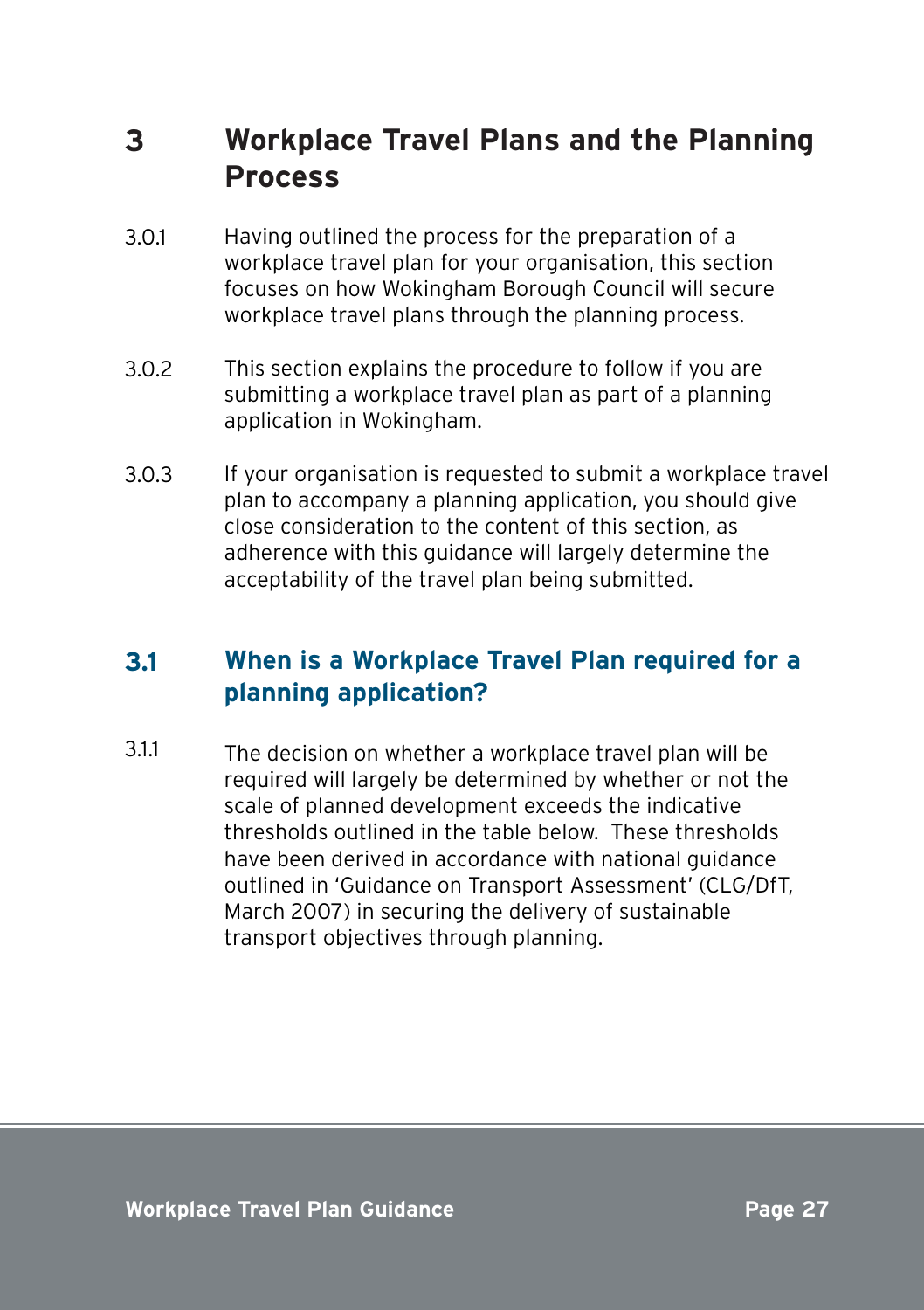## **3 Workplace Travel Plans and the Planning Process**

- $3.01$ Having outlined the process for the preparation of a workplace travel plan for your organisation, this section focuses on how Wokingham Borough Council will secure workplace travel plans through the planning process.
- 3.0.2 This section explains the procedure to follow if you are submitting a workplace travel plan as part of a planning application in Wokingham.
- 3.0.3 If your organisation is requested to submit a workplace travel plan to accompany a planning application, you should give close consideration to the content of this section, as adherence with this guidance will largely determine the acceptability of the travel plan being submitted.

### **3.1 When is a Workplace Travel Plan required for a planning application?**

3.1.1 The decision on whether a workplace travel plan will be required will largely be determined by whether or not the scale of planned development exceeds the indicative thresholds outlined in the table below. These thresholds have been derived in accordance with national guidance outlined in 'Guidance on Transport Assessment' (CLG/DfT, March 2007) in securing the delivery of sustainable transport objectives through planning.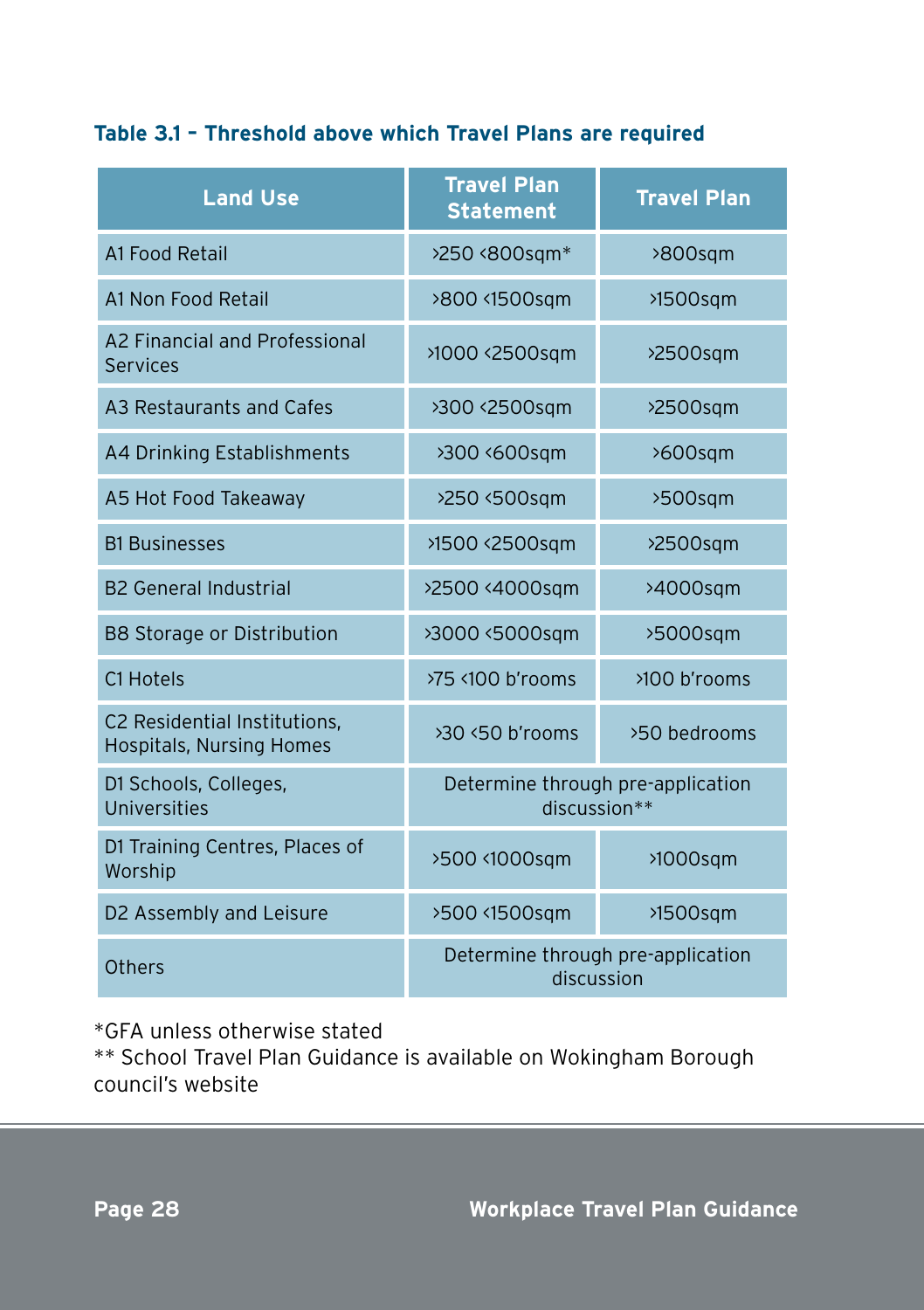## **Table 3.1 – Threshold above which Travel Plans are required**

| <b>Land Use</b>                                                                            | <b>Travel Plan</b><br><b>Statement</b> | <b>Travel Plan</b>                |
|--------------------------------------------------------------------------------------------|----------------------------------------|-----------------------------------|
| A1 Food Retail                                                                             | >250 <800sqm*                          | >800sqm                           |
| A1 Non Food Retail                                                                         | >800 <1500sqm                          | $1500$ sqm                        |
| A2 Financial and Professional<br><b>Services</b>                                           | >1000 <2500sqm                         | $2500$ sqm                        |
| A3 Restaurants and Cafes                                                                   | >300 <2500sqm                          | $2500$ sqm                        |
| A4 Drinking Establishments                                                                 | >300 <600sqm                           | >600sqm                           |
| A5 Hot Food Takeaway                                                                       | >250 <500sqm                           | >500sqm                           |
| <b>B1 Businesses</b>                                                                       | >1500 <2500sqm                         | >2500sqm                          |
| <b>B2 General Industrial</b>                                                               | >2500 <4000sqm                         | >4000sqm                          |
| <b>B8 Storage or Distribution</b>                                                          | >3000 <5000sqm                         | >5000sqm                          |
| C1 Hotels                                                                                  | >75 <100 b'rooms                       | >100 b'rooms                      |
| C2 Residential Institutions.<br><b>Hospitals, Nursing Homes</b>                            | >30 <50 b'rooms                        | >50 bedrooms                      |
| Determine through pre-application<br>D1 Schools, Colleges,<br>discussion**<br>Universities |                                        |                                   |
| D1 Training Centres, Places of<br>Worship                                                  | >500 <1000sqm                          | $>1000$ sqm                       |
| D2 Assembly and Leisure                                                                    | >500 <1500sqm                          | >1500sqm                          |
| Others                                                                                     | discussion                             | Determine through pre-application |

\*GFA unless otherwise stated

\*\* School Travel Plan Guidance is available on Wokingham Borough council's website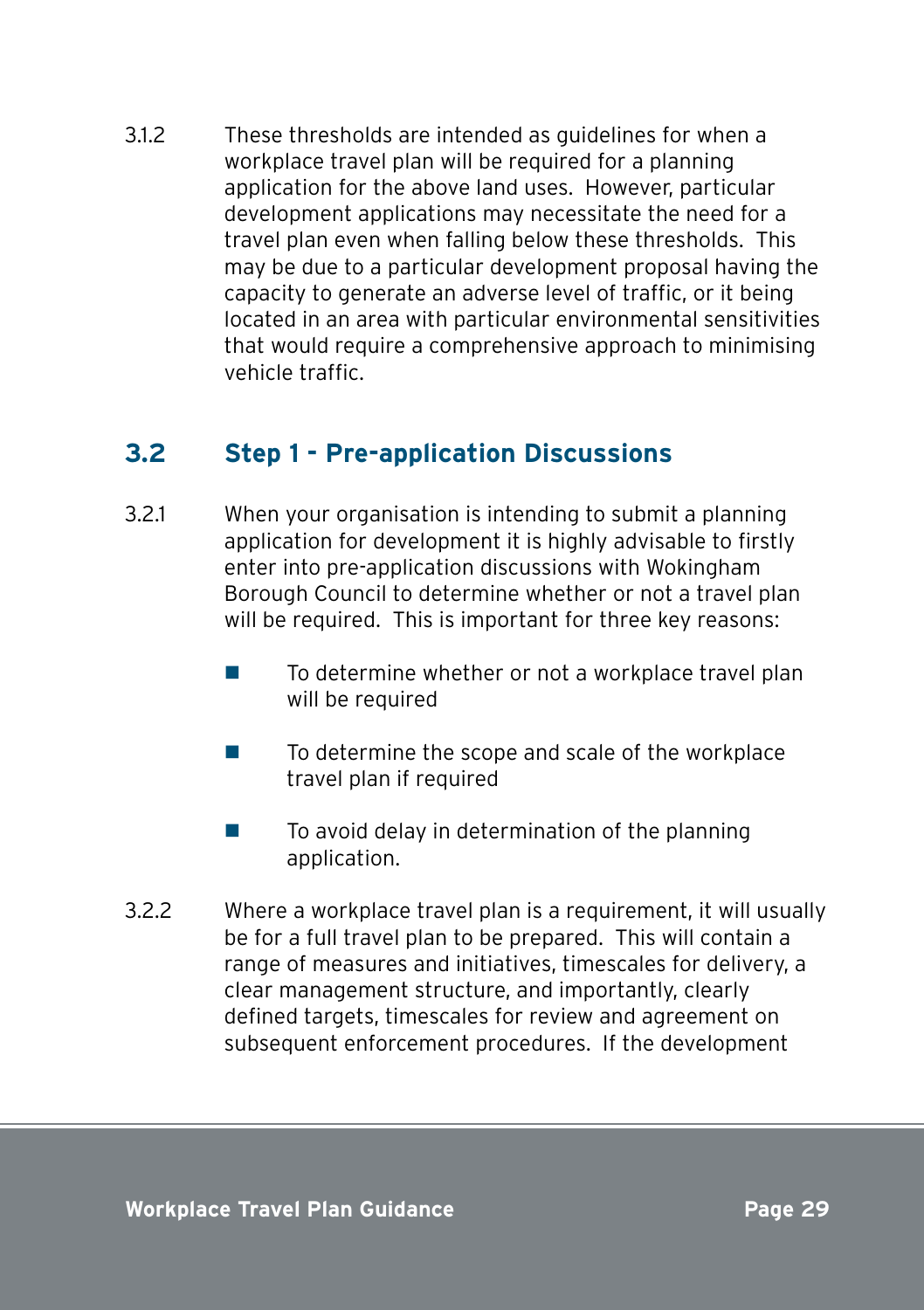312 These thresholds are intended as guidelines for when a workplace travel plan will be required for a planning application for the above land uses. However, particular development applications may necessitate the need for a travel plan even when falling below these thresholds. This may be due to a particular development proposal having the capacity to generate an adverse level of traffic, or it being located in an area with particular environmental sensitivities that would require a comprehensive approach to minimising vehicle traffic.

#### **3.2 Step 1 - Pre-application Discussions**

- 3.2.1 When your organisation is intending to submit a planning application for development it is highly advisable to firstly enter into pre-application discussions with Wokingham Borough Council to determine whether or not a travel plan will be required. This is important for three key reasons:
	- $\blacksquare$  To determine whether or not a workplace travel plan will be required
	- $\blacksquare$  To determine the scope and scale of the workplace travel plan if required
	- $\blacksquare$  To avoid delay in determination of the planning application.
- 3.2.2 Where a workplace travel plan is a requirement, it will usually be for a full travel plan to be prepared. This will contain a range of measures and initiatives, timescales for delivery, a clear management structure, and importantly, clearly defined targets, timescales for review and agreement on subsequent enforcement procedures. If the development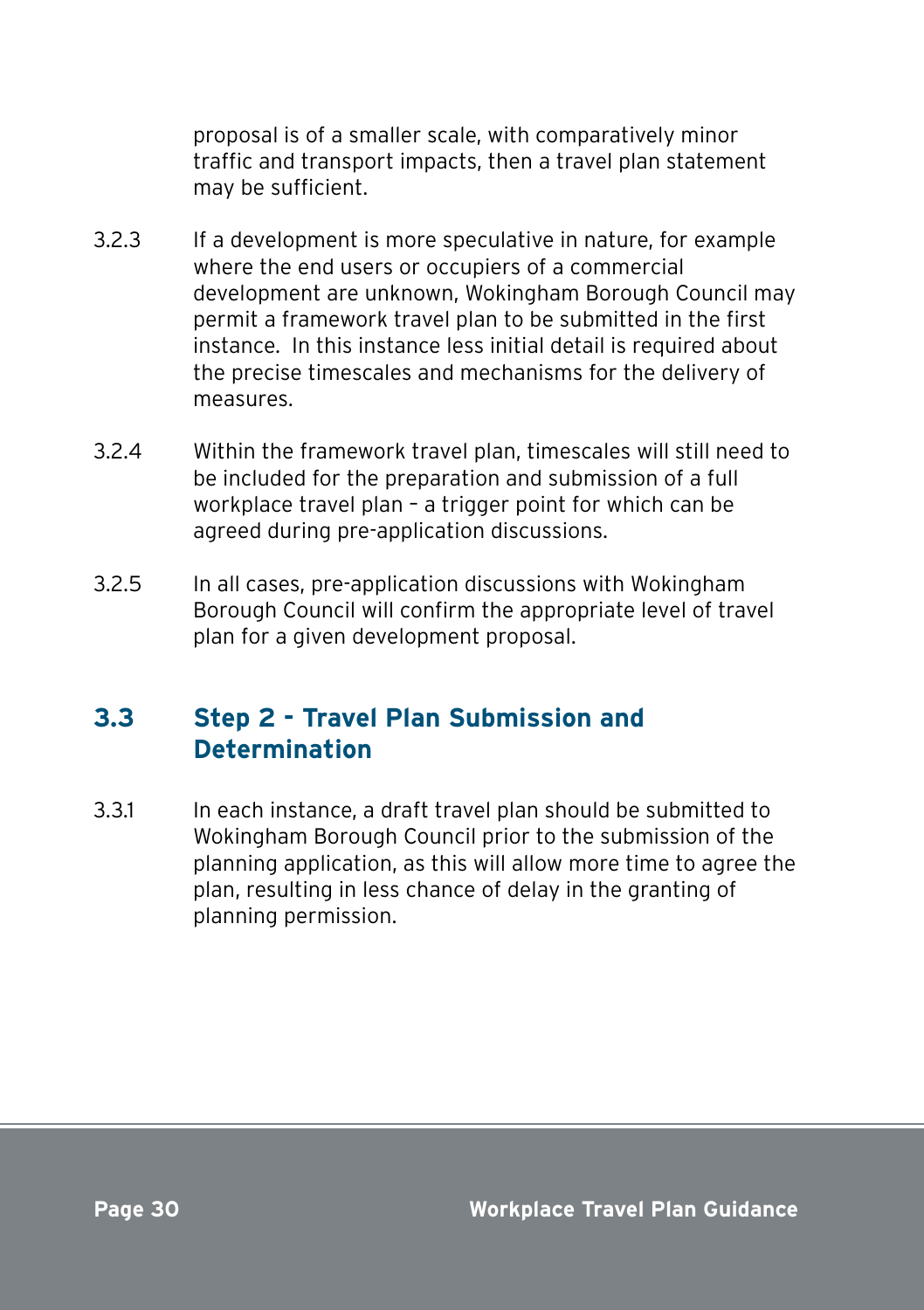proposal is of a smaller scale, with comparatively minor traffic and transport impacts, then a travel plan statement may be sufficient.

- 3.2.3 If a development is more speculative in nature, for example where the end users or occupiers of a commercial development are unknown, Wokingham Borough Council may permit a framework travel plan to be submitted in the first instance. In this instance less initial detail is required about the precise timescales and mechanisms for the delivery of measures.
- 3.2.4 Within the framework travel plan, timescales will still need to be included for the preparation and submission of a full workplace travel plan - a trigger point for which can be agreed during pre-application discussions.
- 3.2.5 In all cases, pre-application discussions with Wokingham Borough Council will confirm the appropriate level of travel plan for a given development proposal.

### **3.3 Step 2 - Travel Plan Submission and Determination**

3.3.1 In each instance, a draft travel plan should be submitted to Wokingham Borough Council prior to the submission of the planning application, as this will allow more time to agree the plan, resulting in less chance of delay in the granting of planning permission.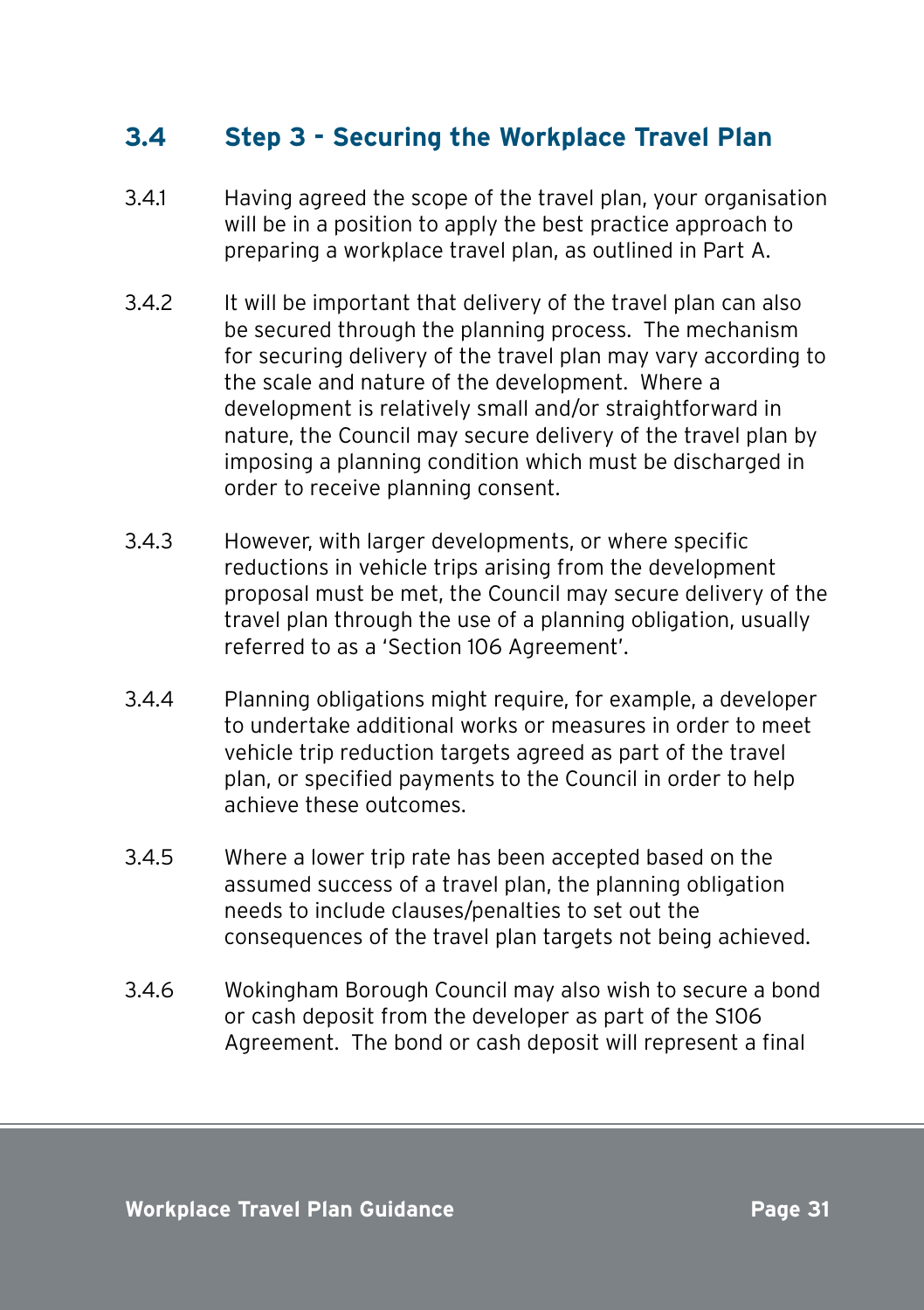### **3.4 Step 3 - Securing the Workplace Travel Plan**

- 3.4.1 Having agreed the scope of the travel plan, your organisation will be in a position to apply the best practice approach to preparing a workplace travel plan, as outlined in Part A.
- $3.4.2$ It will be important that delivery of the travel plan can also be secured through the planning process. The mechanism for securing delivery of the travel plan may vary according to the scale and nature of the development. Where a development is relatively small and/or straightforward in nature, the Council may secure delivery of the travel plan by imposing a planning condition which must be discharged in order to receive planning consent.
- 3.4.3 However, with larger developments, or where specific reductions in vehicle trips arising from the development proposal must be met, the Council may secure delivery of the travel plan through the use of a planning obligation, usually referred to as a 'Section 106 Agreement'.
- 3.4.4 Planning obligations might require, for example, a developer to undertake additional works or measures in order to meet vehicle trip reduction targets agreed as part of the travel plan, or specified payments to the Council in order to help achieve these outcomes.
- 3.4.5 Where a lower trip rate has been accepted based on the assumed success of a travel plan, the planning obligation needs to include clauses/penalties to set out the consequences of the travel plan targets not being achieved.
- 3.4.6 Wokingham Borough Council may also wish to secure a bond or cash deposit from the developer as part of the S106 Agreement. The bond or cash deposit will represent a final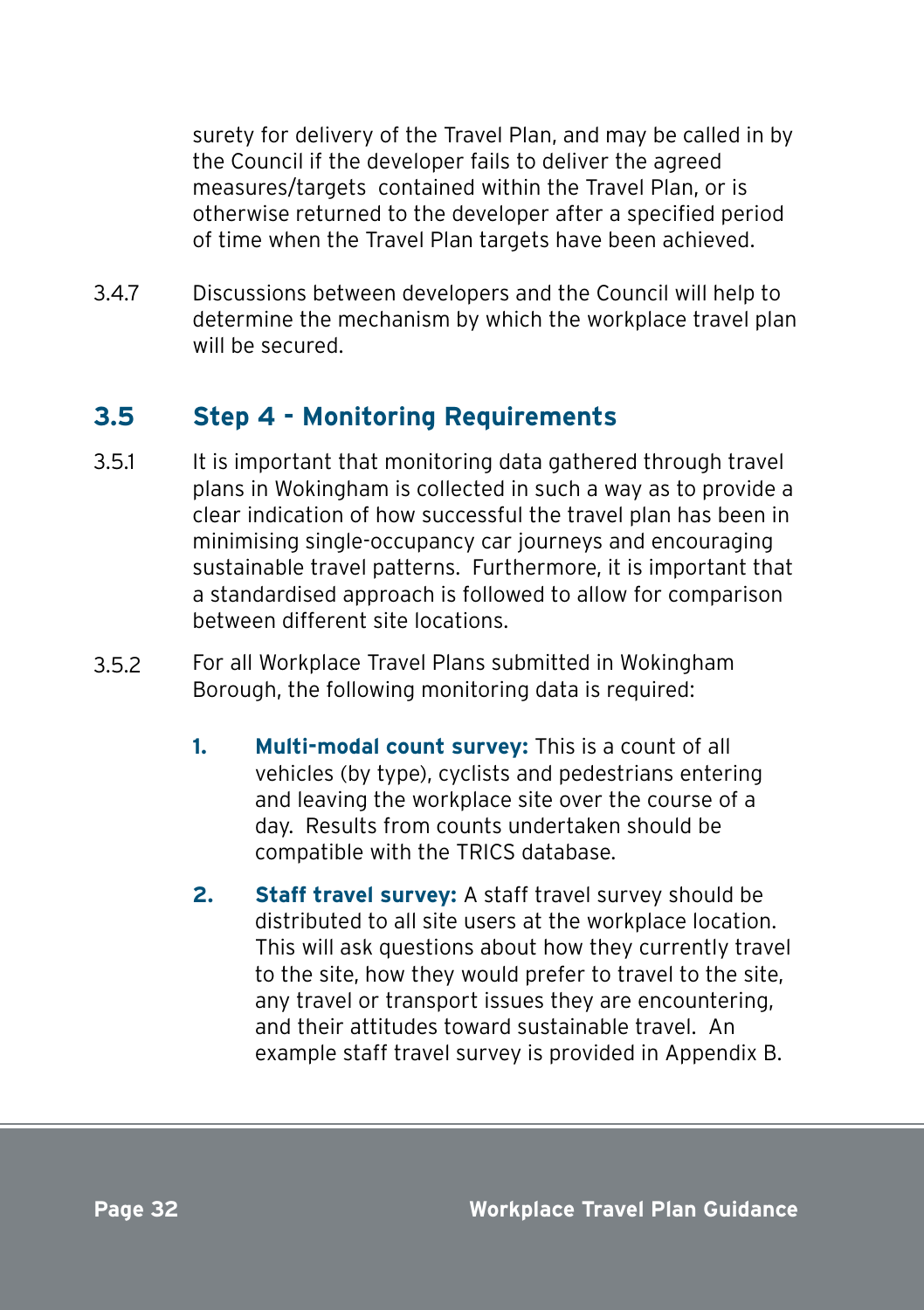surety for delivery of the Travel Plan, and may be called in by the Council if the developer fails to deliver the agreed measures/targets contained within the Travel Plan, or is otherwise returned to the developer after a specified period of time when the Travel Plan targets have been achieved.

3.4.7 Discussions between developers and the Council will help to determine the mechanism by which the workplace travel plan will be secured.

### **3.5 Step 4 - Monitoring Requirements**

- 3.5.1 It is important that monitoring data gathered through travel plans in Wokingham is collected in such a way as to provide a clear indication of how successful the travel plan has been in minimising single-occupancy car journeys and encouraging sustainable travel patterns. Furthermore, it is important that a standardised approach is followed to allow for comparison between different site locations.
- 3.5.2 For all Workplace Travel Plans submitted in Wokingham Borough, the following monitoring data is required:
	- **1. Multi-modal count survey:** This is a count of all vehicles (by type), cyclists and pedestrians entering and leaving the workplace site over the course of a day. Results from counts undertaken should be compatible with the TRICS database.
	- **2. Staff travel survey:** A staff travel survey should be distributed to all site users at the workplace location. This will ask questions about how they currently travel to the site, how they would prefer to travel to the site, any travel or transport issues they are encountering, and their attitudes toward sustainable travel. An example staff travel survey is provided in Appendix B.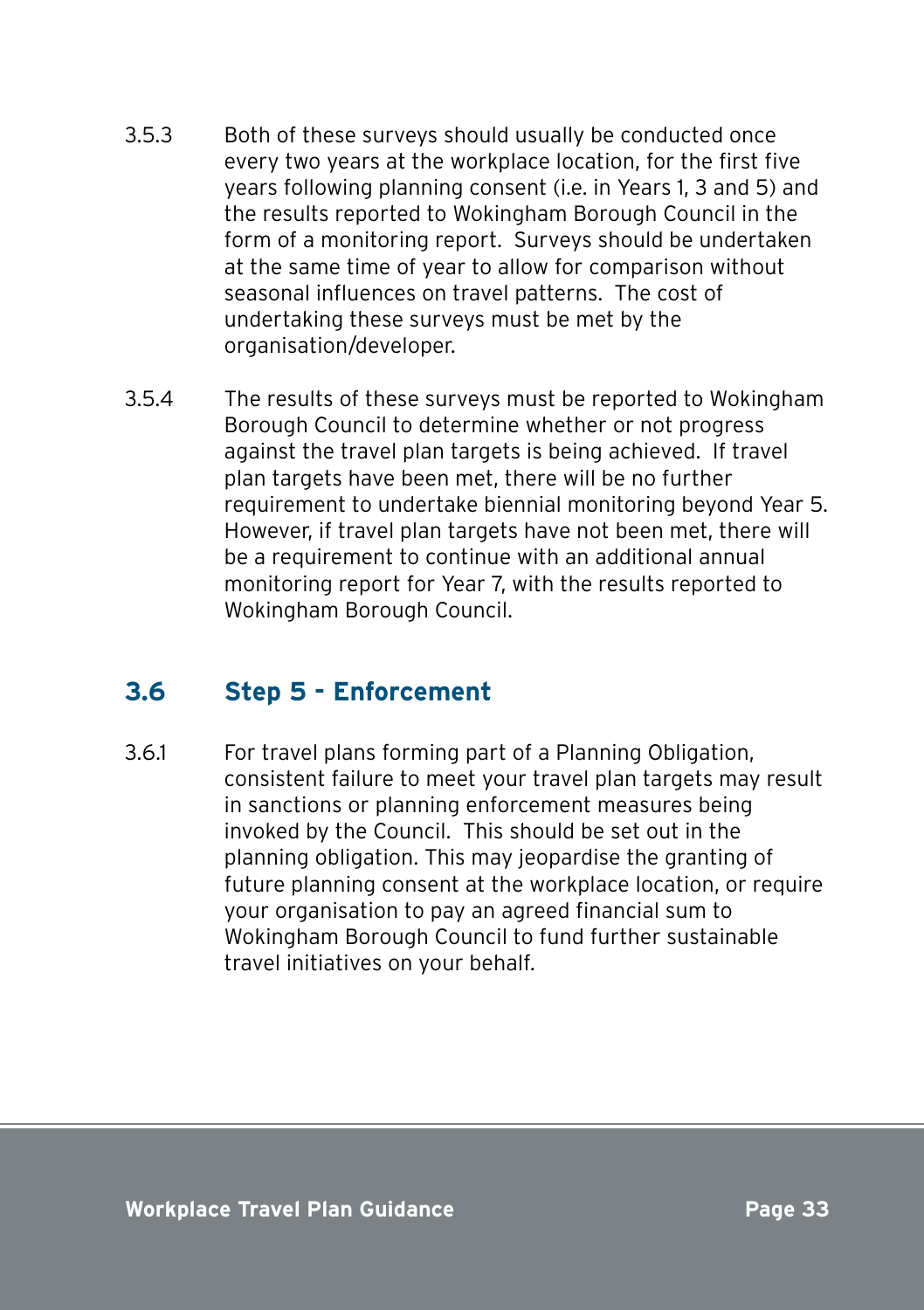- 3.5.3 Both of these surveys should usually be conducted once every two years at the workplace location, for the first five years following planning consent (i.e. in Years 1, 3 and 5) and the results reported to Wokingham Borough Council in the form of a monitoring report. Surveys should be undertaken at the same time of year to allow for comparison without seasonal influences on travel patterns. The cost of undertaking these surveys must be met by the organisation/developer.
- 3.5.4 The results of these surveys must be reported to Wokingham Borough Council to determine whether or not progress against the travel plan targets is being achieved. If travel plan targets have been met, there will be no further requirement to undertake biennial monitoring beyond Year 5. However, if travel plan targets have not been met, there will be a requirement to continue with an additional annual monitoring report for Year 7, with the results reported to Wokingham Borough Council.

#### **3.6 Step 5 - Enforcement**

3.6.1 For travel plans forming part of a Planning Obligation, consistent failure to meet your travel plan targets may result in sanctions or planning enforcement measures being invoked by the Council. This should be set out in the planning obligation. This may jeopardise the granting of future planning consent at the workplace location, or require your organisation to pay an agreed financial sum to Wokingham Borough Council to fund further sustainable travel initiatives on your behalf.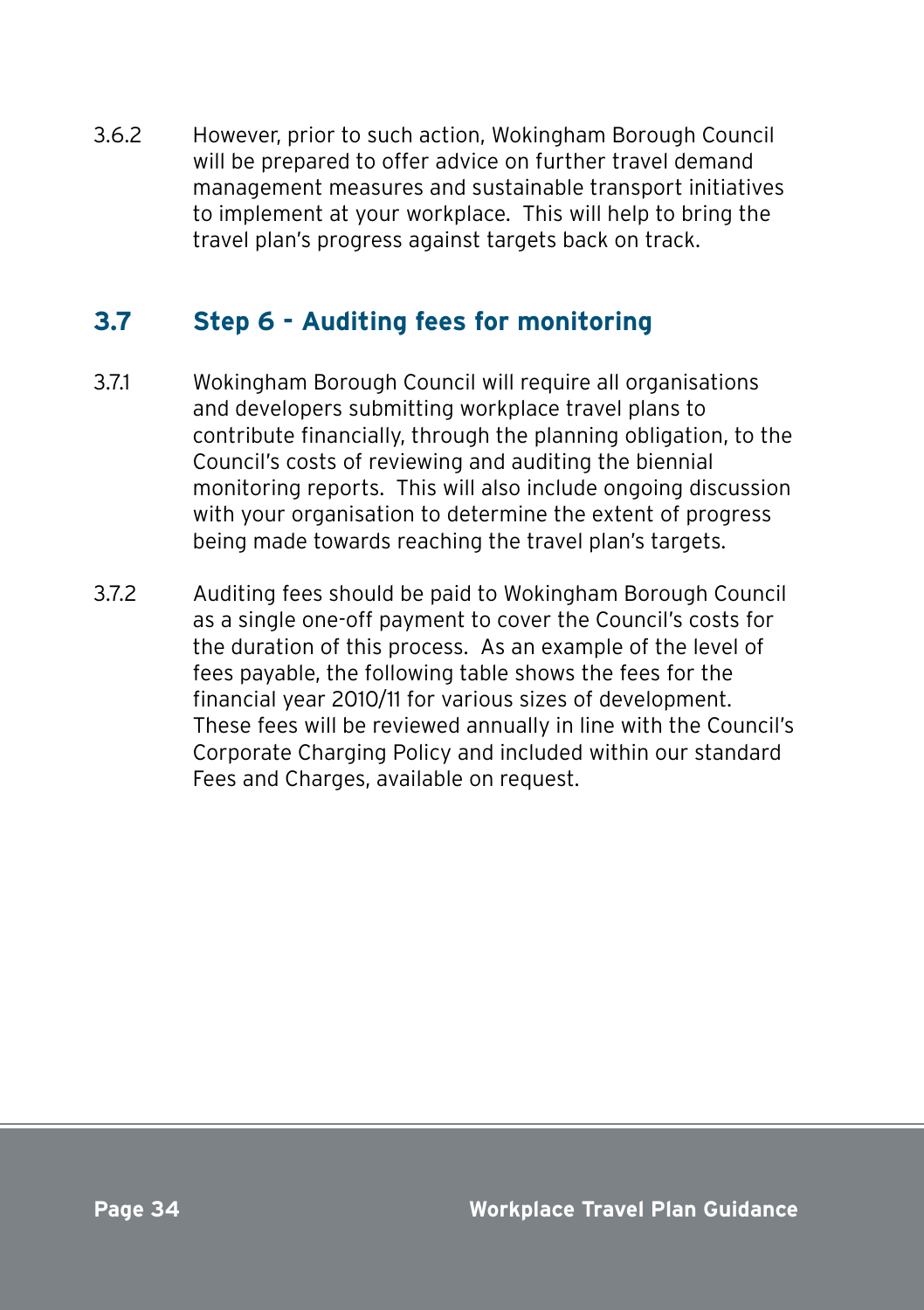3.6.2 However, prior to such action, Wokingham Borough Council will be prepared to offer advice on further travel demand management measures and sustainable transport initiatives to implement at your workplace. This will help to bring the travel plan's progress against targets back on track.

### **3.7 Step 6 - Auditing fees for monitoring**

- 3.7.1 Wokingham Borough Council will require all organisations and developers submitting workplace travel plans to contribute financially, through the planning obligation, to the Council's costs of reviewing and auditing the biennial monitoring reports. This will also include ongoing discussion with your organisation to determine the extent of progress being made towards reaching the travel plan's targets.
- 372 Auditing fees should be paid to Wokingham Borough Council as a single one-off payment to cover the Council's costs for the duration of this process. As an example of the level of fees payable, the following table shows the fees for the financial year 2010/11 for various sizes of development. These fees will be reviewed annually in line with the Council's Corporate Charging Policy and included within our standard Fees and Charges, available on request.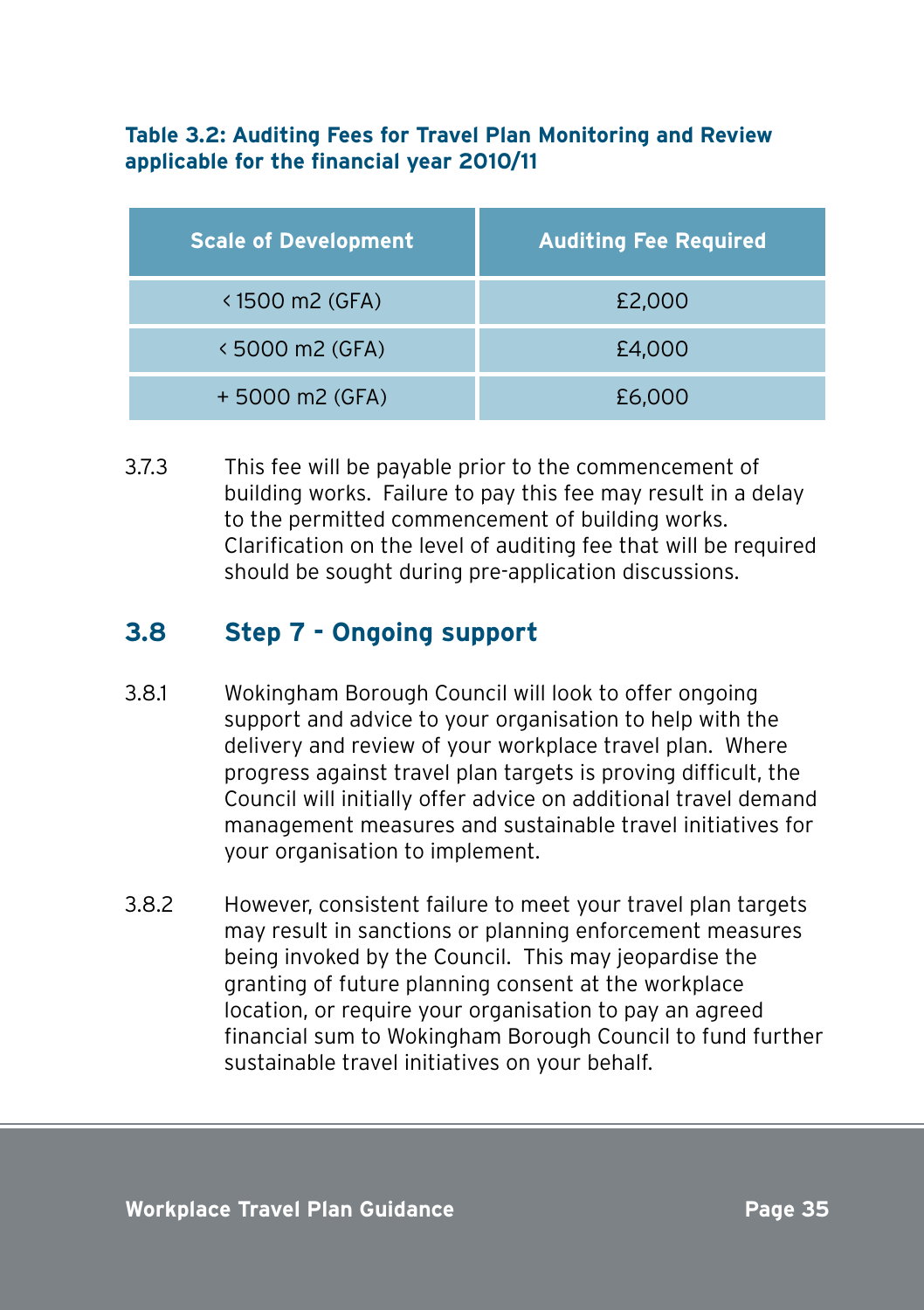## **Table 3.2: Auditing Fees for Travel Plan Monitoring and Review applicable for the financial year 2010/11**

| <b>Scale of Development</b> | <b>Auditing Fee Required</b> |
|-----------------------------|------------------------------|
| < 1500 m2 (GFA)             | £2,000                       |
| < 5000 m2 (GFA)             | £4,000                       |
| + 5000 m2 (GFA)             | £6,000                       |

3.7.3 This fee will be payable prior to the commencement of building works. Failure to pay this fee may result in a delay to the permitted commencement of building works. Clarification on the level of auditing fee that will be required should be sought during pre-application discussions.

#### **3.8 Step 7 - Ongoing support**

- 3.8.1 Wokingham Borough Council will look to offer ongoing support and advice to your organisation to help with the delivery and review of your workplace travel plan. Where progress against travel plan targets is proving difficult, the Council will initially offer advice on additional travel demand management measures and sustainable travel initiatives for your organisation to implement.
- 3.8.2 However, consistent failure to meet your travel plan targets may result in sanctions or planning enforcement measures being invoked by the Council. This may jeopardise the granting of future planning consent at the workplace location, or require your organisation to pay an agreed financial sum to Wokingham Borough Council to fund further sustainable travel initiatives on your behalf.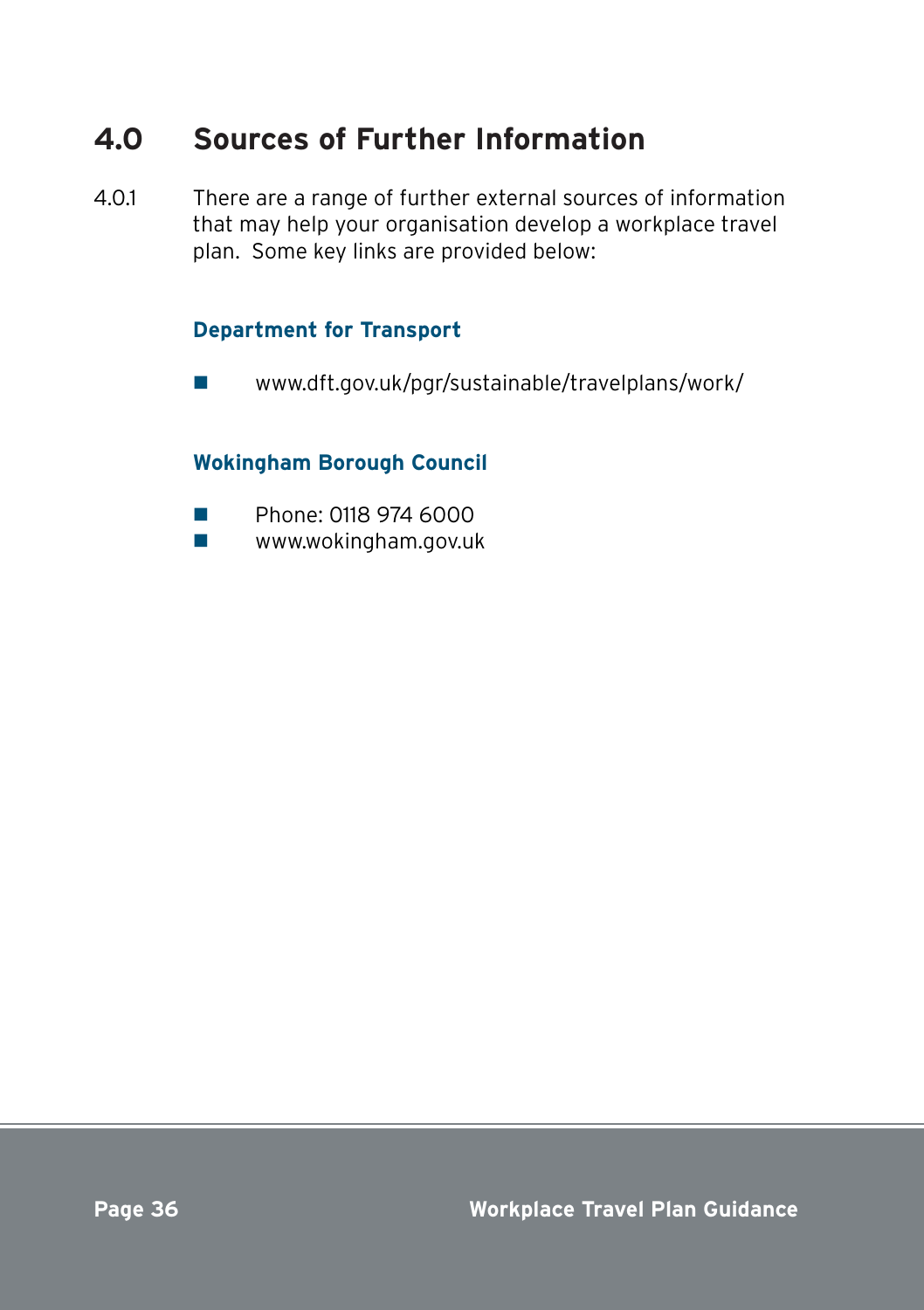### **4.0 Sources of Further Information**

4.0.1 There are a range of further external sources of information that may help your organisation develop a workplace travel plan. Some key links are provided below:

## **Department for Transport**

■ www.dft.gov.uk/pgr/sustainable/travelplans/work/

## **Wokingham Borough Council**

- Phone: 0118 974 6000
- www.wokingham.gov.uk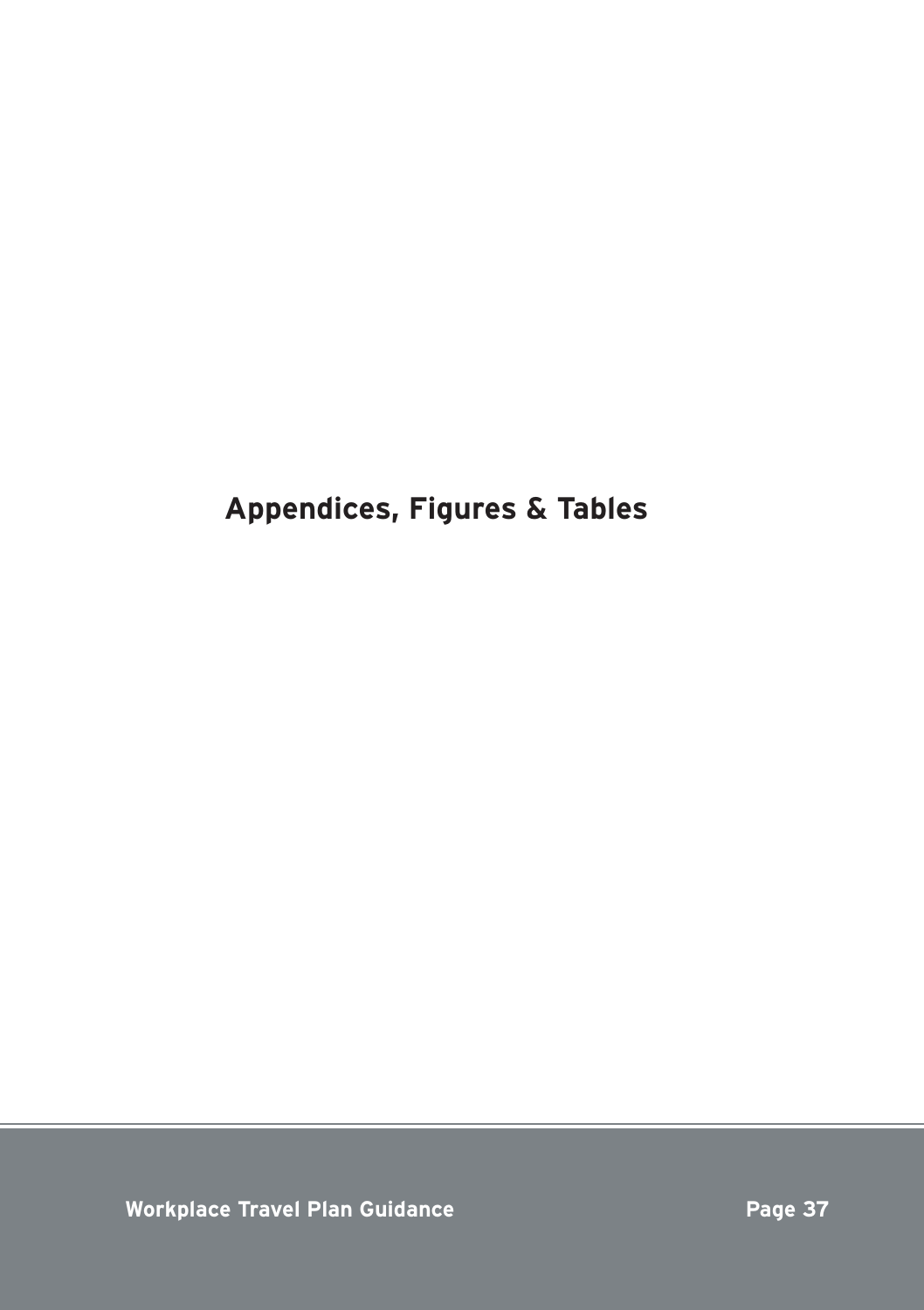# **Appendices, Figures & Tables**

**Workplace Travel Plan Guidance Page 37**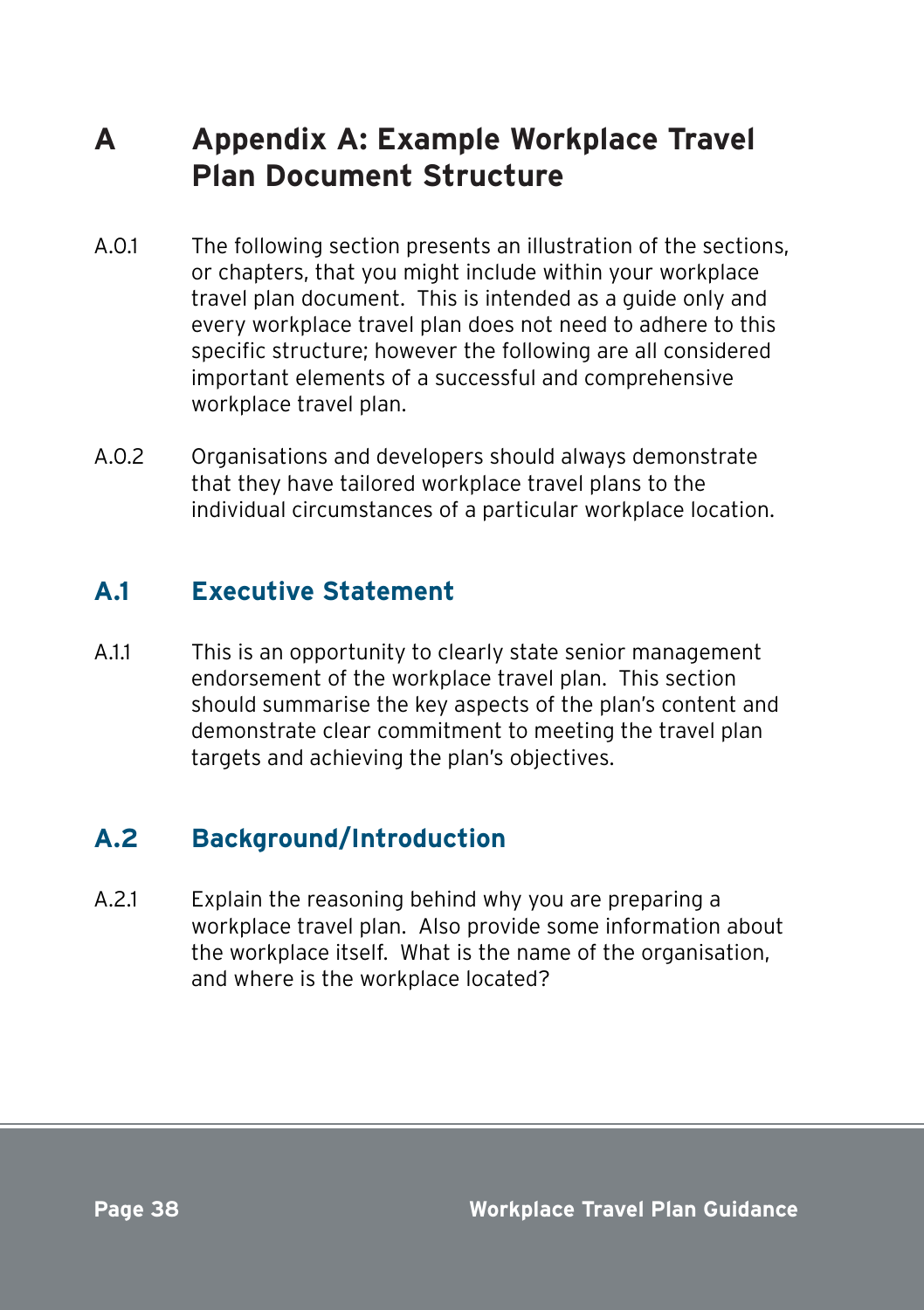## **A Appendix A: Example Workplace Travel Plan Document Structure**

- A.0.1 The following section presents an illustration of the sections, or chapters, that you might include within your workplace travel plan document. This is intended as a guide only and every workplace travel plan does not need to adhere to this specific structure; however the following are all considered important elements of a successful and comprehensive workplace travel plan.
- A.0.2 Organisations and developers should always demonstrate that they have tailored workplace travel plans to the individual circumstances of a particular workplace location.

### **A.1 Executive Statement**

A.1.1 This is an opportunity to clearly state senior management endorsement of the workplace travel plan. This section should summarise the key aspects of the plan's content and demonstrate clear commitment to meeting the travel plan targets and achieving the plan's objectives.

### **A.2 Background/Introduction**

A.2.1 Explain the reasoning behind why you are preparing a workplace travel plan. Also provide some information about the workplace itself. What is the name of the organisation, and where is the workplace located?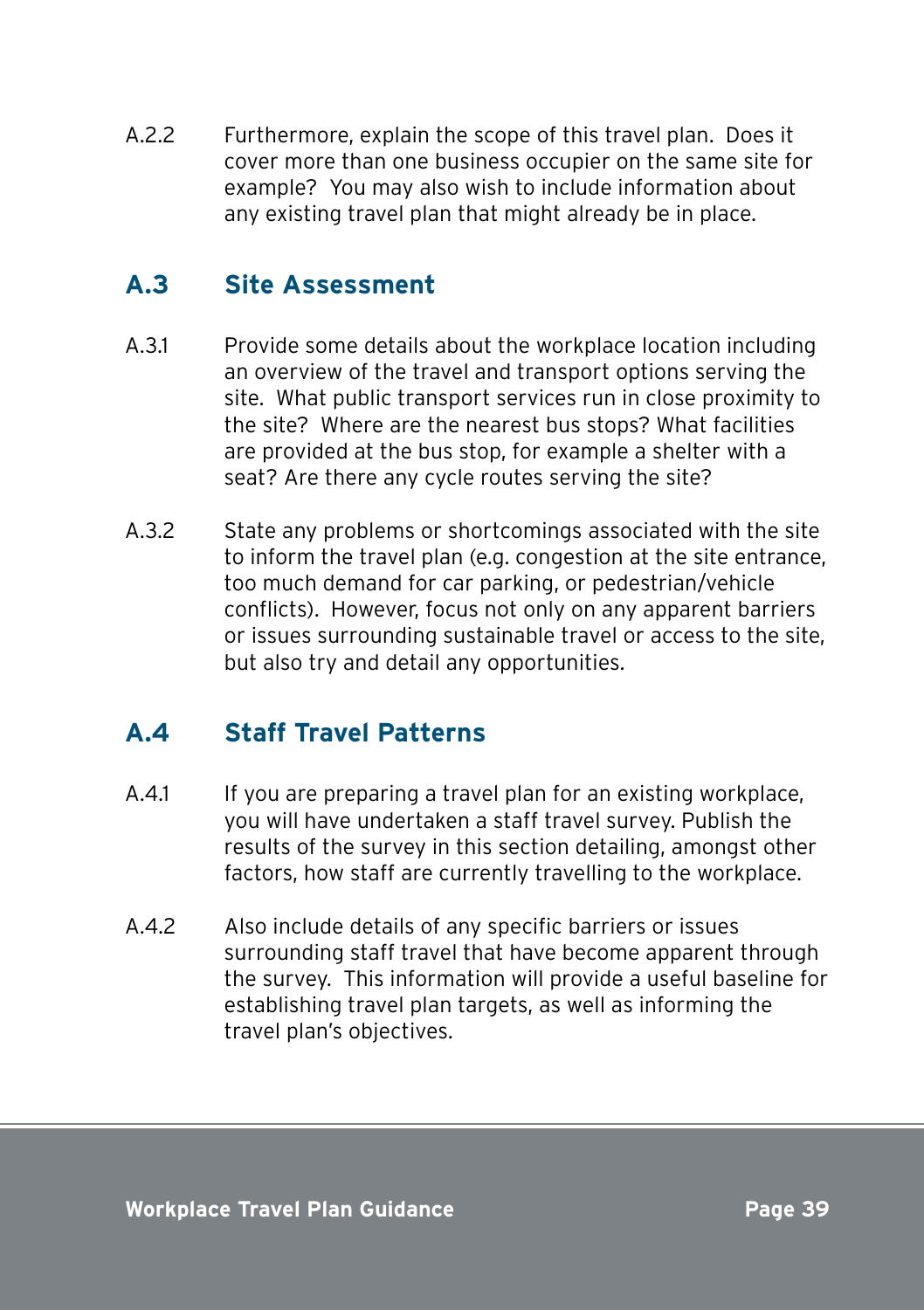A.2.2 Furthermore, explain the scope of this travel plan. Does it cover more than one business occupier on the same site for example? You may also wish to include information about any existing travel plan that might already be in place.

### **A.3 Site Assessment**

- A.3.1 Provide some details about the workplace location including an overview of the travel and transport options serving the site. What public transport services run in close proximity to the site? Where are the nearest bus stops? What facilities are provided at the bus stop, for example a shelter with a seat? Are there any cycle routes serving the site?
- A.3.2 State any problems or shortcomings associated with the site to inform the travel plan (e.g. congestion at the site entrance, too much demand for car parking, or pedestrian/vehicle conflicts). However, focus not only on any apparent barriers or issues surrounding sustainable travel or access to the site, but also try and detail any opportunities.

### **A.4 Staff Travel Patterns**

- A.4.1 If you are preparing a travel plan for an existing workplace, you will have undertaken a staff travel survey. Publish the results of the survey in this section detailing, amongst other factors, how staff are currently travelling to the workplace.
- A.4.2 Also include details of any specific barriers or issues surrounding staff travel that have become apparent through the survey. This information will provide a useful baseline for establishing travel plan targets, as well as informing the travel plan's objectives.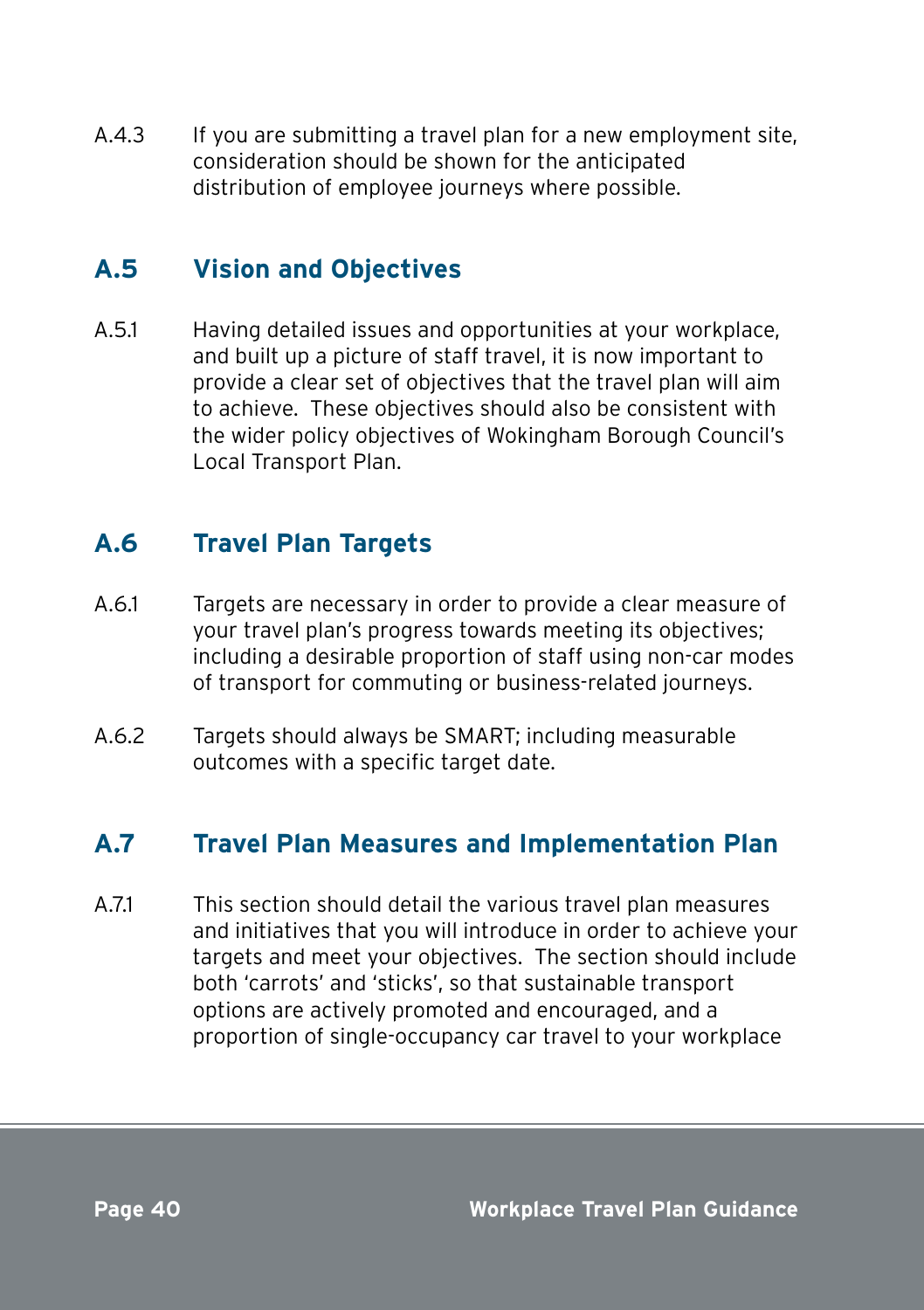$A$  4.3 If you are submitting a travel plan for a new employment site, consideration should be shown for the anticipated distribution of employee journeys where possible.

### **A.5 Vision and Objectives**

A.5.1 Having detailed issues and opportunities at your workplace, and built up a picture of staff travel, it is now important to provide a clear set of objectives that the travel plan will aim to achieve. These objectives should also be consistent with the wider policy objectives of Wokingham Borough Council's Local Transport Plan.

#### **A.6 Travel Plan Targets**

- A.6.1 Targets are necessary in order to provide a clear measure of your travel plan's progress towards meeting its objectives; including a desirable proportion of staff using non-car modes of transport for commuting or business-related journeys.
- A.6.2 Targets should always be SMART; including measurable outcomes with a specific target date.

#### **A.7 Travel Plan Measures and Implementation Plan**

 $\Delta$ .71 This section should detail the various travel plan measures and initiatives that you will introduce in order to achieve your targets and meet your objectives. The section should include both 'carrots' and 'sticks', so that sustainable transport options are actively promoted and encouraged, and a proportion of single-occupancy car travel to your workplace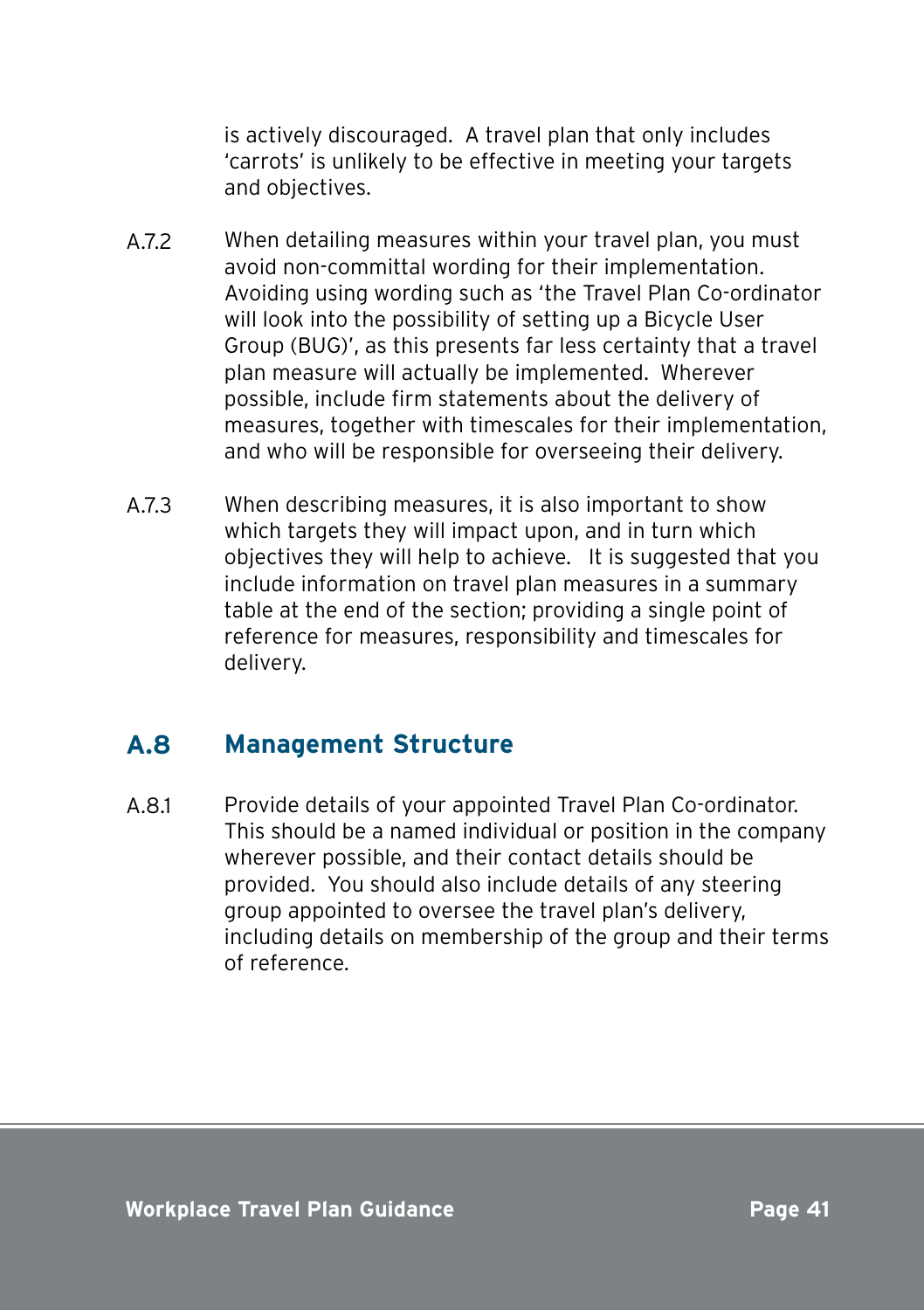is actively discouraged. A travel plan that only includes 'carrots' is unlikely to be effective in meeting your targets and objectives.

- When detailing measures within your travel plan, you must avoid non-committal wording for their implementation. Avoiding using wording such as 'the Travel Plan Co-ordinator will look into the possibility of setting up a Bicycle User Group (BUG)', as this presents far less certainty that a travel plan measure will actually be implemented. Wherever possible, include firm statements about the delivery of measures, together with timescales for their implementation, and who will be responsible for overseeing their delivery. A.7.2
- When describing measures, it is also important to show which targets they will impact upon, and in turn which objectives they will help to achieve. It is suggested that you include information on travel plan measures in a summary table at the end of the section; providing a single point of reference for measures, responsibility and timescales for delivery. A.7.3

### **Management Structure A.8**

Provide details of your appointed Travel Plan Co-ordinator. This should be a named individual or position in the company wherever possible, and their contact details should be provided. You should also include details of any steering group appointed to oversee the travel plan's delivery, including details on membership of the group and their terms of reference. A.8.1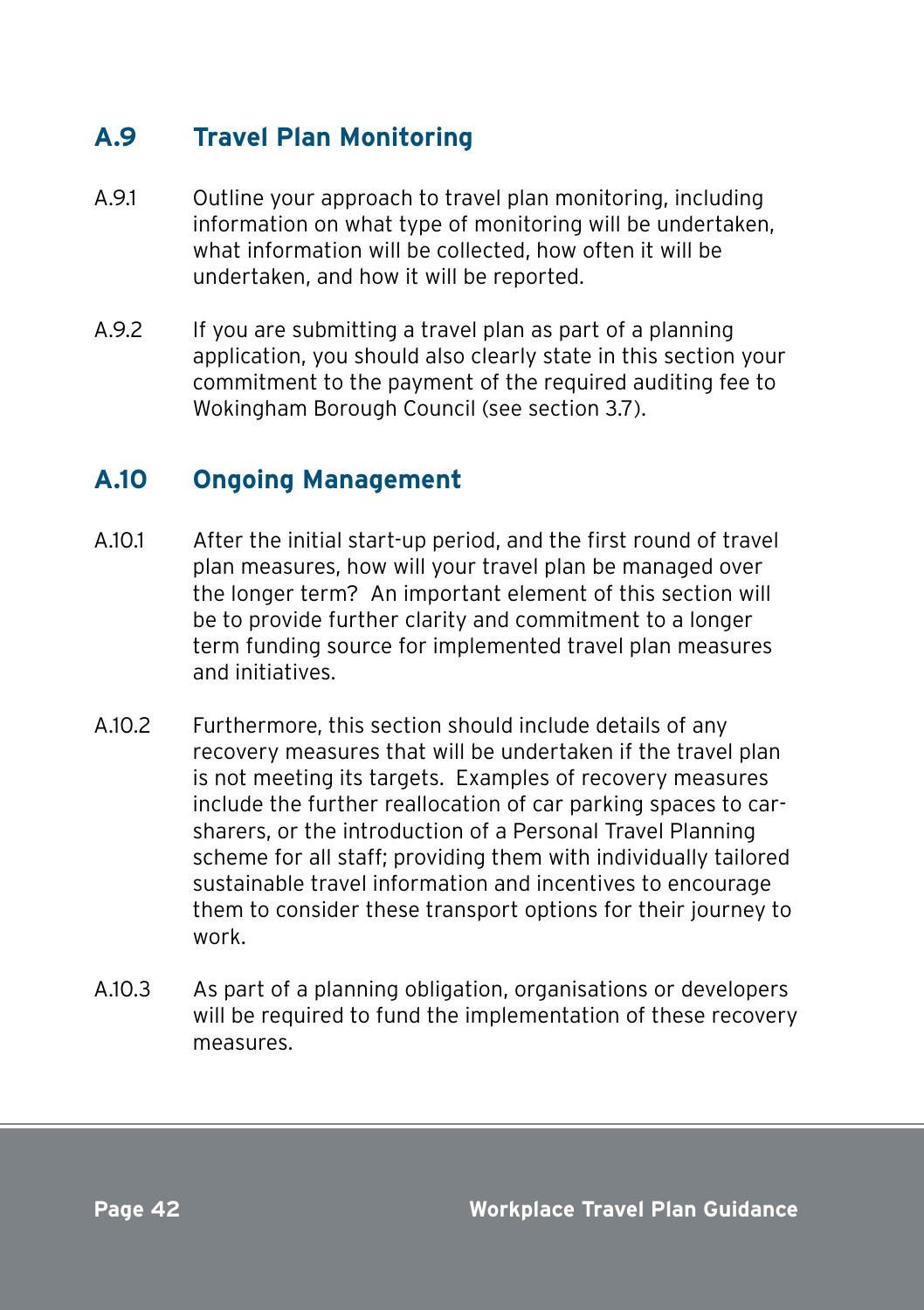### **A.9 Travel Plan Monitoring**

- A.9.1 Outline your approach to travel plan monitoring, including information on what type of monitoring will be undertaken, what information will be collected, how often it will be undertaken, and how it will be reported.
- A.9.2 If you are submitting a travel plan as part of a planning application, you should also clearly state in this section your commitment to the payment of the required auditing fee to Wokingham Borough Council (see section 3.7).

### **A.10 Ongoing Management**

- A.10.1 After the initial start-up period, and the first round of travel plan measures, how will your travel plan be managed over the longer term? An important element of this section will be to provide further clarity and commitment to a longer term funding source for implemented travel plan measures and initiatives.
- A.10.2 Furthermore, this section should include details of any recovery measures that will be undertaken if the travel plan is not meeting its targets. Examples of recovery measures include the further reallocation of car parking spaces to carsharers, or the introduction of a Personal Travel Planning scheme for all staff; providing them with individually tailored sustainable travel information and incentives to encourage them to consider these transport options for their journey to work.
- $A$  10.3 As part of a planning obligation, organisations or developers will be required to fund the implementation of these recovery measures.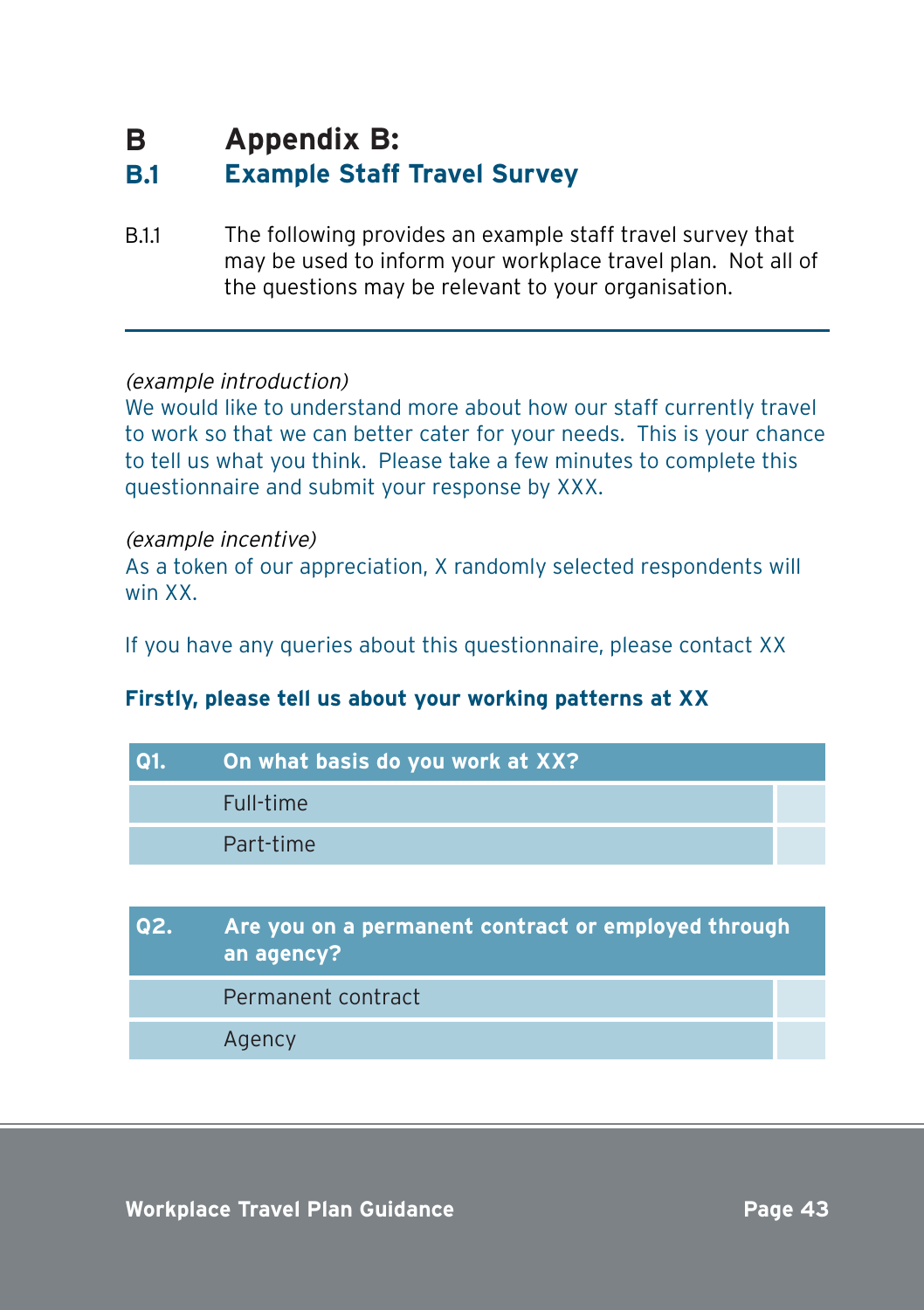### **B B.1 Appendix B: Example Staff Travel Survey**

B.1.1 The following provides an example staff travel survey that may be used to inform your workplace travel plan. Not all of the questions may be relevant to your organisation.

## (example introduction)

We would like to understand more about how our staff currently travel to work so that we can better cater for your needs. This is your chance to tell us what you think. Please take a few minutes to complete this questionnaire and submit your response by XXX.

### (example incentive)

As a token of our appreciation, X randomly selected respondents will win XX.

If you have any queries about this questionnaire, please contact XX

## **Firstly, please tell us about your working patterns at XX**

| Q1. | On what basis do you work at XX?                                  |
|-----|-------------------------------------------------------------------|
|     | Full-time                                                         |
|     | Part-time                                                         |
|     |                                                                   |
|     |                                                                   |
| Q2. | Are you on a permanent contract or employed through<br>an agency? |
|     | Permanent contract                                                |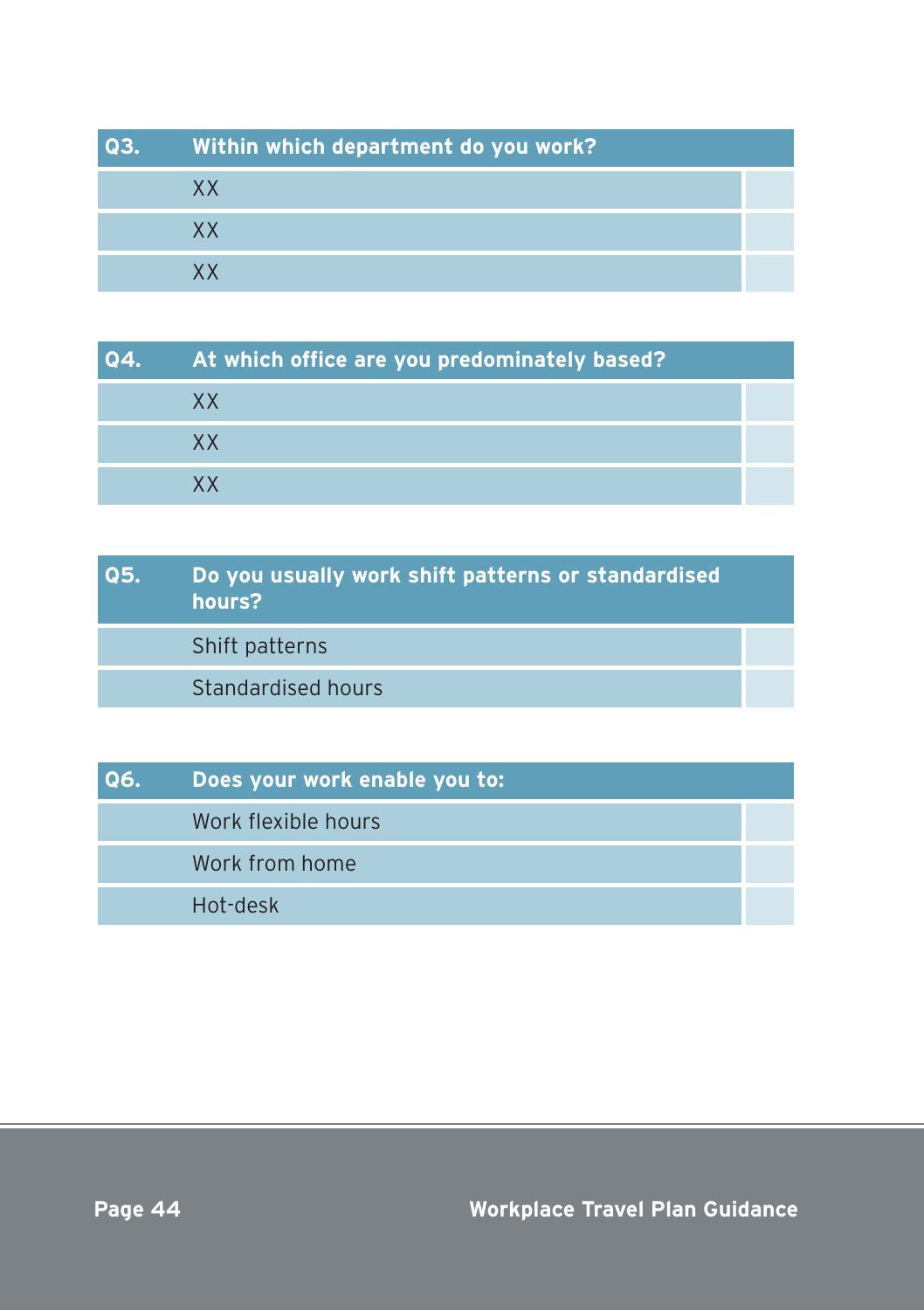| I Q3. | Within which department do you work? |  |
|-------|--------------------------------------|--|
|       | <b>XX</b>                            |  |
|       | XX                                   |  |
|       | ХX                                   |  |

| Q4. At which office are you predominately based? |  |
|--------------------------------------------------|--|
| X X                                              |  |
| <b>XX</b>                                        |  |
| <b>XX</b>                                        |  |

| <b>Q5.</b> | Do you usually work shift patterns or standardised<br>hours? |  |
|------------|--------------------------------------------------------------|--|
|            | Shift patterns                                               |  |
|            | Standardised hours                                           |  |

| Q6. | Does your work enable you to: |
|-----|-------------------------------|
|     | Work flexible hours           |
|     | Work from home                |
|     | Hot-desk                      |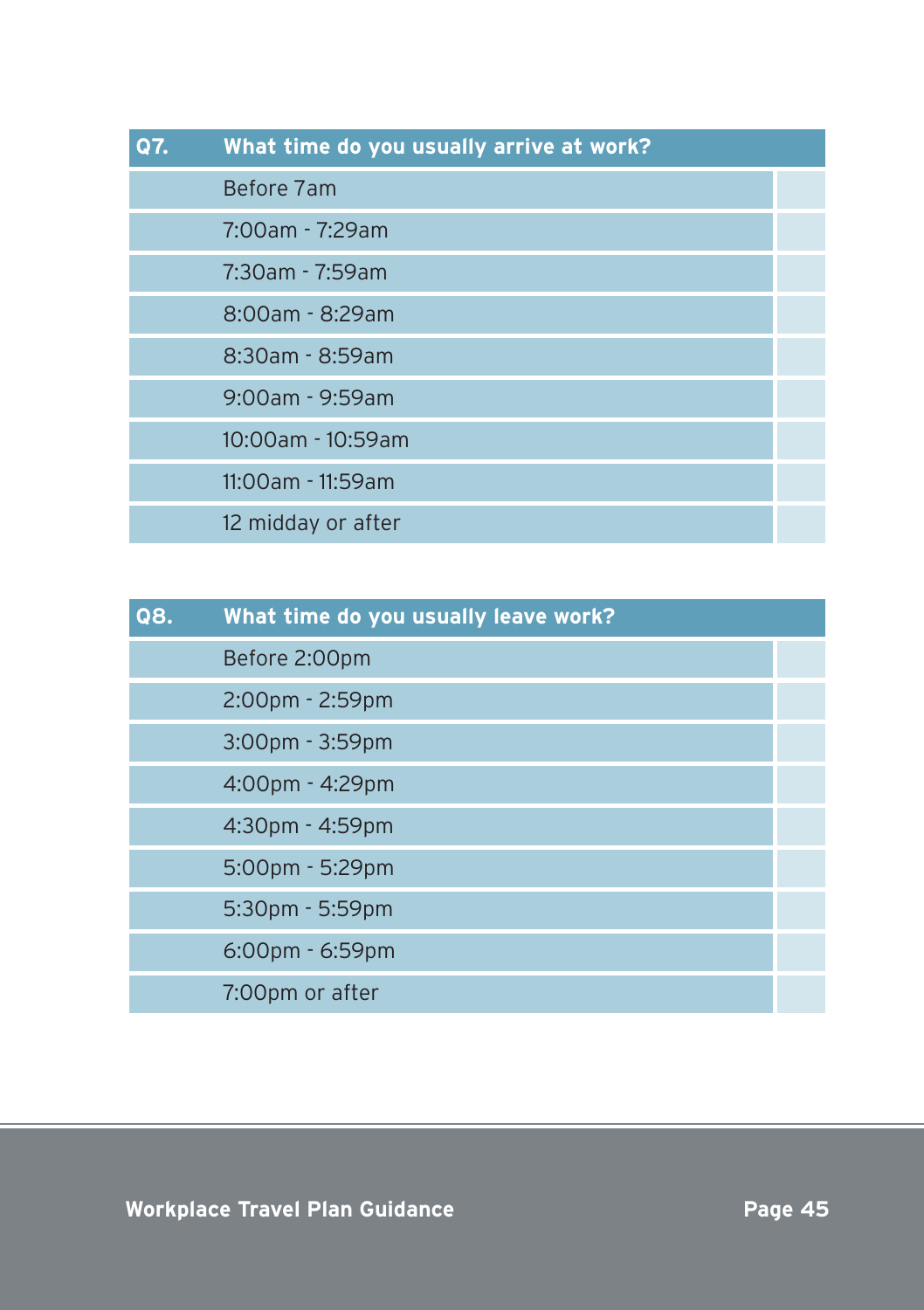| Q7. | What time do you usually arrive at work? |
|-----|------------------------------------------|
|     | Before 7am                               |
|     | 7:00am - 7:29am                          |
|     | 7:30am - 7:59am                          |
|     | 8:00am - 8:29am                          |
|     | 8:30am - 8:59am                          |
|     | 9:00am - 9:59am                          |
|     | 10:00am - 10:59am                        |
|     | 11:00am - 11:59am                        |
|     | 12 midday or after                       |

| Q8. | What time do you usually leave work? |
|-----|--------------------------------------|
|     | Before 2:00pm                        |
|     | 2:00pm - 2:59pm                      |
|     | 3:00pm - 3:59pm                      |
|     | 4:00pm - 4:29pm                      |
|     | 4:30pm - 4:59pm                      |
|     | 5:00pm - 5:29pm                      |
|     | 5:30pm - 5:59pm                      |
|     | 6:00pm - 6:59pm                      |
|     | 7:00pm or after                      |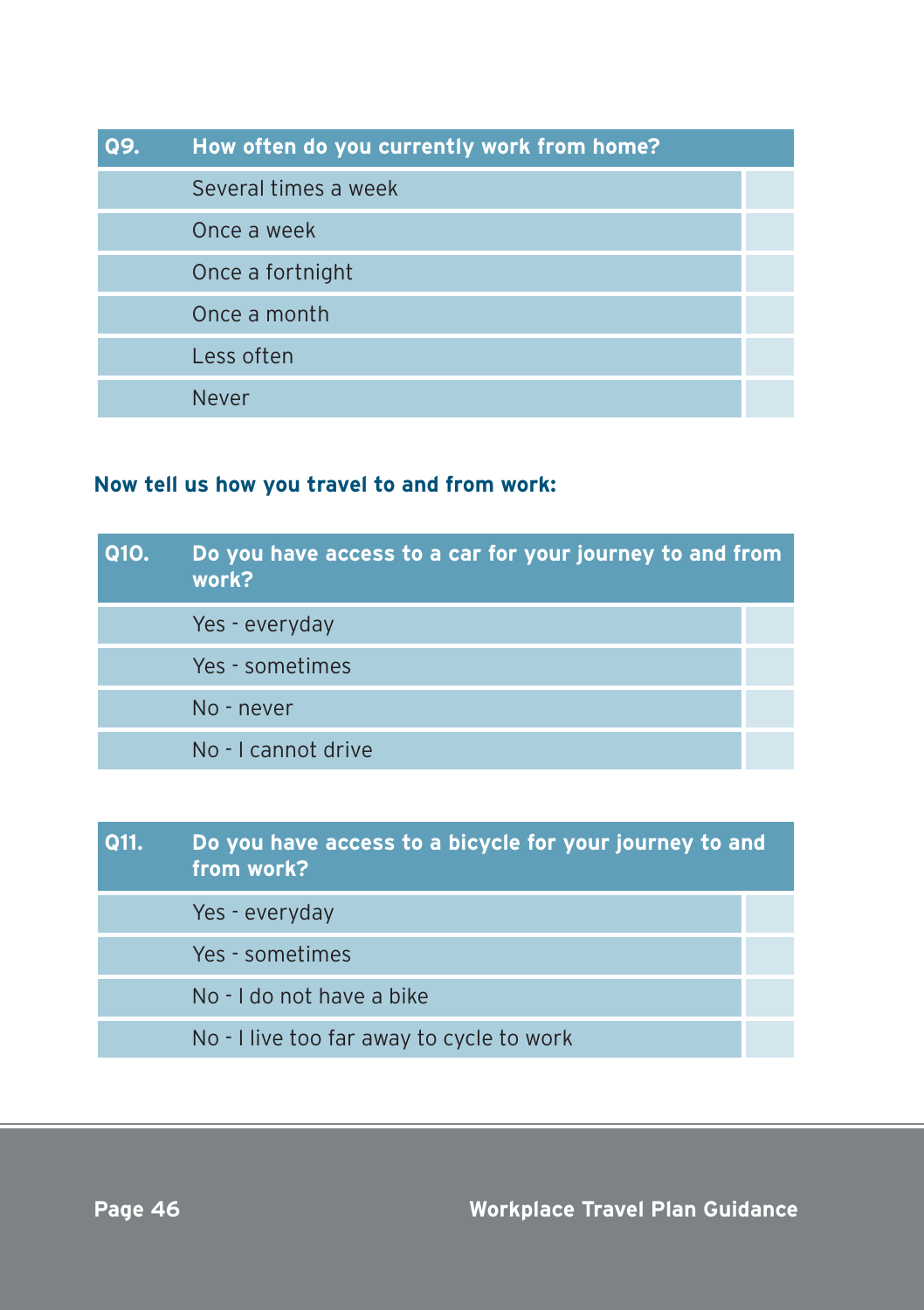| Q9. | How often do you currently work from home? |
|-----|--------------------------------------------|
|     | Several times a week                       |
|     | Once a week                                |
|     | Once a fortnight                           |
|     | Once a month                               |
|     | Less often                                 |
|     | Never                                      |

## **Now tell us how you travel to and from work:**

| Q10. | Do you have access to a car for your journey to and from<br>work? |  |
|------|-------------------------------------------------------------------|--|
|      | Yes - everyday                                                    |  |
|      | Yes - sometimes                                                   |  |
|      | No - never                                                        |  |
|      | No - Lcannot drive                                                |  |

| <b>Q11.</b> | Do you have access to a bicycle for your journey to and<br>from work? |  |
|-------------|-----------------------------------------------------------------------|--|
|             | Yes - everyday                                                        |  |
|             | Yes - sometimes                                                       |  |
|             | No - I do not have a bike                                             |  |
|             | No - I live too far away to cycle to work                             |  |

**College**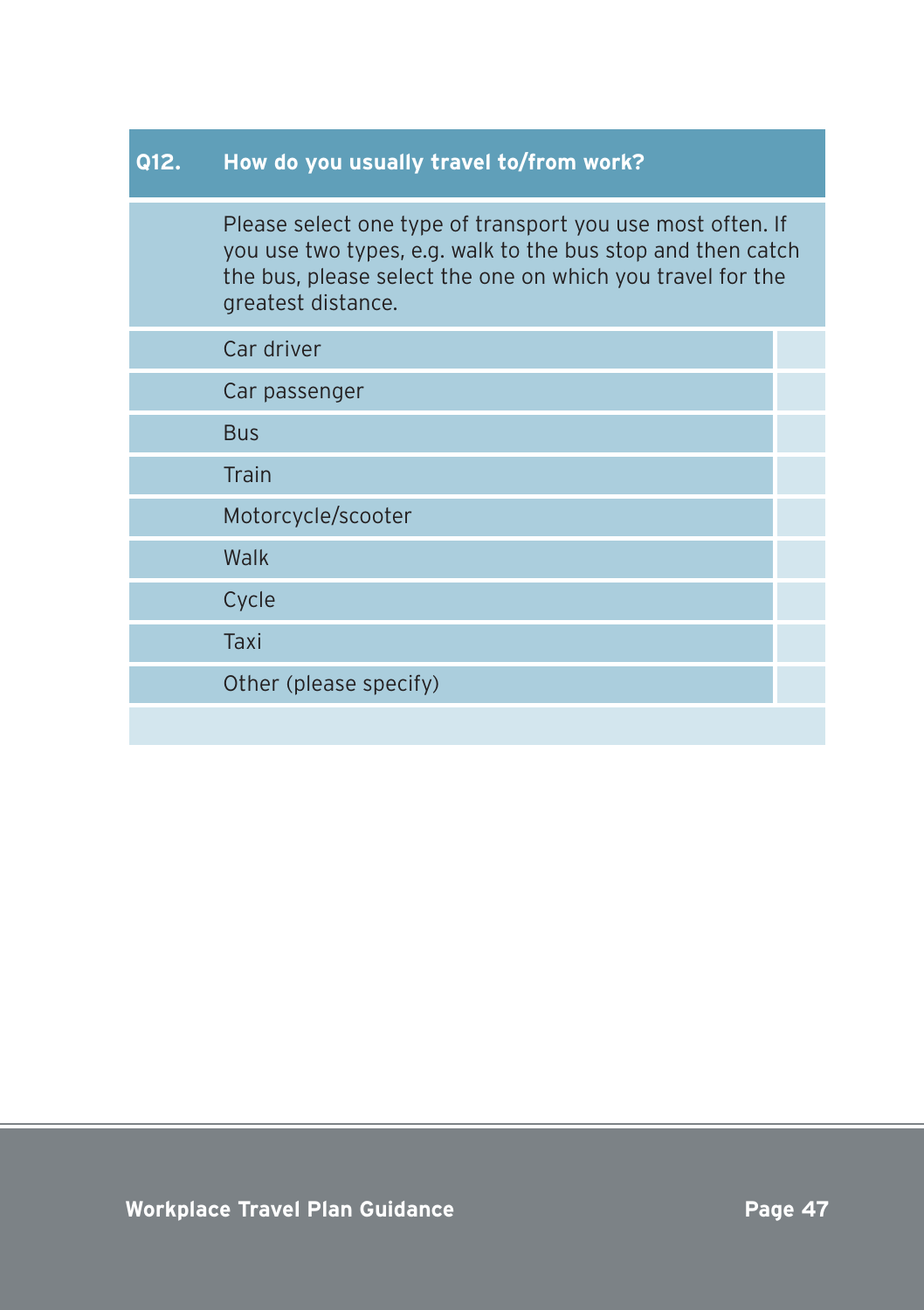## **Q12. How do you usually travel to/from work?**

Please select one type of transport you use most often. If you use two types, e.g. walk to the bus stop and then catch the bus, please select the one on which you travel for the greatest distance.

| Car driver             |  |
|------------------------|--|
| Car passenger          |  |
| <b>Bus</b>             |  |
| <b>Train</b>           |  |
| Motorcycle/scooter     |  |
| Walk                   |  |
| Cycle                  |  |
| Taxi                   |  |
| Other (please specify) |  |
|                        |  |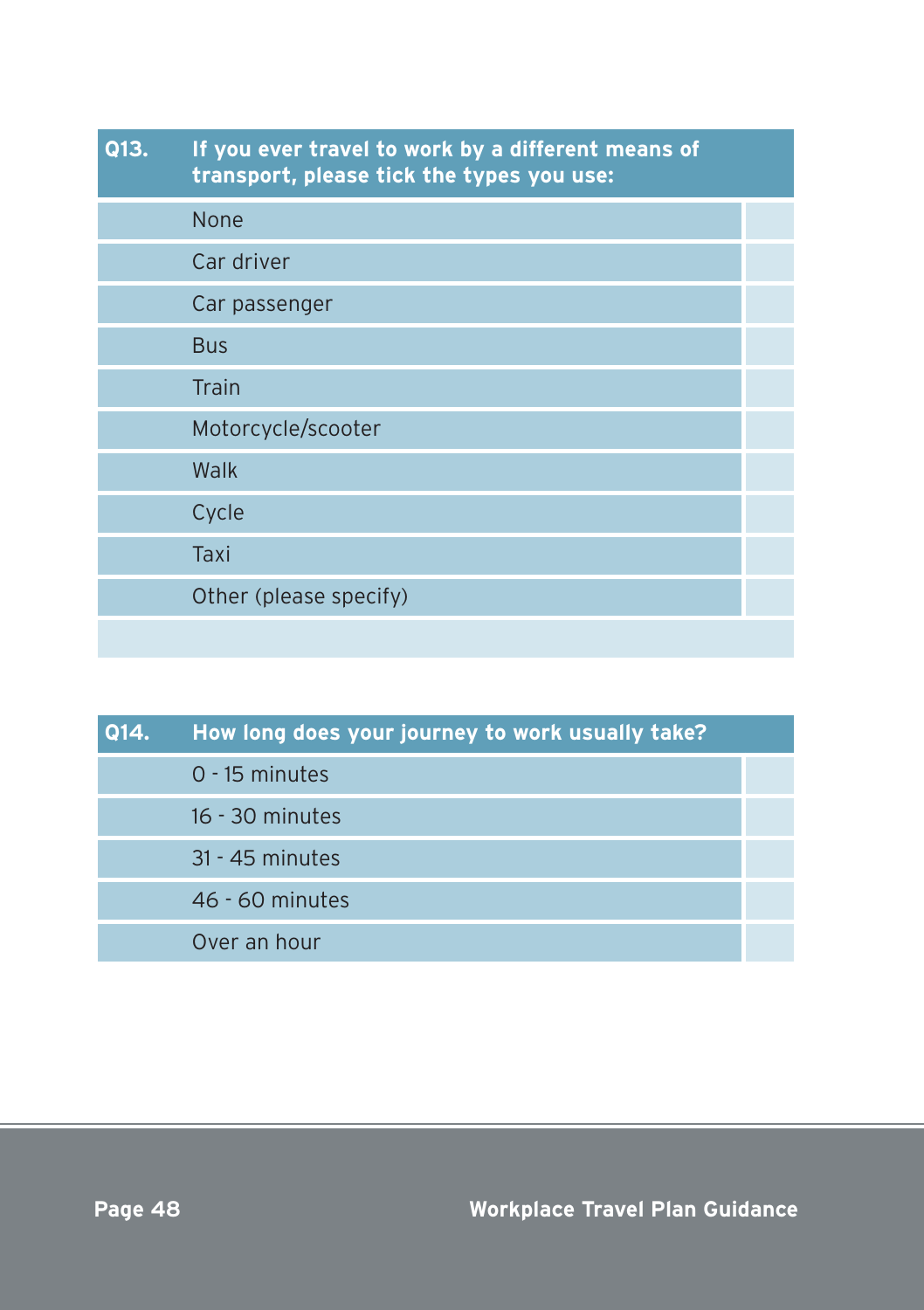| Q13. | If you ever travel to work by a different means of<br>transport, please tick the types you use: |  |
|------|-------------------------------------------------------------------------------------------------|--|
|      | <b>None</b>                                                                                     |  |
|      | Car driver                                                                                      |  |
|      | Car passenger                                                                                   |  |
|      | <b>Bus</b>                                                                                      |  |
|      | Train                                                                                           |  |
|      | Motorcycle/scooter                                                                              |  |
|      | Walk                                                                                            |  |
|      | Cycle                                                                                           |  |
|      | Taxi                                                                                            |  |
|      | Other (please specify)                                                                          |  |
|      |                                                                                                 |  |

| Q14. | How long does your journey to work usually take? |  |
|------|--------------------------------------------------|--|
|      | $0 - 15$ minutes                                 |  |
|      | $16 - 30$ minutes                                |  |
|      | $31 - 45$ minutes                                |  |
|      | 46 - 60 minutes                                  |  |
|      | Over an hour                                     |  |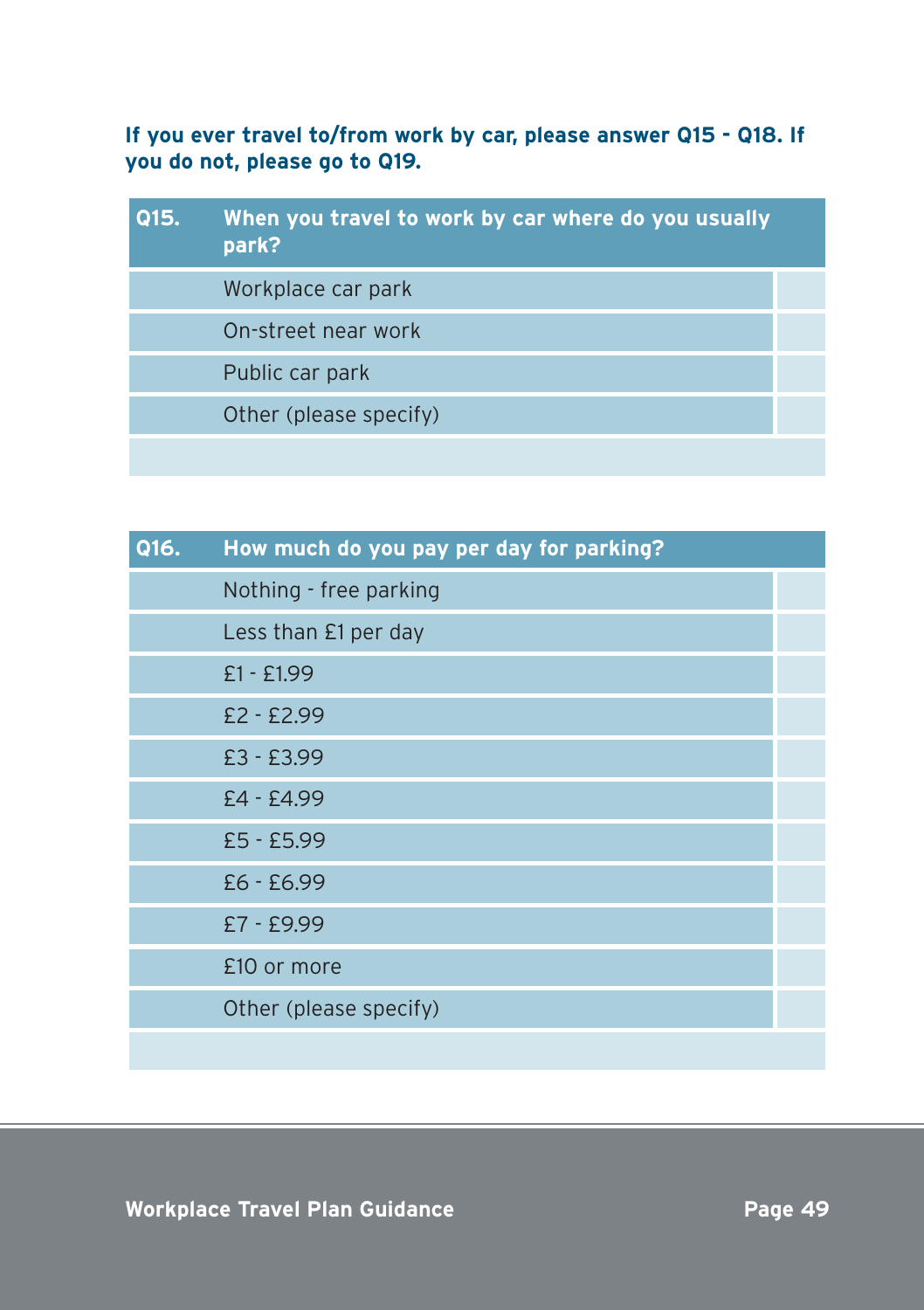## **If you ever travel to/from work by car, please answer Q15 - Q18. If you do not, please go to Q19.**

| Q15. | When you travel to work by car where do you usually<br>park? |  |  |  |  |
|------|--------------------------------------------------------------|--|--|--|--|
|      | Workplace car park                                           |  |  |  |  |
|      | On-street near work                                          |  |  |  |  |
|      | Public car park                                              |  |  |  |  |
|      | Other (please specify)                                       |  |  |  |  |
|      |                                                              |  |  |  |  |

| Q16. | How much do you pay per day for parking? |
|------|------------------------------------------|
|      | Nothing - free parking                   |
|      | Less than £1 per day                     |
|      | $£1 - £1.99$                             |
|      | $£2 - £2.99$                             |
|      | $£3 - £3.99$                             |
|      | $E4 - E4.99$                             |
|      | £5 - £5.99                               |
|      | $£6 - £6.99$                             |
|      | $£7 - £9.99$                             |
|      | £10 or more                              |
|      | Other (please specify)                   |
|      |                                          |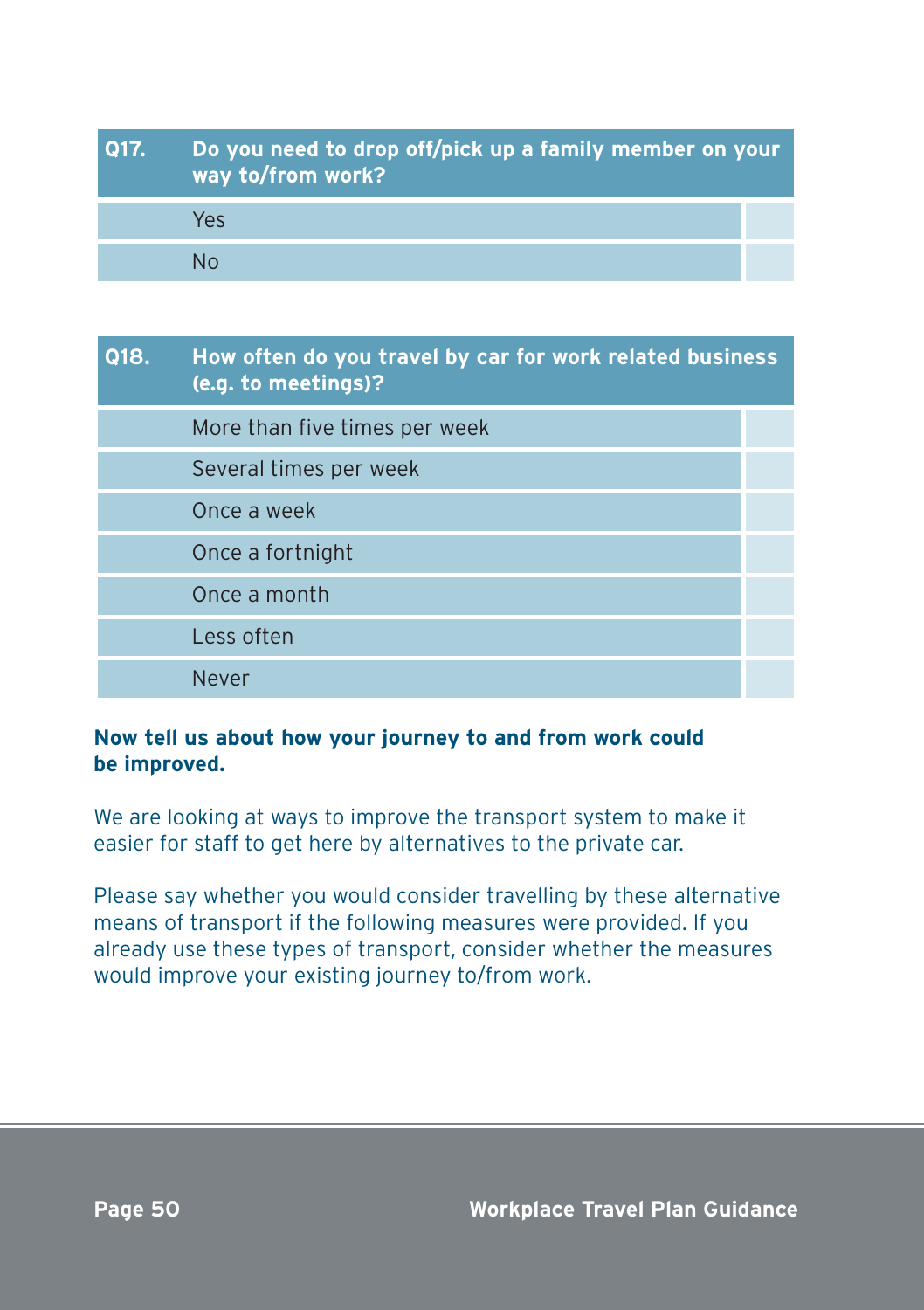| Q17. | Do you need to drop off/pick up a family member on your<br>way to/from work? |  |  |  |  |  |
|------|------------------------------------------------------------------------------|--|--|--|--|--|
|      | Yes                                                                          |  |  |  |  |  |
|      |                                                                              |  |  |  |  |  |

| Q18. | How often do you travel by car for work related business<br>(e.g. to meetings)? |  |  |  |
|------|---------------------------------------------------------------------------------|--|--|--|
|      | More than five times per week                                                   |  |  |  |
|      | Several times per week                                                          |  |  |  |
|      | Once a week                                                                     |  |  |  |
|      | Once a fortnight                                                                |  |  |  |
|      | Once a month                                                                    |  |  |  |
|      | Less often                                                                      |  |  |  |
|      | <b>Never</b>                                                                    |  |  |  |

## **Now tell us about how your journey to and from work could be improved.**

We are looking at ways to improve the transport system to make it easier for staff to get here by alternatives to the private car.

Please say whether you would consider travelling by these alternative means of transport if the following measures were provided. If you already use these types of transport, consider whether the measures would improve your existing journey to/from work.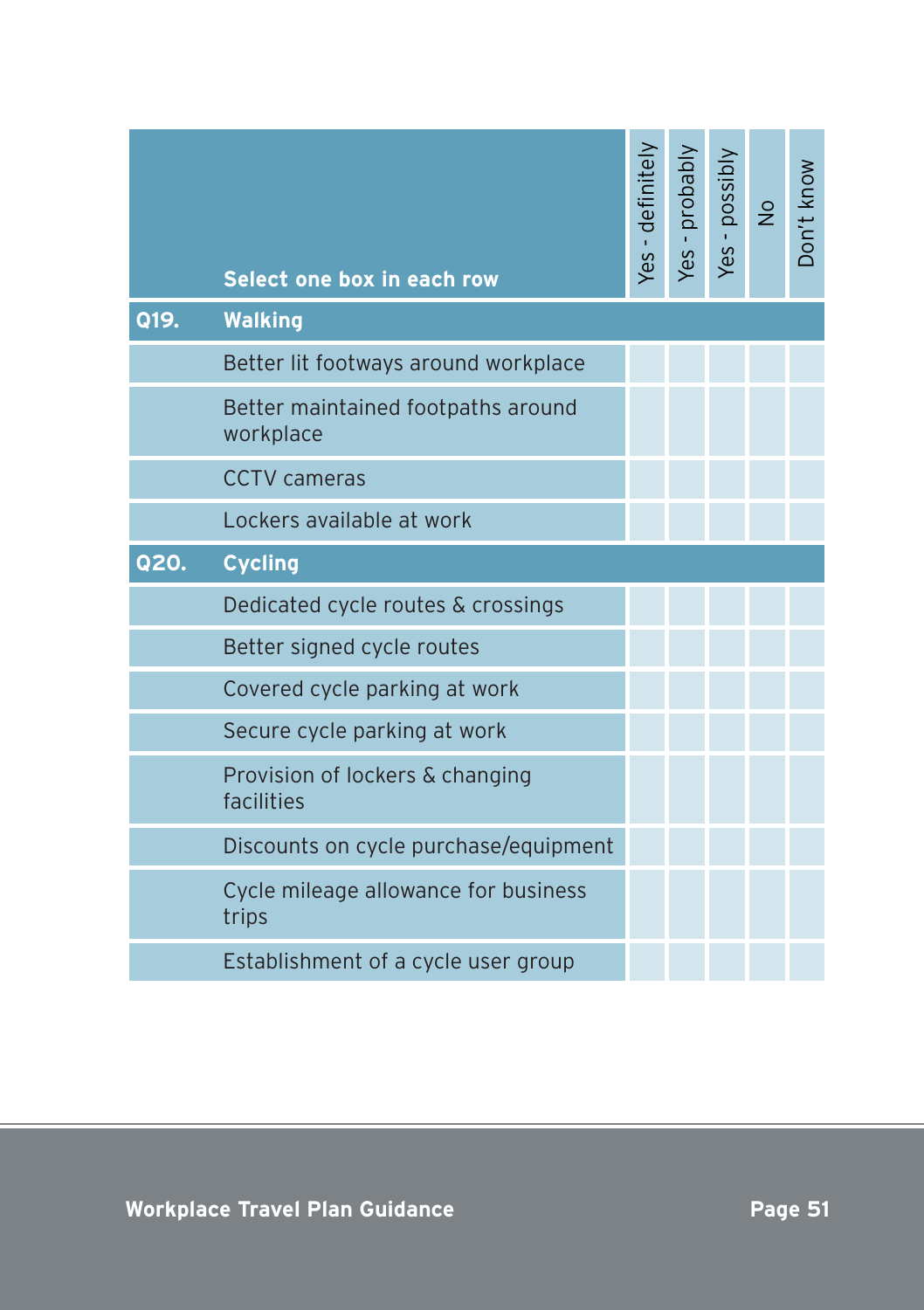|      | Select one box in each row                      | Yes - definitely | Yes - probably | Yes - possibly | $\frac{1}{2}$ | Don't know |
|------|-------------------------------------------------|------------------|----------------|----------------|---------------|------------|
| Q19. | <b>Walking</b>                                  |                  |                |                |               |            |
|      | Better lit footways around workplace            |                  |                |                |               |            |
|      | Better maintained footpaths around<br>workplace |                  |                |                |               |            |
|      | <b>CCTV</b> cameras                             |                  |                |                |               |            |
|      | Lockers available at work                       |                  |                |                |               |            |
| Q20. | <b>Cycling</b>                                  |                  |                |                |               |            |
|      | Dedicated cycle routes & crossings              |                  |                |                |               |            |
|      | Better signed cycle routes                      |                  |                |                |               |            |
|      | Covered cycle parking at work                   |                  |                |                |               |            |
|      |                                                 |                  |                |                |               |            |
|      | Secure cycle parking at work                    |                  |                |                |               |            |
|      | Provision of lockers & changing<br>facilities   |                  |                |                |               |            |
|      | Discounts on cycle purchase/equipment           |                  |                |                |               |            |
|      | Cycle mileage allowance for business<br>trips   |                  |                |                |               |            |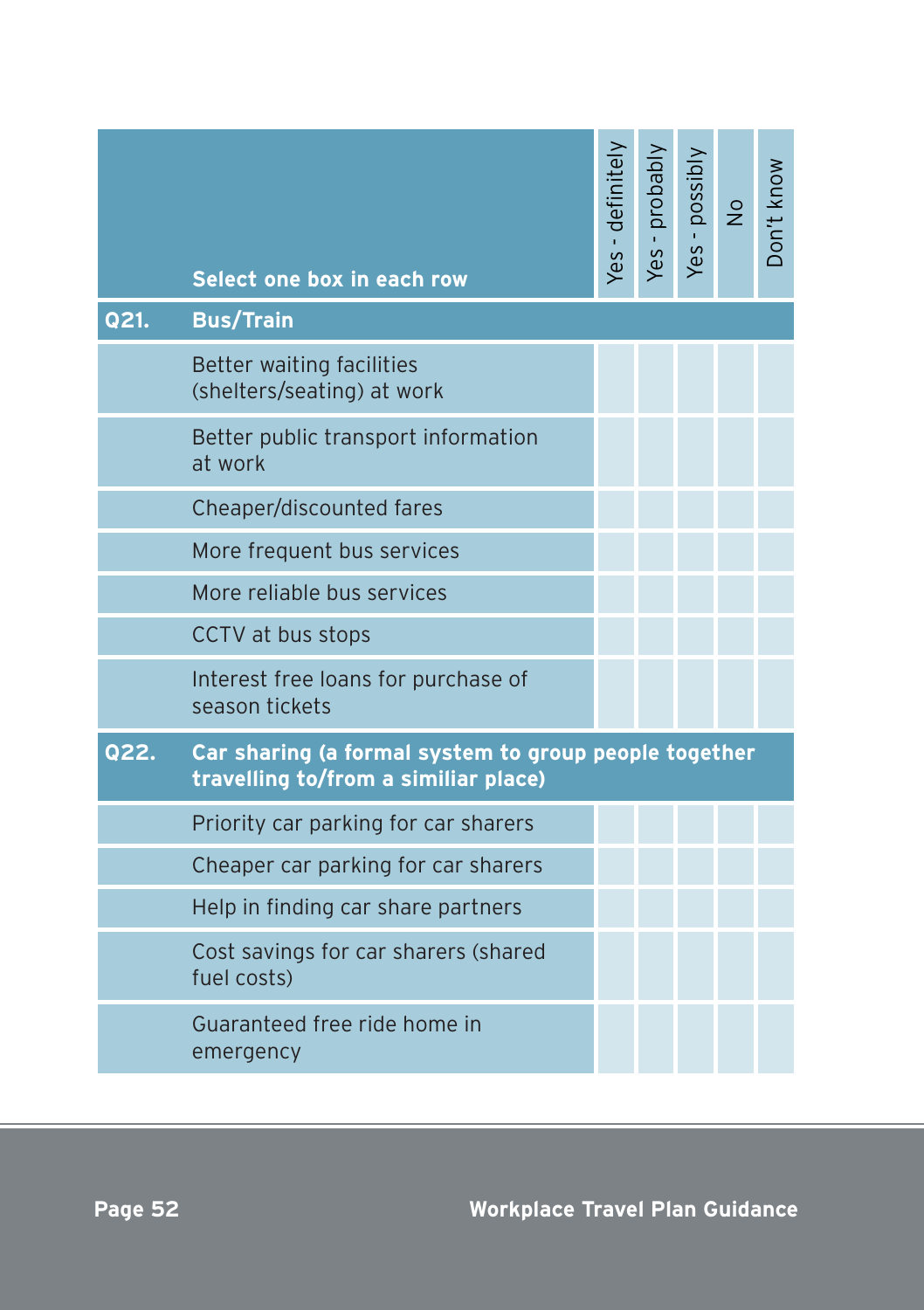|      | Select one box in each row                                                                    | Yes - definitely | Yes-probabl | Yes - possibly | $\frac{1}{2}$ | Don't know |
|------|-----------------------------------------------------------------------------------------------|------------------|-------------|----------------|---------------|------------|
| Q21. | <b>Bus/Train</b>                                                                              |                  |             |                |               |            |
|      | <b>Better waiting facilities</b><br>(shelters/seating) at work                                |                  |             |                |               |            |
|      | Better public transport information<br>at work                                                |                  |             |                |               |            |
|      | Cheaper/discounted fares                                                                      |                  |             |                |               |            |
|      | More frequent bus services                                                                    |                  |             |                |               |            |
|      | More reliable bus services                                                                    |                  |             |                |               |            |
|      | CCTV at bus stops                                                                             |                  |             |                |               |            |
|      | Interest free loans for purchase of<br>season tickets                                         |                  |             |                |               |            |
| Q22. | Car sharing (a formal system to group people together<br>travelling to/from a similiar place) |                  |             |                |               |            |
|      | Priority car parking for car sharers                                                          |                  |             |                |               |            |
|      | Cheaper car parking for car sharers                                                           |                  |             |                |               |            |
|      | Help in finding car share partners                                                            |                  |             |                |               |            |
|      | Cost savings for car sharers (shared<br>fuel costs)                                           |                  |             |                |               |            |
|      | Guaranteed free ride home in<br>emergency                                                     |                  |             |                |               |            |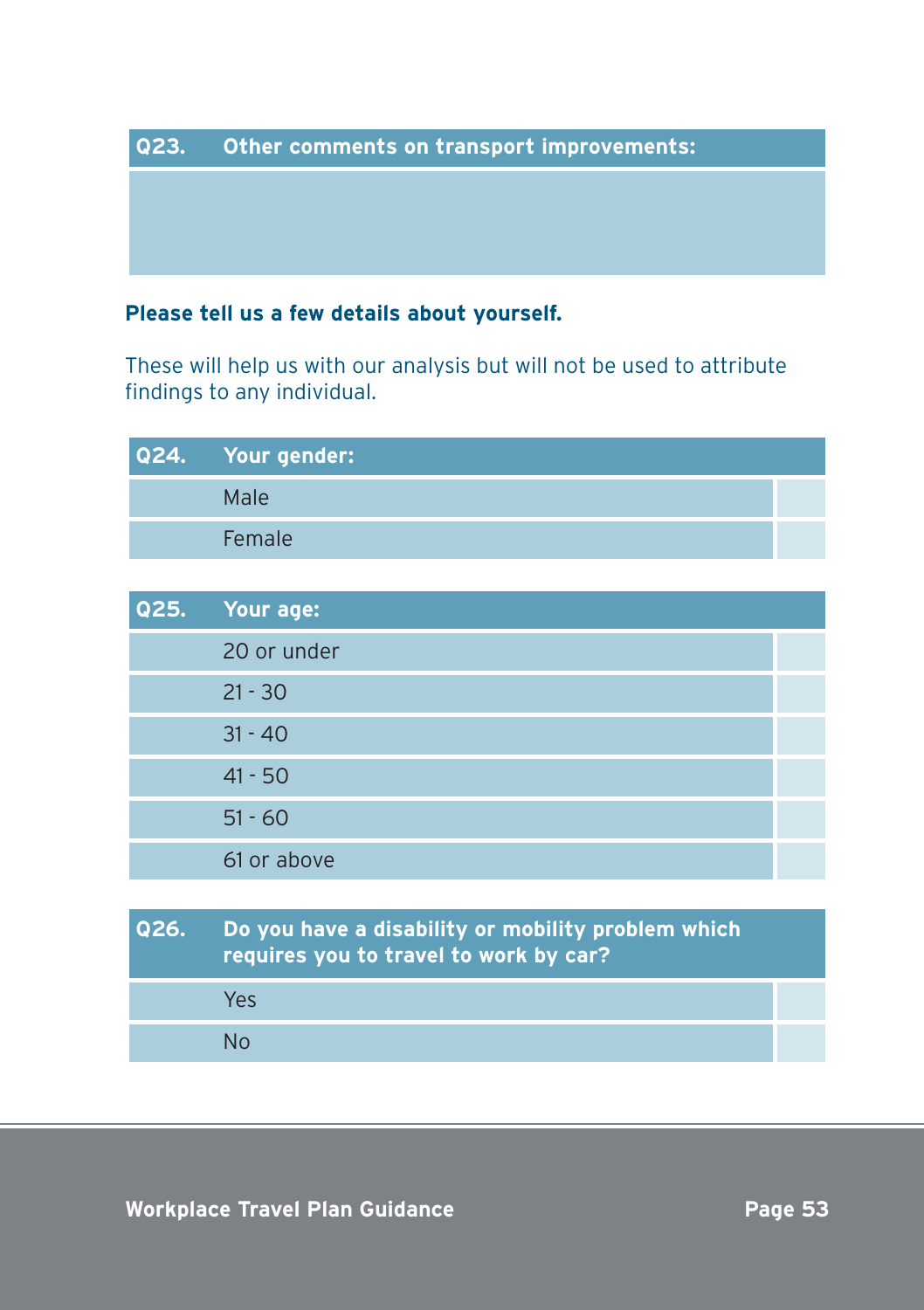## **Q23. Other comments on transport improvements:**

## **Please tell us a few details about yourself.**

These will help us with our analysis but will not be used to attribute findings to any individual.

| Q24. Your gender: |
|-------------------|
| Male              |
| Female            |

| Q25. | Your age:   |
|------|-------------|
|      | 20 or under |
|      | $21 - 30$   |
|      | $31 - 40$   |
|      | $41 - 50$   |
|      | $51 - 60$   |
|      | 61 or above |

| l 026. | Do you have a disability or mobility problem which<br>requires you to travel to work by car? |  |  |  |  |  |
|--------|----------------------------------------------------------------------------------------------|--|--|--|--|--|
|        | Yes                                                                                          |  |  |  |  |  |
|        |                                                                                              |  |  |  |  |  |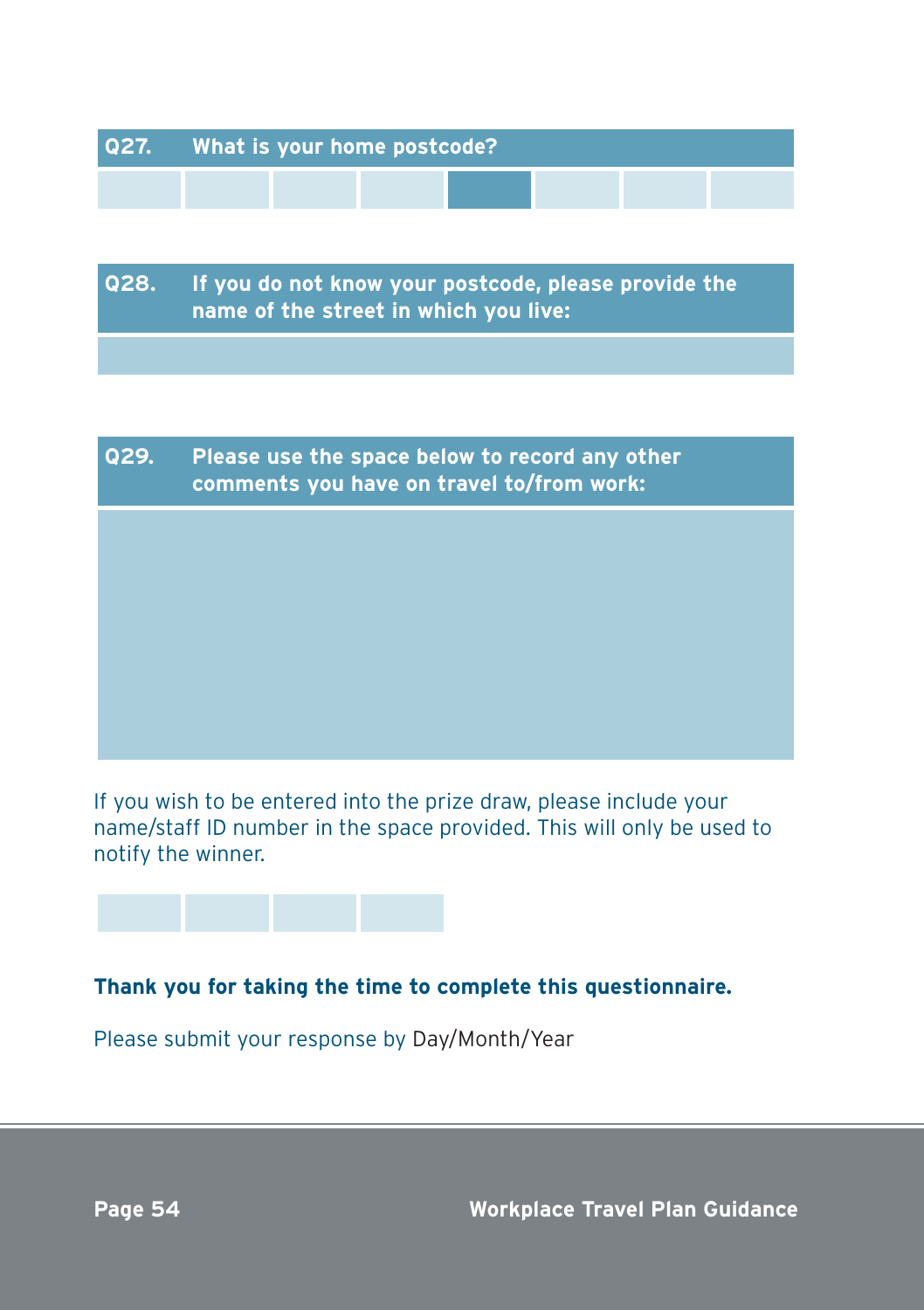| Q27. What is your home postcode? |  |  |  |  |  |  |
|----------------------------------|--|--|--|--|--|--|
|                                  |  |  |  |  |  |  |
|                                  |  |  |  |  |  |  |

**Q28. If you do not know your postcode, please provide the name of the street in which you live:**

| Q29. | Please use the space below to record any other<br>comments you have on travel to/from work: |  |  |  |
|------|---------------------------------------------------------------------------------------------|--|--|--|
|      |                                                                                             |  |  |  |
|      |                                                                                             |  |  |  |
|      |                                                                                             |  |  |  |
|      |                                                                                             |  |  |  |

If you wish to be entered into the prize draw, please include your name/staff ID number in the space provided. This will only be used to notify the winner.



**Thank you for taking the time to complete this questionnaire.**

Please submit your response by Day/Month/Year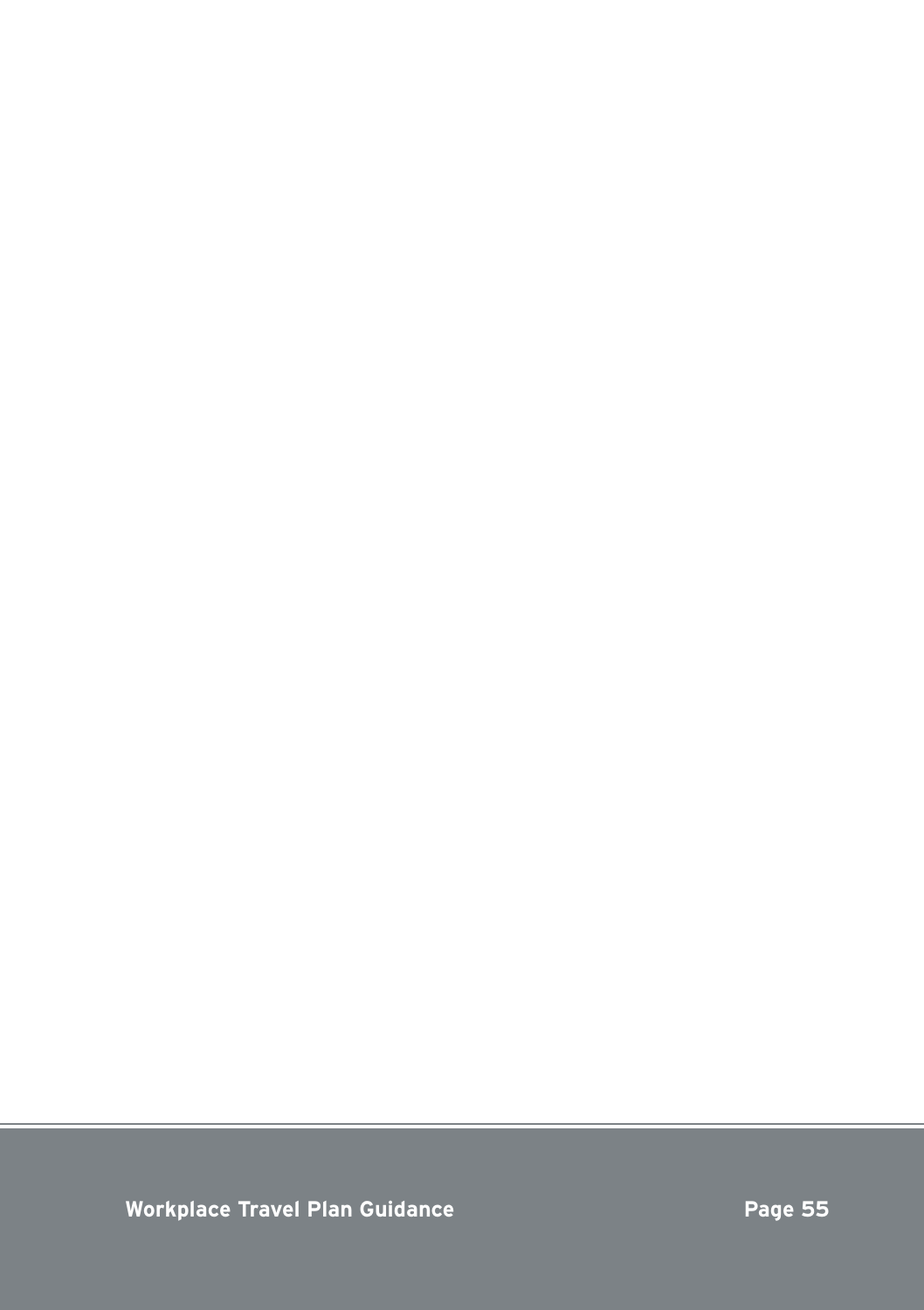**Workplace Travel Plan Guidance Page 55**